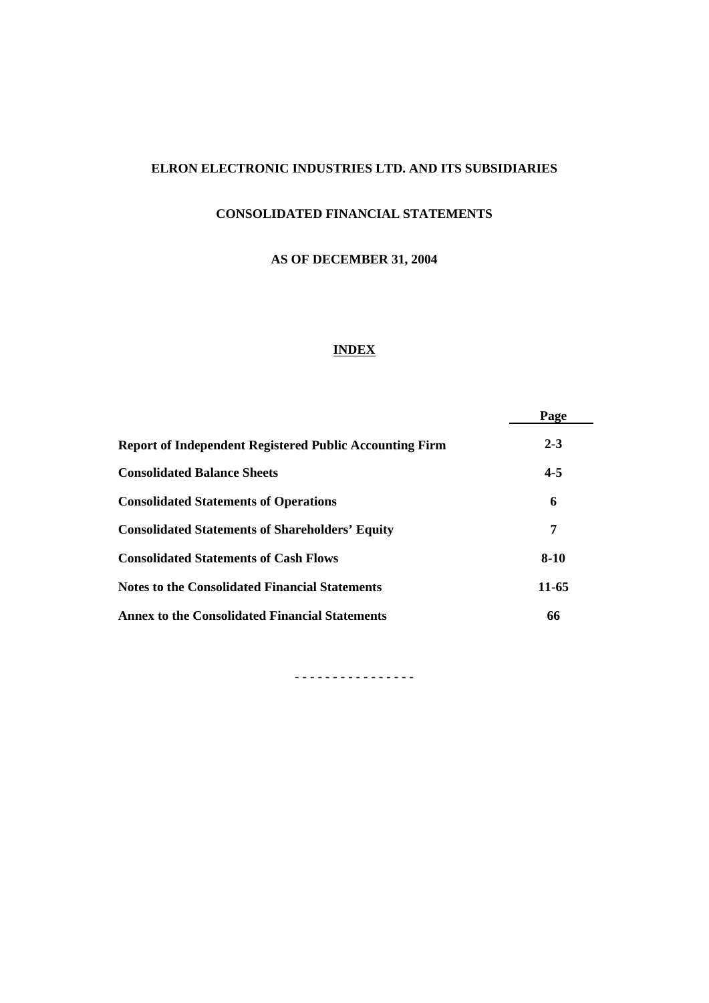## **ELRON ELECTRONIC INDUSTRIES LTD. AND ITS SUBSIDIARIES**

## **CONSOLIDATED FINANCIAL STATEMENTS**

## **AS OF DECEMBER 31, 2004**

## **INDEX**

|                                                                | Page    |
|----------------------------------------------------------------|---------|
| <b>Report of Independent Registered Public Accounting Firm</b> | $2 - 3$ |
| <b>Consolidated Balance Sheets</b>                             | $4 - 5$ |
| <b>Consolidated Statements of Operations</b>                   | 6       |
| <b>Consolidated Statements of Shareholders' Equity</b>         | 7       |
| <b>Consolidated Statements of Cash Flows</b>                   | $8-10$  |
| <b>Notes to the Consolidated Financial Statements</b>          | 11-65   |
| <b>Annex to the Consolidated Financial Statements</b>          | 66      |

- **- - - - - - - - - - - - - - -**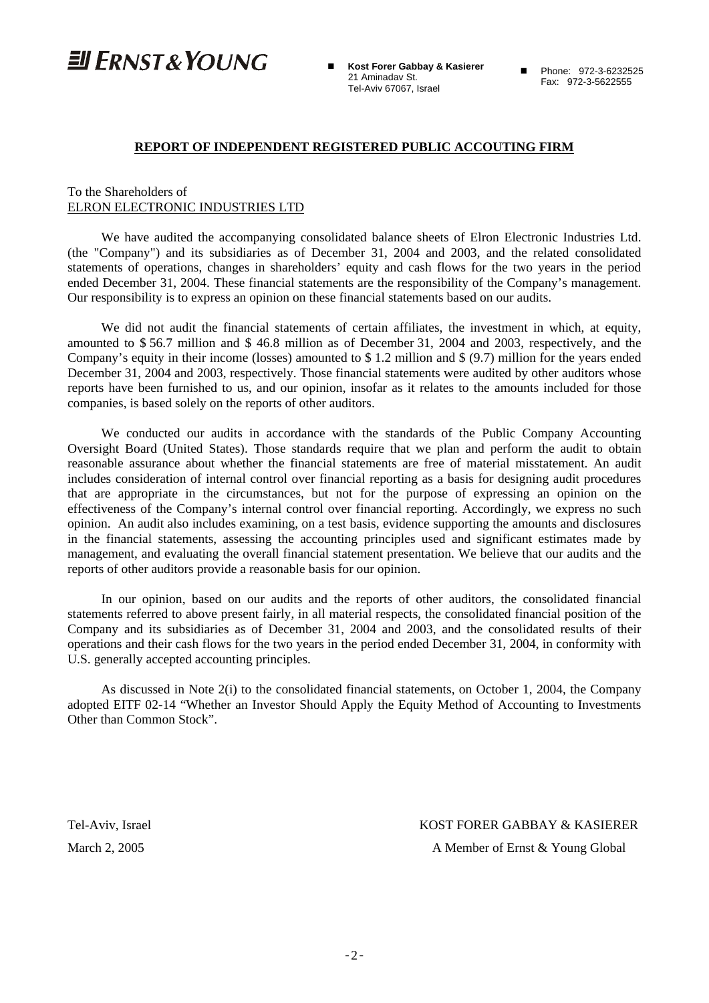# $E$  FRNST & YOUNG

 **Kost Forer Gabbay & Kasierer** 21 Aminadav St. Tel-Aviv 67067, Israel

Phone: 972-3-6232525 Fax: 972-3-5622555

#### **REPORT OF INDEPENDENT REGISTERED PUBLIC ACCOUTING FIRM**

#### To the Shareholders of ELRON ELECTRONIC INDUSTRIES LTD

We have audited the accompanying consolidated balance sheets of Elron Electronic Industries Ltd. (the "Company") and its subsidiaries as of December 31, 2004 and 2003, and the related consolidated statements of operations, changes in shareholders' equity and cash flows for the two years in the period ended December 31, 2004. These financial statements are the responsibility of the Company's management. Our responsibility is to express an opinion on these financial statements based on our audits.

We did not audit the financial statements of certain affiliates, the investment in which, at equity, amounted to \$ 56.7 million and \$ 46.8 million as of December 31, 2004 and 2003, respectively, and the Company's equity in their income (losses) amounted to \$ 1.2 million and \$ (9.7) million for the years ended December 31, 2004 and 2003, respectively. Those financial statements were audited by other auditors whose reports have been furnished to us, and our opinion, insofar as it relates to the amounts included for those companies, is based solely on the reports of other auditors.

We conducted our audits in accordance with the standards of the Public Company Accounting Oversight Board (United States). Those standards require that we plan and perform the audit to obtain reasonable assurance about whether the financial statements are free of material misstatement. An audit includes consideration of internal control over financial reporting as a basis for designing audit procedures that are appropriate in the circumstances, but not for the purpose of expressing an opinion on the effectiveness of the Company's internal control over financial reporting. Accordingly, we express no such opinion. An audit also includes examining, on a test basis, evidence supporting the amounts and disclosures in the financial statements, assessing the accounting principles used and significant estimates made by management, and evaluating the overall financial statement presentation. We believe that our audits and the reports of other auditors provide a reasonable basis for our opinion.

In our opinion, based on our audits and the reports of other auditors, the consolidated financial statements referred to above present fairly, in all material respects, the consolidated financial position of the Company and its subsidiaries as of December 31, 2004 and 2003, and the consolidated results of their operations and their cash flows for the two years in the period ended December 31, 2004, in conformity with U.S. generally accepted accounting principles.

As discussed in Note 2(i) to the consolidated financial statements, on October 1, 2004, the Company adopted EITF 02-14 "Whether an Investor Should Apply the Equity Method of Accounting to Investments Other than Common Stock".

Tel-Aviv, Israel KOST FORER GABBAY & KASIERER March 2, 2005 **A Member of Ernst & Young Global**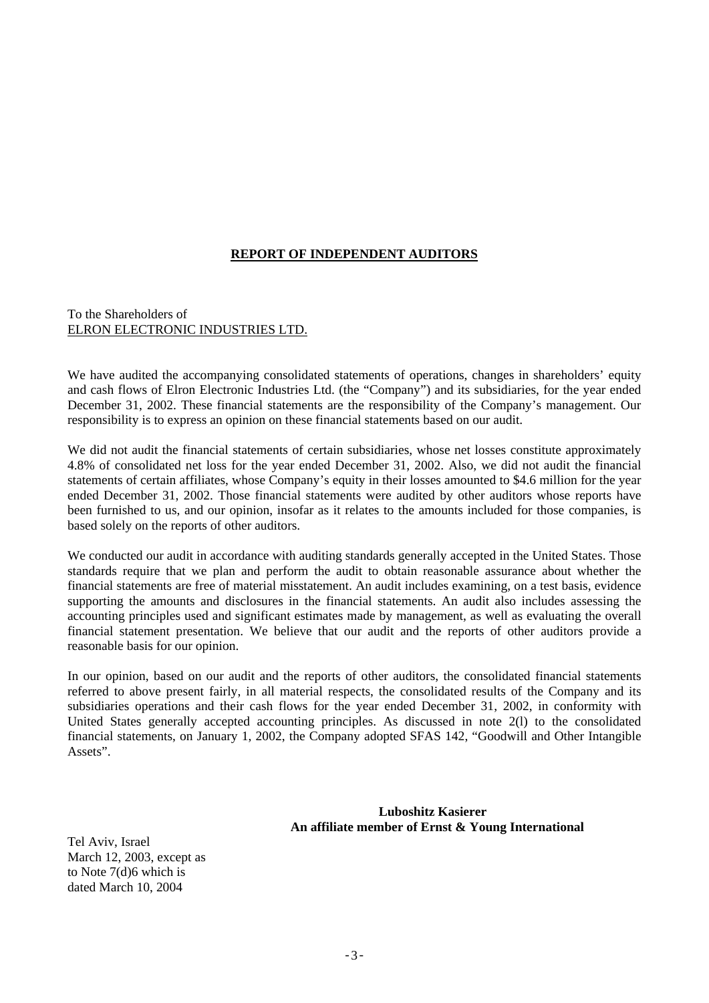## **REPORT OF INDEPENDENT AUDITORS**

### To the Shareholders of ELRON ELECTRONIC INDUSTRIES LTD.

We have audited the accompanying consolidated statements of operations, changes in shareholders' equity and cash flows of Elron Electronic Industries Ltd. (the "Company") and its subsidiaries, for the year ended December 31, 2002. These financial statements are the responsibility of the Company's management. Our responsibility is to express an opinion on these financial statements based on our audit.

We did not audit the financial statements of certain subsidiaries, whose net losses constitute approximately 4.8% of consolidated net loss for the year ended December 31, 2002. Also, we did not audit the financial statements of certain affiliates, whose Company's equity in their losses amounted to \$4.6 million for the year ended December 31, 2002. Those financial statements were audited by other auditors whose reports have been furnished to us, and our opinion, insofar as it relates to the amounts included for those companies, is based solely on the reports of other auditors.

We conducted our audit in accordance with auditing standards generally accepted in the United States. Those standards require that we plan and perform the audit to obtain reasonable assurance about whether the financial statements are free of material misstatement. An audit includes examining, on a test basis, evidence supporting the amounts and disclosures in the financial statements. An audit also includes assessing the accounting principles used and significant estimates made by management, as well as evaluating the overall financial statement presentation. We believe that our audit and the reports of other auditors provide a reasonable basis for our opinion.

In our opinion, based on our audit and the reports of other auditors, the consolidated financial statements referred to above present fairly, in all material respects, the consolidated results of the Company and its subsidiaries operations and their cash flows for the year ended December 31, 2002, in conformity with United States generally accepted accounting principles. As discussed in note 2(l) to the consolidated financial statements, on January 1, 2002, the Company adopted SFAS 142, "Goodwill and Other Intangible Assets".

## **Luboshitz Kasierer An affiliate member of Ernst & Young International**

Tel Aviv, Israel March 12, 2003, except as to Note 7(d)6 which is dated March 10, 2004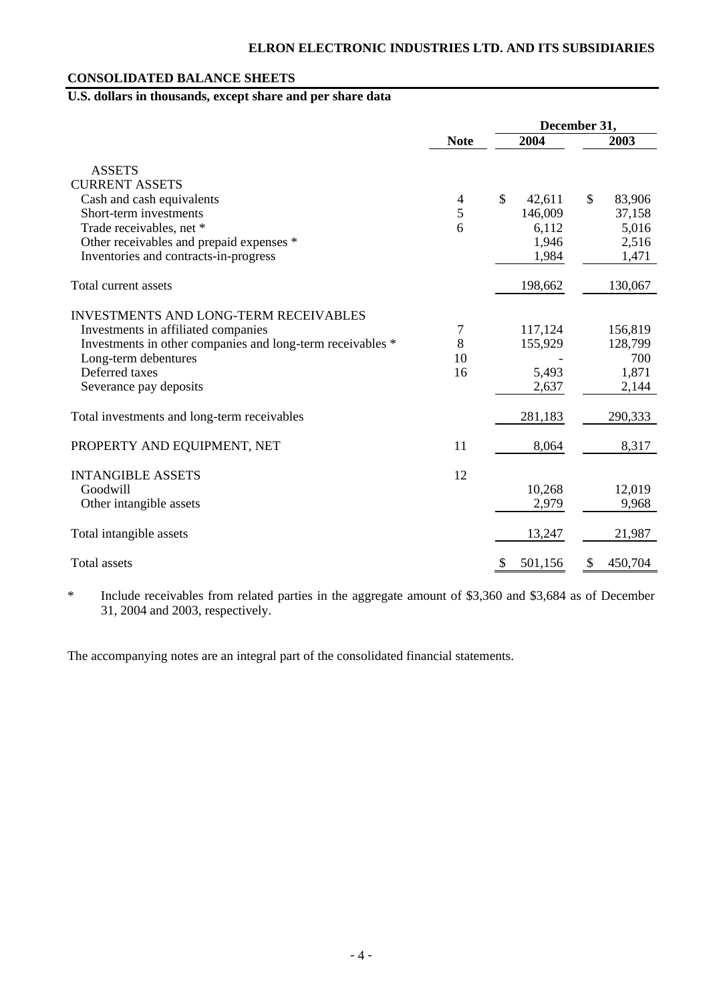## **CONSOLIDATED BALANCE SHEETS**

## **U.S. dollars in thousands, except share and per share data**

|                                                            |                | December 31,  |                |  |  |  |  |
|------------------------------------------------------------|----------------|---------------|----------------|--|--|--|--|
|                                                            | <b>Note</b>    | 2004          | 2003           |  |  |  |  |
| <b>ASSETS</b><br><b>CURRENT ASSETS</b>                     |                |               |                |  |  |  |  |
| Cash and cash equivalents                                  | $\overline{4}$ | \$<br>42,611  | \$<br>83,906   |  |  |  |  |
| Short-term investments                                     | 5              | 146,009       | 37,158         |  |  |  |  |
| Trade receivables, net *                                   | 6              | 6,112         | 5,016          |  |  |  |  |
| Other receivables and prepaid expenses *                   |                | 1,946         | 2,516          |  |  |  |  |
| Inventories and contracts-in-progress                      |                | 1,984         | 1,471          |  |  |  |  |
| Total current assets                                       |                | 198,662       | 130,067        |  |  |  |  |
|                                                            |                |               |                |  |  |  |  |
| <b>INVESTMENTS AND LONG-TERM RECEIVABLES</b>               |                |               |                |  |  |  |  |
| Investments in affiliated companies                        | 7<br>8         | 117,124       | 156,819        |  |  |  |  |
| Investments in other companies and long-term receivables * | 10             | 155,929       | 128,799<br>700 |  |  |  |  |
| Long-term debentures<br>Deferred taxes                     | 16             | 5,493         | 1,871          |  |  |  |  |
| Severance pay deposits                                     |                |               | 2,144          |  |  |  |  |
|                                                            |                | 2,637         |                |  |  |  |  |
| Total investments and long-term receivables                |                | 281,183       | 290,333        |  |  |  |  |
| PROPERTY AND EQUIPMENT, NET                                | 11             | 8,064         | 8,317          |  |  |  |  |
|                                                            |                |               |                |  |  |  |  |
| <b>INTANGIBLE ASSETS</b>                                   | 12             |               |                |  |  |  |  |
| Goodwill                                                   |                | 10,268        | 12,019         |  |  |  |  |
| Other intangible assets                                    |                | 2,979         | 9,968          |  |  |  |  |
| Total intangible assets                                    |                | 13,247        | 21,987         |  |  |  |  |
| Total assets                                               |                | 501,156<br>\$ | \$<br>450,704  |  |  |  |  |

\* Include receivables from related parties in the aggregate amount of \$3,360 and \$3,684 as of December 31, 2004 and 2003, respectively.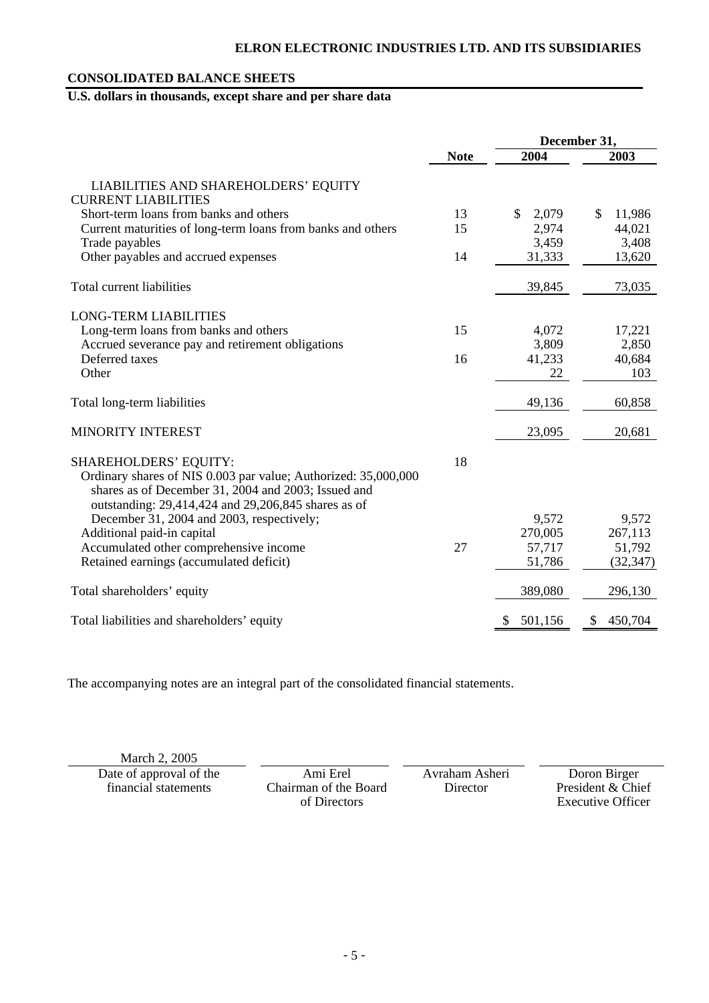## **ELRON ELECTRONIC INDUSTRIES LTD. AND ITS SUBSIDIARIES**

## **CONSOLIDATED BALANCE SHEETS**

## **U.S. dollars in thousands, except share and per share data**

|                                                                                                                                                                              |             | December 31,  |               |  |  |  |  |
|------------------------------------------------------------------------------------------------------------------------------------------------------------------------------|-------------|---------------|---------------|--|--|--|--|
|                                                                                                                                                                              | <b>Note</b> | 2004          | 2003          |  |  |  |  |
| LIABILITIES AND SHAREHOLDERS' EQUITY<br><b>CURRENT LIABILITIES</b>                                                                                                           |             |               |               |  |  |  |  |
| Short-term loans from banks and others                                                                                                                                       | 13          | \$<br>2,079   | \$<br>11,986  |  |  |  |  |
| Current maturities of long-term loans from banks and others                                                                                                                  | 15          | 2,974         | 44,021        |  |  |  |  |
| Trade payables                                                                                                                                                               |             | 3,459         | 3,408         |  |  |  |  |
| Other payables and accrued expenses                                                                                                                                          | 14          | 31,333        | 13,620        |  |  |  |  |
| Total current liabilities                                                                                                                                                    |             | 39,845        | 73,035        |  |  |  |  |
| <b>LONG-TERM LIABILITIES</b>                                                                                                                                                 |             |               |               |  |  |  |  |
| Long-term loans from banks and others                                                                                                                                        | 15          | 4,072         | 17,221        |  |  |  |  |
| Accrued severance pay and retirement obligations                                                                                                                             |             | 3,809         | 2,850         |  |  |  |  |
| Deferred taxes                                                                                                                                                               | 16          | 41,233        | 40,684        |  |  |  |  |
| Other                                                                                                                                                                        |             | 22            | 103           |  |  |  |  |
| Total long-term liabilities                                                                                                                                                  |             | 49,136        | 60,858        |  |  |  |  |
| <b>MINORITY INTEREST</b>                                                                                                                                                     |             | 23,095        | 20,681        |  |  |  |  |
| <b>SHAREHOLDERS' EQUITY:</b>                                                                                                                                                 | 18          |               |               |  |  |  |  |
| Ordinary shares of NIS 0.003 par value; Authorized: 35,000,000<br>shares as of December 31, 2004 and 2003; Issued and<br>outstanding: 29,414,424 and 29,206,845 shares as of |             |               |               |  |  |  |  |
| December 31, 2004 and 2003, respectively;                                                                                                                                    |             | 9,572         | 9,572         |  |  |  |  |
| Additional paid-in capital                                                                                                                                                   |             | 270,005       | 267,113       |  |  |  |  |
| Accumulated other comprehensive income                                                                                                                                       | 27          | 57,717        | 51,792        |  |  |  |  |
| Retained earnings (accumulated deficit)                                                                                                                                      |             | 51,786        | (32, 347)     |  |  |  |  |
| Total shareholders' equity                                                                                                                                                   |             | 389,080       | 296,130       |  |  |  |  |
| Total liabilities and shareholders' equity                                                                                                                                   |             | \$<br>501,156 | \$<br>450,704 |  |  |  |  |

The accompanying notes are an integral part of the consolidated financial statements.

March 2, 2005

Date of approval of the Ami Erel Avraham Asheri Doron Birger<br>
Thancial statements Chairman of the Board Director President & Chi Chairman of the Board of Directors

Director President & Chief Executive Officer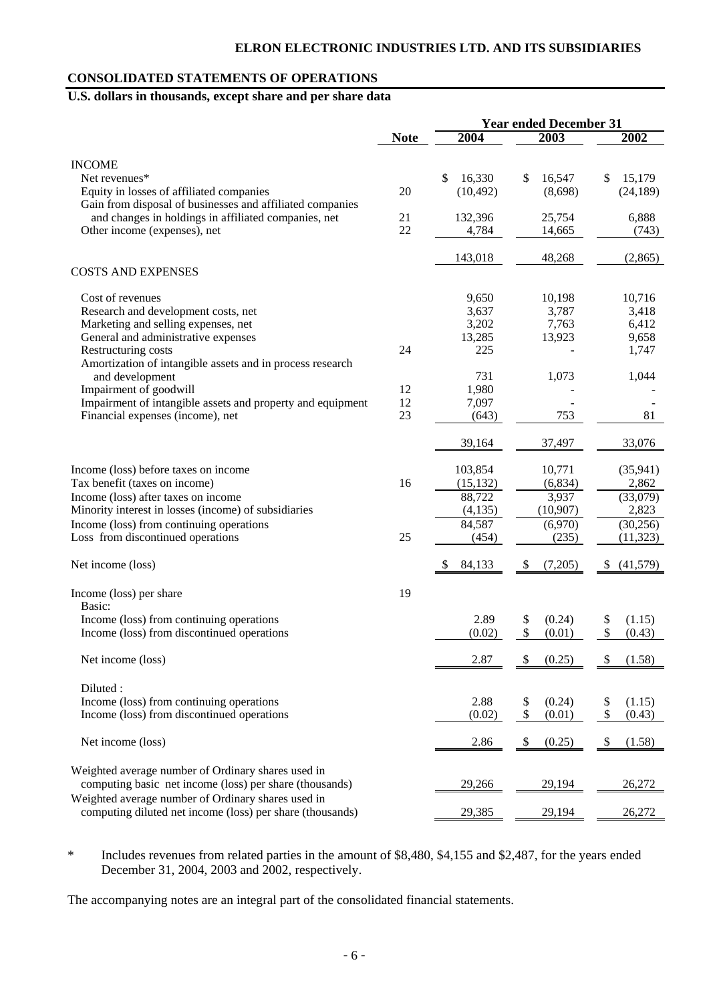## **CONSOLIDATED STATEMENTS OF OPERATIONS**

## **U.S. dollars in thousands, except share and per share data**

|                                                                                                                 |             | <b>Year ended December 31</b> |                         |                     |
|-----------------------------------------------------------------------------------------------------------------|-------------|-------------------------------|-------------------------|---------------------|
|                                                                                                                 | <b>Note</b> | 2004                          | 2003                    | 2002                |
|                                                                                                                 |             |                               |                         |                     |
| <b>INCOME</b>                                                                                                   |             |                               |                         |                     |
| Net revenues*<br>Equity in losses of affiliated companies                                                       | 20          | \$<br>16,330<br>(10, 492)     | 16,547<br>\$<br>(8,698) | 15,179<br>(24, 189) |
| Gain from disposal of businesses and affiliated companies                                                       |             |                               |                         |                     |
| and changes in holdings in affiliated companies, net                                                            | 21          | 132,396                       | 25,754                  | 6,888               |
| Other income (expenses), net                                                                                    | 22          | 4,784                         | 14,665                  | (743)               |
|                                                                                                                 |             |                               |                         |                     |
|                                                                                                                 |             | 143,018                       | 48,268                  | (2,865)             |
| <b>COSTS AND EXPENSES</b>                                                                                       |             |                               |                         |                     |
| Cost of revenues                                                                                                |             | 9,650                         | 10,198                  | 10,716              |
| Research and development costs, net                                                                             |             | 3,637                         | 3,787                   | 3,418               |
| Marketing and selling expenses, net                                                                             |             | 3,202                         | 7,763                   | 6,412               |
| General and administrative expenses                                                                             |             | 13,285                        | 13,923                  | 9,658               |
| Restructuring costs                                                                                             | 24          | 225                           |                         | 1,747               |
| Amortization of intangible assets and in process research                                                       |             |                               |                         |                     |
| and development                                                                                                 |             | 731                           | 1,073                   | 1,044               |
| Impairment of goodwill                                                                                          | 12<br>12    | 1,980                         |                         |                     |
| Impairment of intangible assets and property and equipment<br>Financial expenses (income), net                  | 23          | 7,097<br>(643)                | 753                     | 81                  |
|                                                                                                                 |             |                               |                         |                     |
|                                                                                                                 |             | 39,164                        | 37,497                  | 33,076              |
| Income (loss) before taxes on income                                                                            |             | 103,854                       | 10,771                  | (35, 941)           |
| Tax benefit (taxes on income)                                                                                   | 16          | (15, 132)                     | (6,834)                 | 2,862               |
| Income (loss) after taxes on income                                                                             |             | 88,722                        | 3,937                   | (33,079)            |
| Minority interest in losses (income) of subsidiaries                                                            |             | (4, 135)                      | (10, 907)               | 2,823               |
| Income (loss) from continuing operations                                                                        |             | 84,587                        | (6,970)                 | (30, 256)           |
| Loss from discontinued operations                                                                               | 25          | (454)                         | (235)                   | (11, 323)           |
|                                                                                                                 |             |                               |                         |                     |
| Net income (loss)                                                                                               |             | -S<br>84,133                  | (7,205)<br>\$           | \$<br>(41,579)      |
| Income (loss) per share                                                                                         | 19          |                               |                         |                     |
| Basic:                                                                                                          |             |                               |                         |                     |
| Income (loss) from continuing operations                                                                        |             | 2.89                          | \$<br>(0.24)            | \$<br>(1.15)        |
| Income (loss) from discontinued operations                                                                      |             | (0.02)                        | \$<br>(0.01)            | \$<br>(0.43)        |
| Net income (loss)                                                                                               |             | 2.87                          | (0.25)<br>\$            | \$<br>(1.58)        |
| Diluted:                                                                                                        |             |                               |                         |                     |
| Income (loss) from continuing operations                                                                        |             | 2.88                          | \$<br>(0.24)            | \$<br>(1.15)        |
| Income (loss) from discontinued operations                                                                      |             | (0.02)                        | \$<br>(0.01)            | \$<br>(0.43)        |
|                                                                                                                 |             |                               |                         |                     |
| Net income (loss)                                                                                               |             | 2.86                          | \$<br>(0.25)            | \$<br>(1.58)        |
| Weighted average number of Ordinary shares used in                                                              |             |                               |                         |                     |
| computing basic net income (loss) per share (thousands)                                                         |             | 29,266                        | 29,194                  | 26,272              |
| Weighted average number of Ordinary shares used in<br>computing diluted net income (loss) per share (thousands) |             | 29,385                        | 29,194                  | 26,272              |
|                                                                                                                 |             |                               |                         |                     |

\* Includes revenues from related parties in the amount of \$8,480, \$4,155 and \$2,487, for the years ended December 31, 2004, 2003 and 2002, respectively.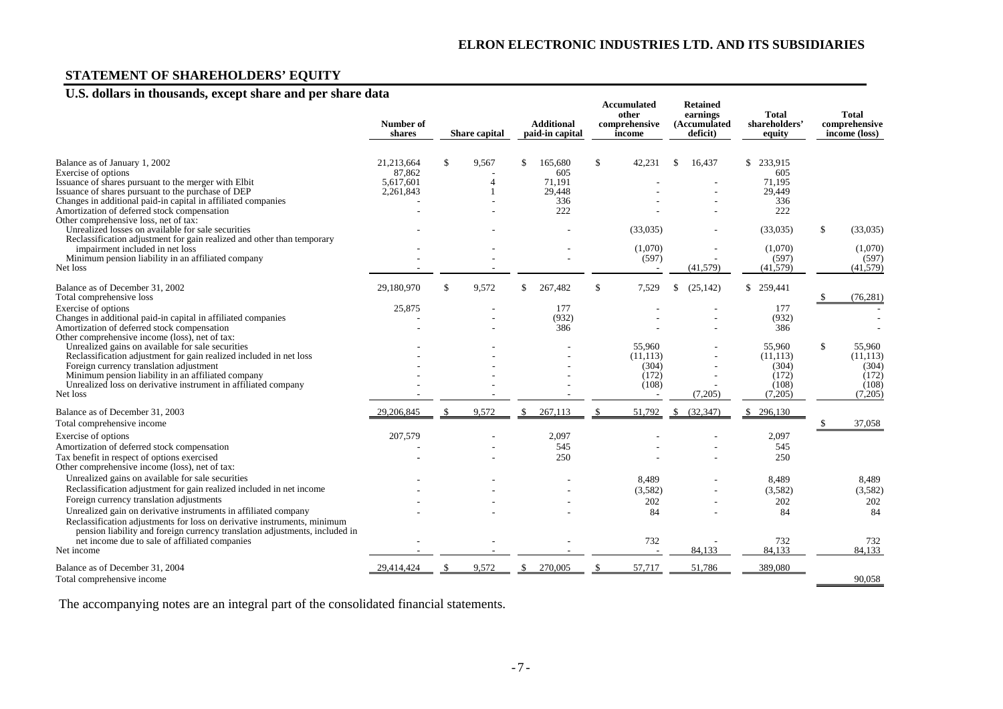## **STATEMENT OF SHAREHOLDERS' EQUITY**

## **U.S. dollars in thousands, except share and per share data**

|                                                                                                                                                                                                                                                                                                                             | Number of<br>shares                            |    | Share capital | <b>Additional</b><br>paid-in capital                   | <b>Accumulated</b><br>other<br>comprehensive<br>income |    | <b>Retained</b><br>earnings<br>(Accumulated<br>deficit) | Total<br>shareholders'<br>equity                          |    | Total<br>comprehensive<br>income (loss)                   |
|-----------------------------------------------------------------------------------------------------------------------------------------------------------------------------------------------------------------------------------------------------------------------------------------------------------------------------|------------------------------------------------|----|---------------|--------------------------------------------------------|--------------------------------------------------------|----|---------------------------------------------------------|-----------------------------------------------------------|----|-----------------------------------------------------------|
| Balance as of January 1, 2002<br>Exercise of options<br>Issuance of shares pursuant to the merger with Elbit<br>Issuance of shares pursuant to the purchase of DEP<br>Changes in additional paid-in capital in affiliated companies<br>Amortization of deferred stock compensation<br>Other comprehensive loss, net of tax: | 21,213,664<br>87,862<br>5,617,601<br>2,261,843 | \$ | 9,567         | \$<br>165,680<br>605<br>71,191<br>29,448<br>336<br>222 | \$<br>42,231                                           | S. | 16,437                                                  | \$<br>233,915<br>605<br>71,195<br>29,449<br>336<br>222    |    |                                                           |
| Unrealized losses on available for sale securities<br>Reclassification adjustment for gain realized and other than temporary<br>impairment included in net loss                                                                                                                                                             |                                                |    |               |                                                        | (33,035)<br>(1,070)                                    |    |                                                         | (33,035)<br>(1,070)                                       | S. | (33,035)<br>(1,070)                                       |
| Minimum pension liability in an affiliated company<br>Net loss                                                                                                                                                                                                                                                              |                                                |    |               |                                                        | (597)                                                  |    | (41, 579)                                               | (597)<br>(41,579)                                         |    | (597)<br>(41, 579)                                        |
| Balance as of December 31, 2002<br>Total comprehensive loss                                                                                                                                                                                                                                                                 | 29,180,970                                     | \$ | 9,572         | \$<br>267,482                                          | \$<br>7,529                                            | -S | (25, 142)                                               | \$ 259,441                                                |    | (76, 281)                                                 |
| Exercise of options<br>Changes in additional paid-in capital in affiliated companies<br>Amortization of deferred stock compensation<br>Other comprehensive income (loss), net of tax:                                                                                                                                       | 25,875                                         |    |               | 177<br>(932)<br>386                                    |                                                        |    |                                                         | 177<br>(932)<br>386                                       |    |                                                           |
| Unrealized gains on available for sale securities<br>Reclassification adjustment for gain realized included in net loss<br>Foreign currency translation adjustment<br>Minimum pension liability in an affiliated company<br>Unrealized loss on derivative instrument in affiliated company<br>Net loss                      |                                                |    |               |                                                        | 55.960<br>(11.113)<br>(304)<br>(172)<br>(108)          |    | (7,205)                                                 | 55,960<br>(11, 113)<br>(304)<br>(172)<br>(108)<br>(7,205) | \$ | 55,960<br>(11, 113)<br>(304)<br>(172)<br>(108)<br>(7,205) |
| Balance as of December 31, 2003                                                                                                                                                                                                                                                                                             | 29,206,845                                     | -S | 9,572         | \$<br>267,113                                          | 51,792                                                 |    | \$ (32,347)                                             | \$296,130                                                 |    |                                                           |
| Total comprehensive income<br>Exercise of options<br>Amortization of deferred stock compensation<br>Tax benefit in respect of options exercised<br>Other comprehensive income (loss), net of tax:                                                                                                                           | 207,579                                        |    |               | 2,097<br>545<br>250                                    |                                                        |    |                                                         | 2,097<br>545<br>250                                       |    | 37,058                                                    |
| Unrealized gains on available for sale securities<br>Reclassification adjustment for gain realized included in net income<br>Foreign currency translation adjustments                                                                                                                                                       |                                                |    |               |                                                        | 8,489<br>(3,582)<br>202                                |    |                                                         | 8,489<br>(3,582)<br>202                                   |    | 8,489<br>(3,582)<br>202                                   |
| Unrealized gain on derivative instruments in affiliated company<br>Reclassification adjustments for loss on derivative instruments, minimum<br>pension liability and foreign currency translation adjustments, included in<br>net income due to sale of affiliated companies<br>Net income                                  |                                                |    |               |                                                        | 84<br>732                                              |    | 84.133                                                  | 84<br>732<br>84,133                                       |    | 84<br>732<br>84.133                                       |
| Balance as of December 31, 2004<br>Total comprehensive income                                                                                                                                                                                                                                                               | 29,414,424                                     |    | 9,572         | 270,005                                                | 57,717                                                 |    | 51,786                                                  | 389,080                                                   |    | 90.058                                                    |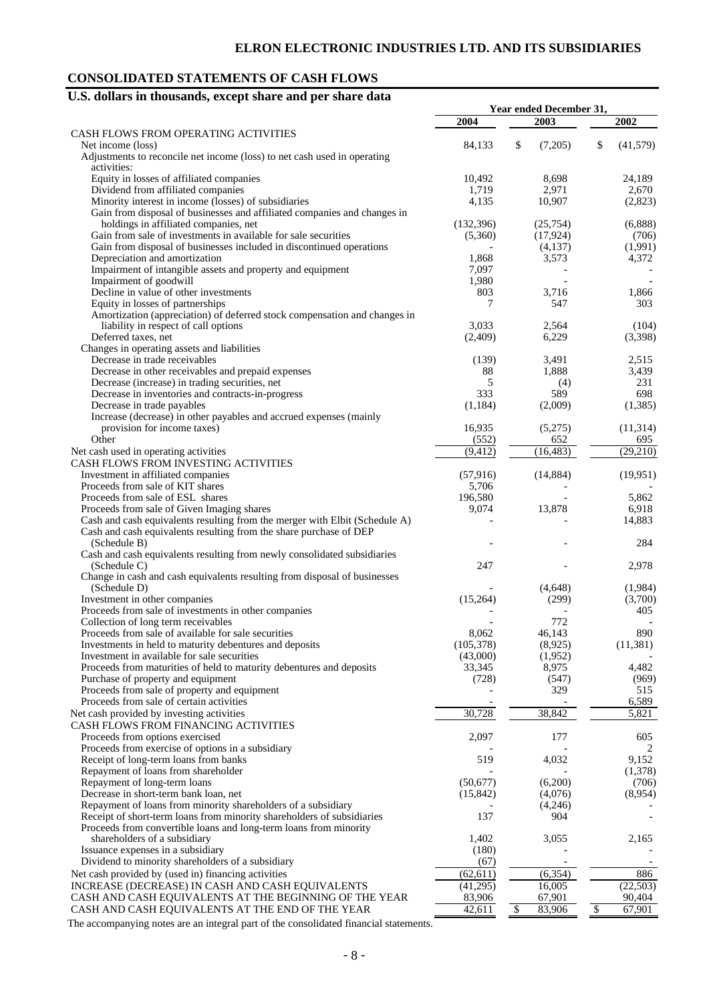## **CONSOLIDATED STATEMENTS OF CASH FLOWS**

## **U.S. dollars in thousands, except share and per share data**

|                                                                                                     |                    | Year ended December 31, |                |
|-----------------------------------------------------------------------------------------------------|--------------------|-------------------------|----------------|
|                                                                                                     | 2004               | 2003                    | 2002           |
| CASH FLOWS FROM OPERATING ACTIVITIES                                                                |                    |                         |                |
| Net income (loss)                                                                                   | 84,133             | \$<br>(7,205)           | \$<br>(41,579) |
| Adjustments to reconcile net income (loss) to net cash used in operating                            |                    |                         |                |
| activities:                                                                                         |                    |                         |                |
| Equity in losses of affiliated companies                                                            | 10,492             | 8,698                   | 24,189         |
| Dividend from affiliated companies                                                                  | 1,719              | 2,971                   | 2,670          |
| Minority interest in income (losses) of subsidiaries                                                | 4,135              | 10,907                  | (2,823)        |
| Gain from disposal of businesses and affiliated companies and changes in                            |                    |                         |                |
| holdings in affiliated companies, net                                                               | (132, 396)         | (25, 754)               | (6,888)        |
| Gain from sale of investments in available for sale securities                                      | (5,360)            | (17, 924)               | (706)          |
| Gain from disposal of businesses included in discontinued operations                                |                    | (4,137)                 | (1,991)        |
| Depreciation and amortization                                                                       | 1,868              | 3,573                   | 4,372          |
| Impairment of intangible assets and property and equipment                                          | 7,097              |                         |                |
| Impairment of goodwill                                                                              | 1,980              |                         |                |
| Decline in value of other investments                                                               | 803                | 3,716                   | 1,866          |
| Equity in losses of partnerships                                                                    | 7                  | 547                     | 303            |
| Amortization (appreciation) of deferred stock compensation and changes in                           |                    |                         |                |
| liability in respect of call options                                                                | 3,033              | 2,564                   | (104)          |
| Deferred taxes, net                                                                                 | (2,409)            | 6,229                   | (3,398)        |
| Changes in operating assets and liabilities                                                         |                    |                         |                |
| Decrease in trade receivables                                                                       | (139)              | 3,491                   | 2,515          |
| Decrease in other receivables and prepaid expenses                                                  | 88<br>5            | 1,888                   | 3,439<br>231   |
| Decrease (increase) in trading securities, net<br>Decrease in inventories and contracts-in-progress | 333                | (4)<br>589              | 698            |
| Decrease in trade payables                                                                          | (1, 184)           |                         | (1,385)        |
| Increase (decrease) in other payables and accrued expenses (mainly                                  |                    | (2,009)                 |                |
| provision for income taxes)                                                                         | 16,935             | (5,275)                 | (11,314)       |
| Other                                                                                               | (552)              | 652                     | 695            |
|                                                                                                     | (9, 412)           | (16, 483)               | (29,210)       |
| Net cash used in operating activities<br>CASH FLOWS FROM INVESTING ACTIVITIES                       |                    |                         |                |
|                                                                                                     |                    |                         |                |
| Investment in affiliated companies<br>Proceeds from sale of KIT shares                              | (57, 916)<br>5,706 | (14, 884)               | (19, 951)      |
| Proceeds from sale of ESL shares                                                                    | 196,580            |                         | 5,862          |
| Proceeds from sale of Given Imaging shares                                                          | 9,074              | 13,878                  | 6,918          |
| Cash and cash equivalents resulting from the merger with Elbit (Schedule A)                         |                    |                         | 14,883         |
| Cash and cash equivalents resulting from the share purchase of DEP                                  |                    |                         |                |
| (Schedule B)                                                                                        |                    |                         | 284            |
| Cash and cash equivalents resulting from newly consolidated subsidiaries                            |                    |                         |                |
| (Schedule C)                                                                                        | 247                |                         | 2,978          |
| Change in cash and cash equivalents resulting from disposal of businesses                           |                    |                         |                |
| (Schedule D)                                                                                        |                    | (4,648)                 | (1,984)        |
| Investment in other companies                                                                       | (15,264)           | (299)                   | (3,700)        |
| Proceeds from sale of investments in other companies                                                |                    |                         | 405            |
| Collection of long term receivables                                                                 |                    | 772                     |                |
| Proceeds from sale of available for sale securities                                                 | 8,062              | 46,143                  | 890            |
| Investments in held to maturity debentures and deposits                                             | (105, 378)         | (8,925)                 | (11, 381)      |
| Investment in available for sale securities                                                         | (43,000)           | (1,952)                 |                |
| Proceeds from maturities of held to maturity debentures and deposits                                | 33,345             | 8,975                   | 4,482          |
| Purchase of property and equipment                                                                  | (728)              | (547)                   | (969)          |
| Proceeds from sale of property and equipment                                                        |                    | 329                     | 515            |
| Proceeds from sale of certain activities                                                            |                    |                         | 6,589          |
| Net cash provided by investing activities                                                           | 30,728             | 38,842                  | 5,821          |
| CASH FLOWS FROM FINANCING ACTIVITIES                                                                |                    |                         |                |
| Proceeds from options exercised                                                                     | 2,097              | 177                     | 605            |
| Proceeds from exercise of options in a subsidiary                                                   |                    |                         |                |
| Receipt of long-term loans from banks                                                               | 519                | 4,032                   | 9,152          |
| Repayment of loans from shareholder                                                                 |                    |                         | (1,378)        |
| Repayment of long-term loans                                                                        | (50,677)           | (6,200)                 | (706)          |
| Decrease in short-term bank loan, net                                                               | (15, 842)          | (4,076)                 | (8,954)        |
| Repayment of loans from minority shareholders of a subsidiary                                       |                    | (4,246)                 |                |
| Receipt of short-term loans from minority shareholders of subsidiaries                              | 137                | 904                     |                |
| Proceeds from convertible loans and long-term loans from minority                                   |                    |                         |                |
| shareholders of a subsidiary                                                                        | 1,402              | 3,055                   | 2,165          |
| Issuance expenses in a subsidiary                                                                   | (180)              |                         |                |
| Dividend to minority shareholders of a subsidiary                                                   | (67)               |                         |                |
| Net cash provided by (used in) financing activities                                                 | (62, 611)          | (6, 354)                | 886            |
| INCREASE (DECREASE) IN CASH AND CASH EQUIVALENTS                                                    | (41,295)           | 16,005                  | (22,503)       |
| CASH AND CASH EQUIVALENTS AT THE BEGINNING OF THE YEAR                                              | 83,906             | 67,901                  | 90,404         |
| CASH AND CASH EQUIVALENTS AT THE END OF THE YEAR                                                    | 42,611             | \$<br>83,906            | \$<br>67,901   |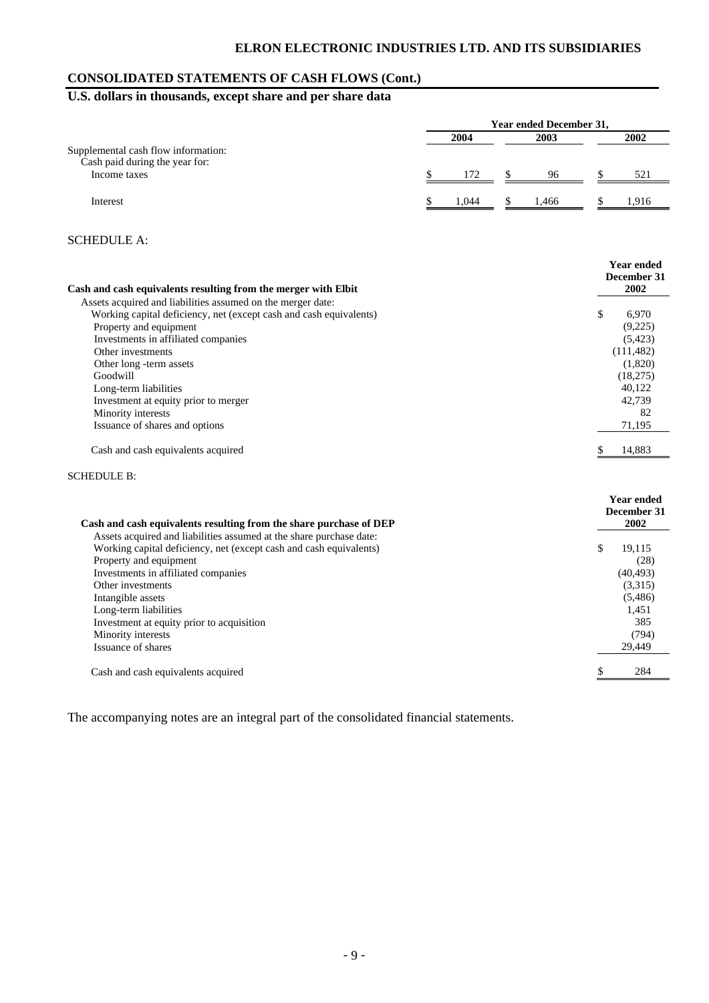## **ELRON ELECTRONIC INDUSTRIES LTD. AND ITS SUBSIDIARIES**

## **CONSOLIDATED STATEMENTS OF CASH FLOWS (Cont.)**

## **U.S. dollars in thousands, except share and per share data**

|                                                                    | <b>Year ended December 31,</b> |       |    |       |    |                                          |
|--------------------------------------------------------------------|--------------------------------|-------|----|-------|----|------------------------------------------|
|                                                                    |                                | 2004  |    | 2003  |    | 2002                                     |
| Supplemental cash flow information:                                |                                |       |    |       |    |                                          |
| Cash paid during the year for:                                     |                                |       |    |       |    |                                          |
| Income taxes                                                       | S                              | 172   | \$ | 96    | \$ | 521                                      |
| Interest                                                           |                                | 1,044 | \$ | 1,466 | \$ | 1,916                                    |
| <b>SCHEDULE A:</b>                                                 |                                |       |    |       |    |                                          |
| Cash and cash equivalents resulting from the merger with Elbit     |                                |       |    |       |    | <b>Year ended</b><br>December 31<br>2002 |
| Assets acquired and liabilities assumed on the merger date:        |                                |       |    |       |    |                                          |
| Working capital deficiency, net (except cash and cash equivalents) |                                |       |    |       | \$ | 6,970                                    |
| Property and equipment                                             |                                |       |    |       |    | (9,225)                                  |
| Investments in affiliated companies                                |                                |       |    |       |    | (5, 423)                                 |
| Other investments                                                  |                                |       |    |       |    | (111, 482)                               |
| Other long -term assets                                            |                                |       |    |       |    | (1,820)                                  |
| Goodwill                                                           |                                |       |    |       |    | (18,275)                                 |
| Long-term liabilities                                              |                                |       |    |       |    | 40,122                                   |
| Investment at equity prior to merger                               |                                |       |    |       |    | 42,739                                   |
| Minority interests                                                 |                                |       |    |       |    | 82                                       |
| Issuance of shares and options                                     |                                |       |    |       |    | 71,195                                   |

Cash and cash equivalents acquired  $\qquad$  14,883

#### SCHEDULE B:

| Cash and cash equivalents resulting from the share purchase of DEP  | <b>Year ended</b><br>December 31<br>2002 |
|---------------------------------------------------------------------|------------------------------------------|
| Assets acquired and liabilities assumed at the share purchase date: |                                          |
| Working capital deficiency, net (except cash and cash equivalents)  | \$<br>19,115                             |
| Property and equipment                                              | (28)                                     |
| Investments in affiliated companies                                 | (40, 493)                                |
| Other investments                                                   | (3,315)                                  |
| Intangible assets                                                   | (5,486)                                  |
| Long-term liabilities                                               | 1.451                                    |
| Investment at equity prior to acquisition                           | 385                                      |
| Minority interests                                                  | (794)                                    |
| Issuance of shares                                                  | 29,449                                   |
| Cash and cash equivalents acquired                                  | 284                                      |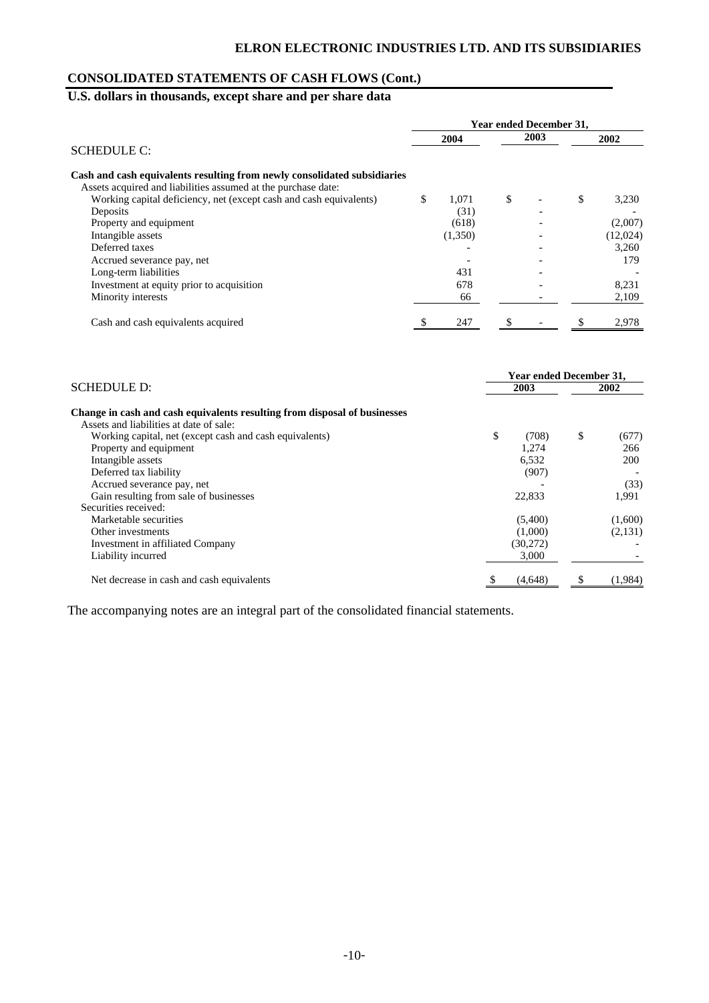## **CONSOLIDATED STATEMENTS OF CASH FLOWS (Cont.)**

## **U.S. dollars in thousands, except share and per share data**

|                                                                                                                                           | Year ended December 31, |         |    |      |    |          |
|-------------------------------------------------------------------------------------------------------------------------------------------|-------------------------|---------|----|------|----|----------|
|                                                                                                                                           |                         | 2004    |    | 2003 |    | 2002     |
| <b>SCHEDULE C:</b>                                                                                                                        |                         |         |    |      |    |          |
| Cash and cash equivalents resulting from newly consolidated subsidiaries<br>Assets acquired and liabilities assumed at the purchase date: |                         |         |    |      |    |          |
| Working capital deficiency, net (except cash and cash equivalents)                                                                        | \$                      | 1.071   | \$ |      | \$ | 3,230    |
| Deposits                                                                                                                                  |                         | (31)    |    |      |    |          |
| Property and equipment                                                                                                                    |                         | (618)   |    |      |    | (2,007)  |
| Intangible assets                                                                                                                         |                         | (1,350) |    |      |    | (12,024) |
| Deferred taxes                                                                                                                            |                         |         |    |      |    | 3.260    |
| Accrued severance pay, net                                                                                                                |                         |         |    |      |    | 179      |
| Long-term liabilities                                                                                                                     |                         | 431     |    |      |    |          |
| Investment at equity prior to acquisition                                                                                                 |                         | 678     |    |      |    | 8,231    |
| Minority interests                                                                                                                        |                         | 66      |    |      |    | 2,109    |
| Cash and cash equivalents acquired                                                                                                        |                         | 247     |    |      |    | 2,978    |
|                                                                                                                                           |                         |         |    |      |    |          |

|                                                                           |    | <b>Year ended December 31.</b> |      |         |  |  |  |
|---------------------------------------------------------------------------|----|--------------------------------|------|---------|--|--|--|
| <b>SCHEDULE D:</b>                                                        |    | 2003                           | 2002 |         |  |  |  |
| Change in cash and cash equivalents resulting from disposal of businesses |    |                                |      |         |  |  |  |
| Assets and liabilities at date of sale:                                   |    |                                |      |         |  |  |  |
| Working capital, net (except cash and cash equivalents)                   | \$ | (708)                          | \$   | (677)   |  |  |  |
| Property and equipment                                                    |    | 1,274                          |      | 266     |  |  |  |
| Intangible assets                                                         |    | 6,532                          |      | 200     |  |  |  |
| Deferred tax liability                                                    |    | (907)                          |      |         |  |  |  |
| Accrued severance pay, net                                                |    |                                |      | (33)    |  |  |  |
| Gain resulting from sale of businesses                                    |    | 22,833                         |      | 1,991   |  |  |  |
| Securities received:                                                      |    |                                |      |         |  |  |  |
| Marketable securities                                                     |    | (5,400)                        |      | (1,600) |  |  |  |
| Other investments                                                         |    | (1,000)                        |      | (2,131) |  |  |  |
| Investment in affiliated Company                                          |    | (30,272)                       |      |         |  |  |  |
| Liability incurred                                                        |    | 3,000                          |      |         |  |  |  |
| Net decrease in cash and cash equivalents                                 |    | (4,648)                        |      | (1,984) |  |  |  |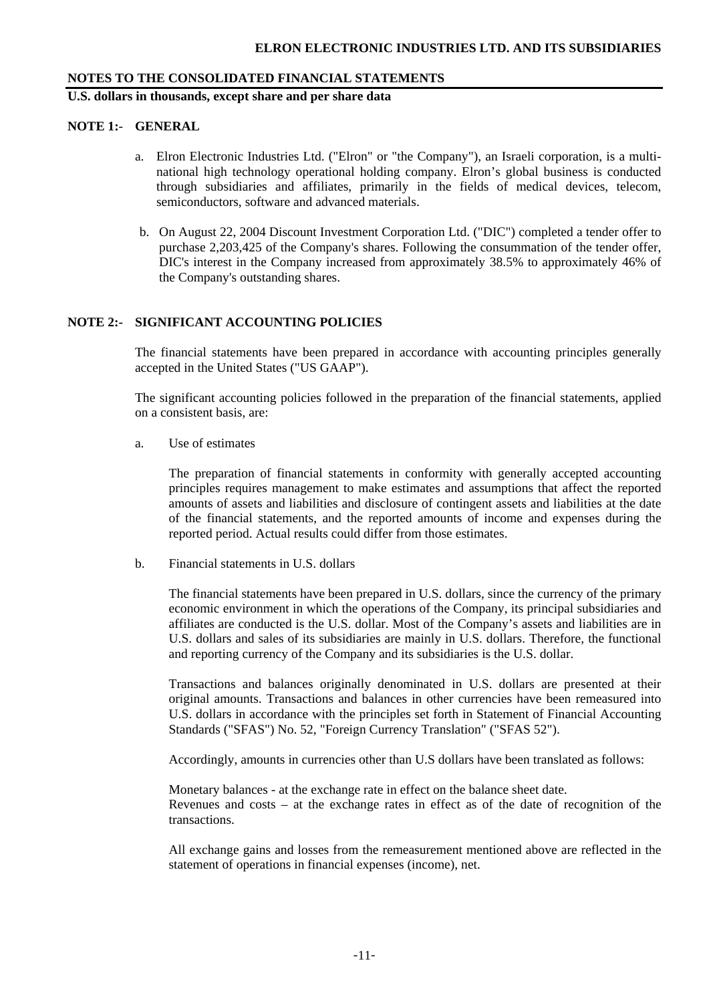**U.S. dollars in thousands, except share and per share data** 

## **NOTE 1:**- **GENERAL**

- a. Elron Electronic Industries Ltd. ("Elron" or "the Company"), an Israeli corporation, is a multinational high technology operational holding company. Elron's global business is conducted through subsidiaries and affiliates, primarily in the fields of medical devices, telecom, semiconductors, software and advanced materials.
- b. On August 22, 2004 Discount Investment Corporation Ltd. ("DIC") completed a tender offer to purchase 2,203,425 of the Company's shares. Following the consummation of the tender offer, DIC's interest in the Company increased from approximately 38.5% to approximately 46% of the Company's outstanding shares.

## **NOTE 2:- SIGNIFICANT ACCOUNTING POLICIES**

The financial statements have been prepared in accordance with accounting principles generally accepted in the United States ("US GAAP").

The significant accounting policies followed in the preparation of the financial statements, applied on a consistent basis, are:

a. Use of estimates

The preparation of financial statements in conformity with generally accepted accounting principles requires management to make estimates and assumptions that affect the reported amounts of assets and liabilities and disclosure of contingent assets and liabilities at the date of the financial statements, and the reported amounts of income and expenses during the reported period. Actual results could differ from those estimates.

b. Financial statements in U.S. dollars

The financial statements have been prepared in U.S. dollars, since the currency of the primary economic environment in which the operations of the Company, its principal subsidiaries and affiliates are conducted is the U.S. dollar. Most of the Company's assets and liabilities are in U.S. dollars and sales of its subsidiaries are mainly in U.S. dollars. Therefore, the functional and reporting currency of the Company and its subsidiaries is the U.S. dollar.

Transactions and balances originally denominated in U.S. dollars are presented at their original amounts. Transactions and balances in other currencies have been remeasured into U.S. dollars in accordance with the principles set forth in Statement of Financial Accounting Standards ("SFAS") No. 52, "Foreign Currency Translation" ("SFAS 52").

Accordingly, amounts in currencies other than U.S dollars have been translated as follows:

Monetary balances - at the exchange rate in effect on the balance sheet date. Revenues and costs – at the exchange rates in effect as of the date of recognition of the transactions.

All exchange gains and losses from the remeasurement mentioned above are reflected in the statement of operations in financial expenses (income), net.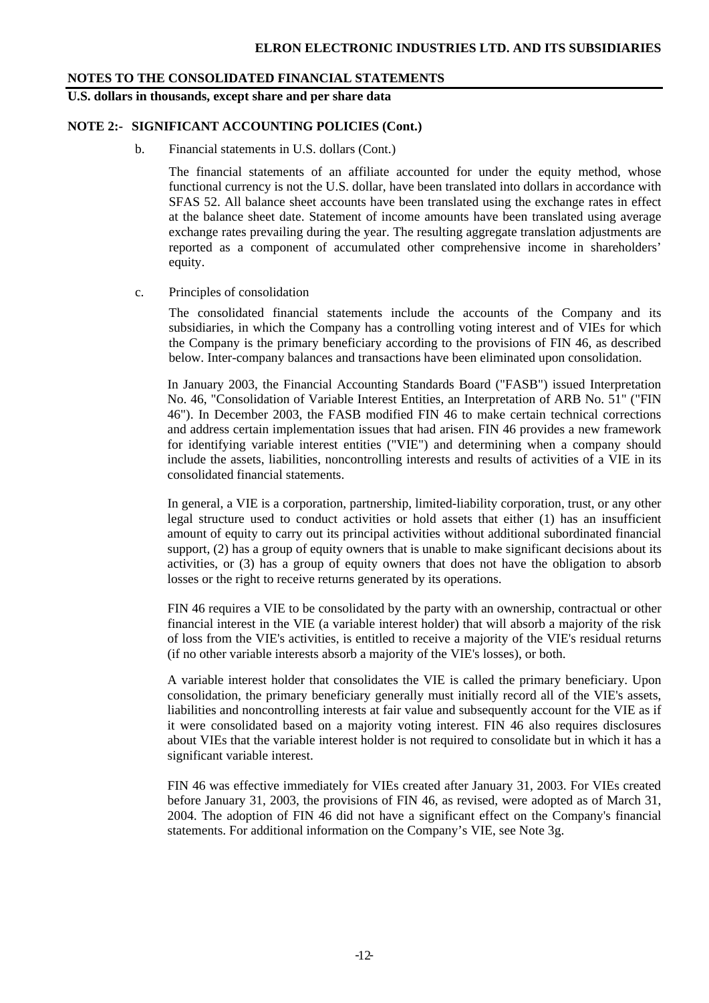#### **U.S. dollars in thousands, except share and per share data**

### **NOTE 2:- SIGNIFICANT ACCOUNTING POLICIES (Cont.)**

b. Financial statements in U.S. dollars (Cont.)

The financial statements of an affiliate accounted for under the equity method, whose functional currency is not the U.S. dollar, have been translated into dollars in accordance with SFAS 52. All balance sheet accounts have been translated using the exchange rates in effect at the balance sheet date. Statement of income amounts have been translated using average exchange rates prevailing during the year. The resulting aggregate translation adjustments are reported as a component of accumulated other comprehensive income in shareholders' equity.

#### c. Principles of consolidation

The consolidated financial statements include the accounts of the Company and its subsidiaries, in which the Company has a controlling voting interest and of VIEs for which the Company is the primary beneficiary according to the provisions of FIN 46, as described below. Inter-company balances and transactions have been eliminated upon consolidation.

In January 2003, the Financial Accounting Standards Board ("FASB") issued Interpretation No. 46, "Consolidation of Variable Interest Entities, an Interpretation of ARB No. 51" ("FIN 46"). In December 2003, the FASB modified FIN 46 to make certain technical corrections and address certain implementation issues that had arisen. FIN 46 provides a new framework for identifying variable interest entities ("VIE") and determining when a company should include the assets, liabilities, noncontrolling interests and results of activities of a VIE in its consolidated financial statements.

In general, a VIE is a corporation, partnership, limited-liability corporation, trust, or any other legal structure used to conduct activities or hold assets that either (1) has an insufficient amount of equity to carry out its principal activities without additional subordinated financial support, (2) has a group of equity owners that is unable to make significant decisions about its activities, or (3) has a group of equity owners that does not have the obligation to absorb losses or the right to receive returns generated by its operations.

FIN 46 requires a VIE to be consolidated by the party with an ownership, contractual or other financial interest in the VIE (a variable interest holder) that will absorb a majority of the risk of loss from the VIE's activities, is entitled to receive a majority of the VIE's residual returns (if no other variable interests absorb a majority of the VIE's losses), or both.

A variable interest holder that consolidates the VIE is called the primary beneficiary. Upon consolidation, the primary beneficiary generally must initially record all of the VIE's assets, liabilities and noncontrolling interests at fair value and subsequently account for the VIE as if it were consolidated based on a majority voting interest. FIN 46 also requires disclosures about VIEs that the variable interest holder is not required to consolidate but in which it has a significant variable interest.

FIN 46 was effective immediately for VIEs created after January 31, 2003. For VIEs created before January 31, 2003, the provisions of FIN 46, as revised, were adopted as of March 31, 2004. The adoption of FIN 46 did not have a significant effect on the Company's financial statements. For additional information on the Company's VIE, see Note 3g.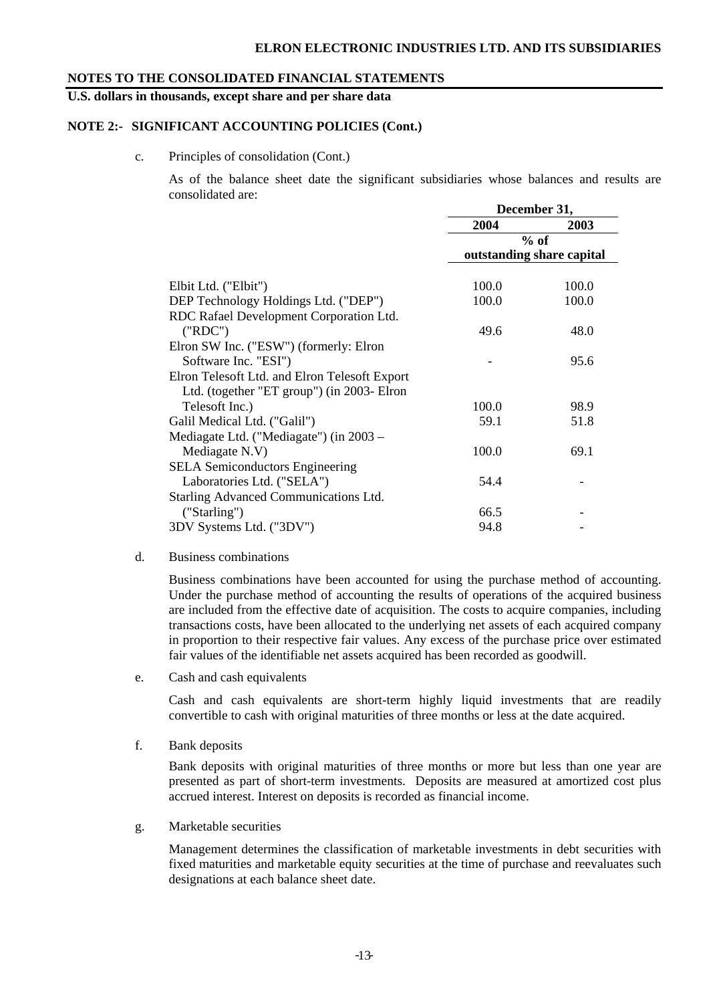**U.S. dollars in thousands, except share and per share data** 

## **NOTE 2:- SIGNIFICANT ACCOUNTING POLICIES (Cont.)**

c. Principles of consolidation (Cont.)

As of the balance sheet date the significant subsidiaries whose balances and results are consolidated are:

|                                               | December 31, |                           |  |
|-----------------------------------------------|--------------|---------------------------|--|
|                                               | 2004         | 2003                      |  |
|                                               |              | $%$ of                    |  |
|                                               |              | outstanding share capital |  |
|                                               |              |                           |  |
| Elbit Ltd. ("Elbit")                          | 100.0        | 100.0                     |  |
| DEP Technology Holdings Ltd. ("DEP")          | 100.0        | 100.0                     |  |
| RDC Rafael Development Corporation Ltd.       |              |                           |  |
| ("RDC")                                       | 49.6         | 48.0                      |  |
| Elron SW Inc. ("ESW") (formerly: Elron        |              |                           |  |
| Software Inc. "ESI")                          |              | 95.6                      |  |
| Elron Telesoft Ltd. and Elron Telesoft Export |              |                           |  |
| Ltd. (together "ET group") (in 2003- Elron    |              |                           |  |
| Telesoft Inc.)                                | 100.0        | 98.9                      |  |
| Galil Medical Ltd. ("Galil")                  | 59.1         | 51.8                      |  |
| Mediagate Ltd. ("Mediagate") (in 2003 –       |              |                           |  |
| Mediagate N.V)                                | 100.0        | 69.1                      |  |
| <b>SELA</b> Semiconductors Engineering        |              |                           |  |
| Laboratories Ltd. ("SELA")                    | 54.4         |                           |  |
| Starling Advanced Communications Ltd.         |              |                           |  |
| ("Starling")                                  | 66.5         |                           |  |
| 3DV Systems Ltd. ("3DV")                      | 94.8         |                           |  |

#### d. Business combinations

Business combinations have been accounted for using the purchase method of accounting. Under the purchase method of accounting the results of operations of the acquired business are included from the effective date of acquisition. The costs to acquire companies, including transactions costs, have been allocated to the underlying net assets of each acquired company in proportion to their respective fair values. Any excess of the purchase price over estimated fair values of the identifiable net assets acquired has been recorded as goodwill.

e. Cash and cash equivalents

Cash and cash equivalents are short-term highly liquid investments that are readily convertible to cash with original maturities of three months or less at the date acquired.

f. Bank deposits

Bank deposits with original maturities of three months or more but less than one year are presented as part of short-term investments. Deposits are measured at amortized cost plus accrued interest. Interest on deposits is recorded as financial income.

g. Marketable securities

Management determines the classification of marketable investments in debt securities with fixed maturities and marketable equity securities at the time of purchase and reevaluates such designations at each balance sheet date.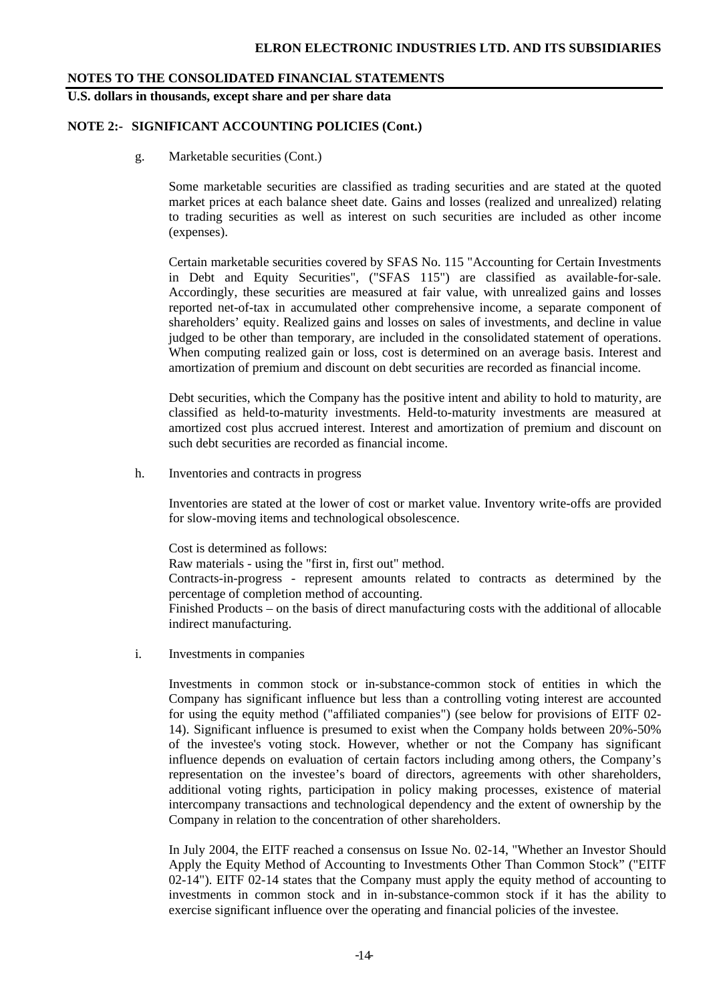**U.S. dollars in thousands, except share and per share data** 

## **NOTE 2:- SIGNIFICANT ACCOUNTING POLICIES (Cont.)**

g. Marketable securities (Cont.)

Some marketable securities are classified as trading securities and are stated at the quoted market prices at each balance sheet date. Gains and losses (realized and unrealized) relating to trading securities as well as interest on such securities are included as other income (expenses).

Certain marketable securities covered by SFAS No. 115 "Accounting for Certain Investments in Debt and Equity Securities", ("SFAS 115") are classified as available-for-sale. Accordingly, these securities are measured at fair value, with unrealized gains and losses reported net-of-tax in accumulated other comprehensive income, a separate component of shareholders' equity. Realized gains and losses on sales of investments, and decline in value judged to be other than temporary, are included in the consolidated statement of operations. When computing realized gain or loss, cost is determined on an average basis. Interest and amortization of premium and discount on debt securities are recorded as financial income.

 Debt securities, which the Company has the positive intent and ability to hold to maturity, are classified as held-to-maturity investments. Held-to-maturity investments are measured at amortized cost plus accrued interest. Interest and amortization of premium and discount on such debt securities are recorded as financial income.

h. Inventories and contracts in progress

Inventories are stated at the lower of cost or market value. Inventory write-offs are provided for slow-moving items and technological obsolescence.

Cost is determined as follows: Raw materials - using the "first in, first out" method. Contracts-in-progress - represent amounts related to contracts as determined by the percentage of completion method of accounting. Finished Products – on the basis of direct manufacturing costs with the additional of allocable indirect manufacturing.

i. Investments in companies

Investments in common stock or in-substance-common stock of entities in which the Company has significant influence but less than a controlling voting interest are accounted for using the equity method ("affiliated companies") (see below for provisions of EITF 02- 14). Significant influence is presumed to exist when the Company holds between 20%-50% of the investee's voting stock. However, whether or not the Company has significant influence depends on evaluation of certain factors including among others, the Company's representation on the investee's board of directors, agreements with other shareholders, additional voting rights, participation in policy making processes, existence of material intercompany transactions and technological dependency and the extent of ownership by the Company in relation to the concentration of other shareholders.

In July 2004, the EITF reached a consensus on Issue No. 02-14, "Whether an Investor Should Apply the Equity Method of Accounting to Investments Other Than Common Stock" ("EITF 02-14"). EITF 02-14 states that the Company must apply the equity method of accounting to investments in common stock and in in-substance-common stock if it has the ability to exercise significant influence over the operating and financial policies of the investee.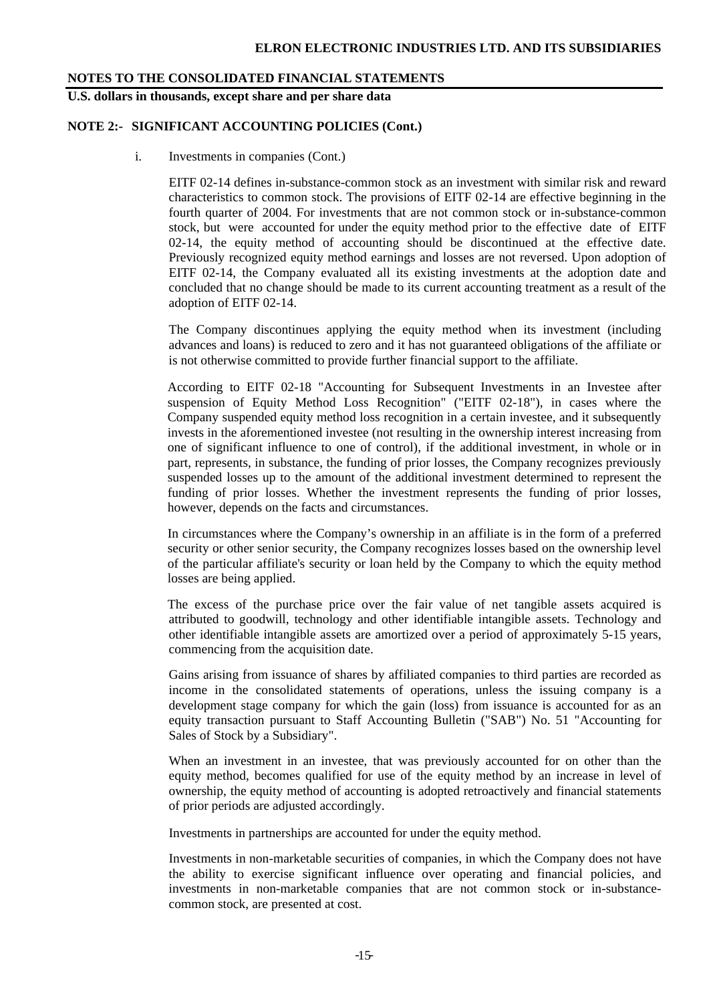**U.S. dollars in thousands, except share and per share data** 

#### **NOTE 2:- SIGNIFICANT ACCOUNTING POLICIES (Cont.)**

i. Investments in companies (Cont.)

EITF 02-14 defines in-substance-common stock as an investment with similar risk and reward characteristics to common stock. The provisions of EITF 02-14 are effective beginning in the fourth quarter of 2004. For investments that are not common stock or in-substance-common stock, but were accounted for under the equity method prior to the effective date of EITF 02-14, the equity method of accounting should be discontinued at the effective date. Previously recognized equity method earnings and losses are not reversed. Upon adoption of EITF 02-14, the Company evaluated all its existing investments at the adoption date and concluded that no change should be made to its current accounting treatment as a result of the adoption of EITF 02-14.

The Company discontinues applying the equity method when its investment (including advances and loans) is reduced to zero and it has not guaranteed obligations of the affiliate or is not otherwise committed to provide further financial support to the affiliate.

According to EITF 02-18 "Accounting for Subsequent Investments in an Investee after suspension of Equity Method Loss Recognition" ("EITF 02-18"), in cases where the Company suspended equity method loss recognition in a certain investee, and it subsequently invests in the aforementioned investee (not resulting in the ownership interest increasing from one of significant influence to one of control), if the additional investment, in whole or in part, represents, in substance, the funding of prior losses, the Company recognizes previously suspended losses up to the amount of the additional investment determined to represent the funding of prior losses. Whether the investment represents the funding of prior losses, however, depends on the facts and circumstances.

In circumstances where the Company's ownership in an affiliate is in the form of a preferred security or other senior security, the Company recognizes losses based on the ownership level of the particular affiliate's security or loan held by the Company to which the equity method losses are being applied.

The excess of the purchase price over the fair value of net tangible assets acquired is attributed to goodwill, technology and other identifiable intangible assets. Technology and other identifiable intangible assets are amortized over a period of approximately 5-15 years, commencing from the acquisition date.

Gains arising from issuance of shares by affiliated companies to third parties are recorded as income in the consolidated statements of operations, unless the issuing company is a development stage company for which the gain (loss) from issuance is accounted for as an equity transaction pursuant to Staff Accounting Bulletin ("SAB") No. 51 "Accounting for Sales of Stock by a Subsidiary".

When an investment in an investee, that was previously accounted for on other than the equity method, becomes qualified for use of the equity method by an increase in level of ownership, the equity method of accounting is adopted retroactively and financial statements of prior periods are adjusted accordingly.

Investments in partnerships are accounted for under the equity method.

Investments in non-marketable securities of companies, in which the Company does not have the ability to exercise significant influence over operating and financial policies, and investments in non-marketable companies that are not common stock or in-substancecommon stock, are presented at cost.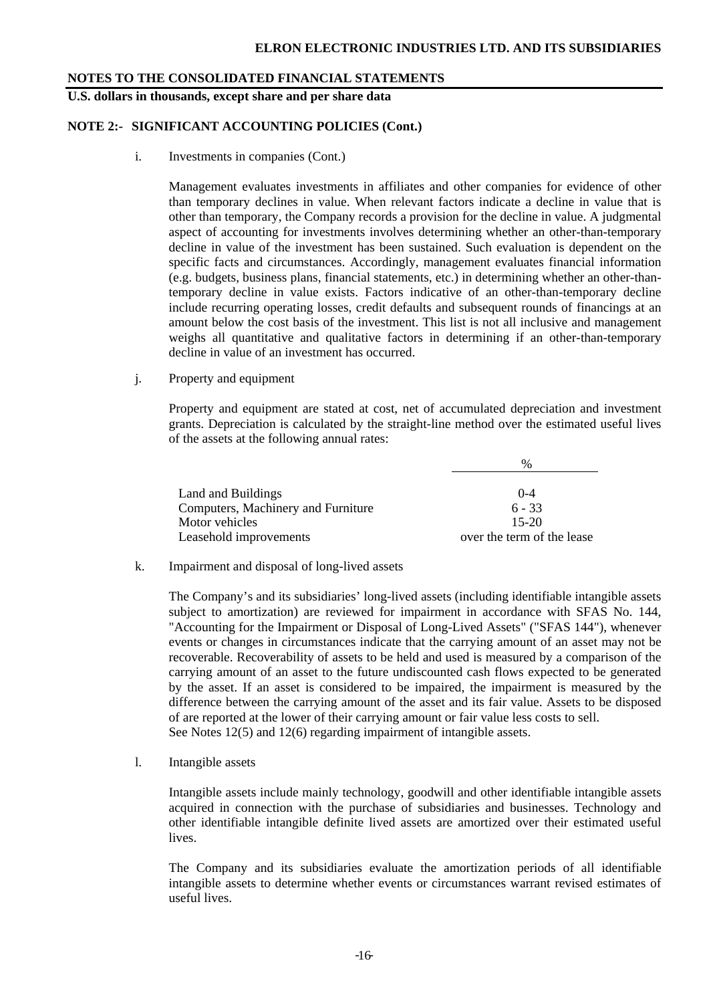**U.S. dollars in thousands, except share and per share data** 

## **NOTE 2:- SIGNIFICANT ACCOUNTING POLICIES (Cont.)**

i. Investments in companies (Cont.)

Management evaluates investments in affiliates and other companies for evidence of other than temporary declines in value. When relevant factors indicate a decline in value that is other than temporary, the Company records a provision for the decline in value. A judgmental aspect of accounting for investments involves determining whether an other-than-temporary decline in value of the investment has been sustained. Such evaluation is dependent on the specific facts and circumstances. Accordingly, management evaluates financial information (e.g. budgets, business plans, financial statements, etc.) in determining whether an other-thantemporary decline in value exists. Factors indicative of an other-than-temporary decline include recurring operating losses, credit defaults and subsequent rounds of financings at an amount below the cost basis of the investment. This list is not all inclusive and management weighs all quantitative and qualitative factors in determining if an other-than-temporary decline in value of an investment has occurred.

j. Property and equipment

Property and equipment are stated at cost, net of accumulated depreciation and investment grants. Depreciation is calculated by the straight-line method over the estimated useful lives of the assets at the following annual rates:

|                                    | $\frac{0}{0}$              |
|------------------------------------|----------------------------|
| Land and Buildings                 | $0 - 4$                    |
| Computers, Machinery and Furniture | $6 - 33$                   |
| Motor vehicles                     | $15 - 20$                  |
| Leasehold improvements             | over the term of the lease |

k. Impairment and disposal of long-lived assets

The Company's and its subsidiaries' long-lived assets (including identifiable intangible assets subject to amortization) are reviewed for impairment in accordance with SFAS No. 144, "Accounting for the Impairment or Disposal of Long-Lived Assets" ("SFAS 144"), whenever events or changes in circumstances indicate that the carrying amount of an asset may not be recoverable. Recoverability of assets to be held and used is measured by a comparison of the carrying amount of an asset to the future undiscounted cash flows expected to be generated by the asset. If an asset is considered to be impaired, the impairment is measured by the difference between the carrying amount of the asset and its fair value. Assets to be disposed of are reported at the lower of their carrying amount or fair value less costs to sell. See Notes 12(5) and 12(6) regarding impairment of intangible assets.

l. Intangible assets

Intangible assets include mainly technology, goodwill and other identifiable intangible assets acquired in connection with the purchase of subsidiaries and businesses. Technology and other identifiable intangible definite lived assets are amortized over their estimated useful lives.

The Company and its subsidiaries evaluate the amortization periods of all identifiable intangible assets to determine whether events or circumstances warrant revised estimates of useful lives.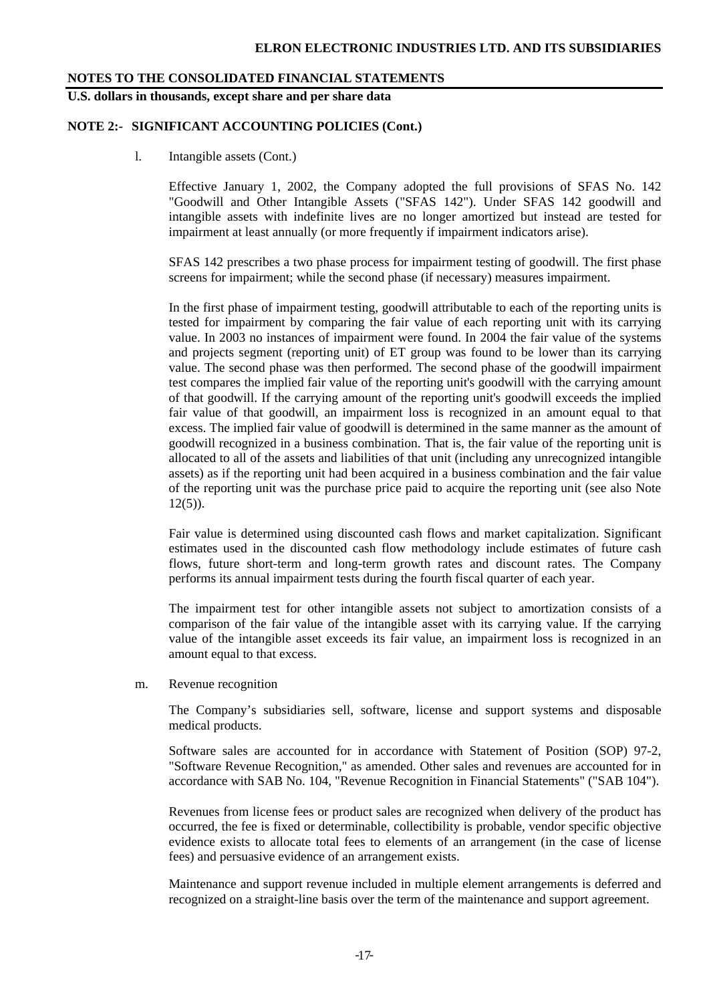**U.S. dollars in thousands, except share and per share data** 

#### **NOTE 2:- SIGNIFICANT ACCOUNTING POLICIES (Cont.)**

l. Intangible assets (Cont.)

Effective January 1, 2002, the Company adopted the full provisions of SFAS No. 142 "Goodwill and Other Intangible Assets ("SFAS 142"). Under SFAS 142 goodwill and intangible assets with indefinite lives are no longer amortized but instead are tested for impairment at least annually (or more frequently if impairment indicators arise).

SFAS 142 prescribes a two phase process for impairment testing of goodwill. The first phase screens for impairment; while the second phase (if necessary) measures impairment.

In the first phase of impairment testing, goodwill attributable to each of the reporting units is tested for impairment by comparing the fair value of each reporting unit with its carrying value. In 2003 no instances of impairment were found. In 2004 the fair value of the systems and projects segment (reporting unit) of ET group was found to be lower than its carrying value. The second phase was then performed. The second phase of the goodwill impairment test compares the implied fair value of the reporting unit's goodwill with the carrying amount of that goodwill. If the carrying amount of the reporting unit's goodwill exceeds the implied fair value of that goodwill, an impairment loss is recognized in an amount equal to that excess. The implied fair value of goodwill is determined in the same manner as the amount of goodwill recognized in a business combination. That is, the fair value of the reporting unit is allocated to all of the assets and liabilities of that unit (including any unrecognized intangible assets) as if the reporting unit had been acquired in a business combination and the fair value of the reporting unit was the purchase price paid to acquire the reporting unit (see also Note  $12(5)$ ).

Fair value is determined using discounted cash flows and market capitalization. Significant estimates used in the discounted cash flow methodology include estimates of future cash flows, future short-term and long-term growth rates and discount rates. The Company performs its annual impairment tests during the fourth fiscal quarter of each year.

 The impairment test for other intangible assets not subject to amortization consists of a comparison of the fair value of the intangible asset with its carrying value. If the carrying value of the intangible asset exceeds its fair value, an impairment loss is recognized in an amount equal to that excess.

m. Revenue recognition

The Company's subsidiaries sell, software, license and support systems and disposable medical products.

Software sales are accounted for in accordance with Statement of Position (SOP) 97-2, "Software Revenue Recognition," as amended. Other sales and revenues are accounted for in accordance with SAB No. 104, "Revenue Recognition in Financial Statements" ("SAB 104").

Revenues from license fees or product sales are recognized when delivery of the product has occurred, the fee is fixed or determinable, collectibility is probable, vendor specific objective evidence exists to allocate total fees to elements of an arrangement (in the case of license fees) and persuasive evidence of an arrangement exists.

Maintenance and support revenue included in multiple element arrangements is deferred and recognized on a straight-line basis over the term of the maintenance and support agreement.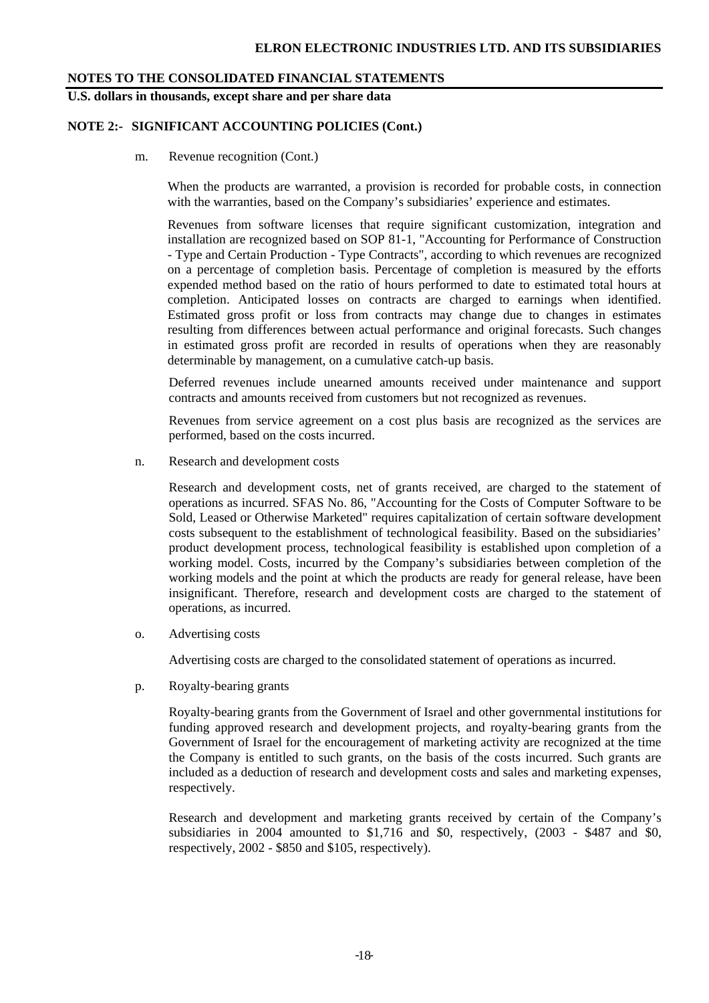**U.S. dollars in thousands, except share and per share data** 

#### **NOTE 2:- SIGNIFICANT ACCOUNTING POLICIES (Cont.)**

m. Revenue recognition (Cont.)

When the products are warranted, a provision is recorded for probable costs, in connection with the warranties, based on the Company's subsidiaries' experience and estimates.

Revenues from software licenses that require significant customization, integration and installation are recognized based on SOP 81-1, "Accounting for Performance of Construction - Type and Certain Production - Type Contracts", according to which revenues are recognized on a percentage of completion basis. Percentage of completion is measured by the efforts expended method based on the ratio of hours performed to date to estimated total hours at completion. Anticipated losses on contracts are charged to earnings when identified. Estimated gross profit or loss from contracts may change due to changes in estimates resulting from differences between actual performance and original forecasts. Such changes in estimated gross profit are recorded in results of operations when they are reasonably determinable by management, on a cumulative catch-up basis.

Deferred revenues include unearned amounts received under maintenance and support contracts and amounts received from customers but not recognized as revenues.

Revenues from service agreement on a cost plus basis are recognized as the services are performed, based on the costs incurred.

n. Research and development costs

Research and development costs, net of grants received, are charged to the statement of operations as incurred. SFAS No. 86, "Accounting for the Costs of Computer Software to be Sold, Leased or Otherwise Marketed" requires capitalization of certain software development costs subsequent to the establishment of technological feasibility. Based on the subsidiaries' product development process, technological feasibility is established upon completion of a working model. Costs, incurred by the Company's subsidiaries between completion of the working models and the point at which the products are ready for general release, have been insignificant. Therefore, research and development costs are charged to the statement of operations, as incurred.

o. Advertising costs

Advertising costs are charged to the consolidated statement of operations as incurred.

p. Royalty-bearing grants

Royalty-bearing grants from the Government of Israel and other governmental institutions for funding approved research and development projects, and royalty-bearing grants from the Government of Israel for the encouragement of marketing activity are recognized at the time the Company is entitled to such grants, on the basis of the costs incurred. Such grants are included as a deduction of research and development costs and sales and marketing expenses, respectively.

Research and development and marketing grants received by certain of the Company's subsidiaries in 2004 amounted to \$1,716 and \$0, respectively, (2003 - \$487 and \$0, respectively, 2002 - \$850 and \$105, respectively).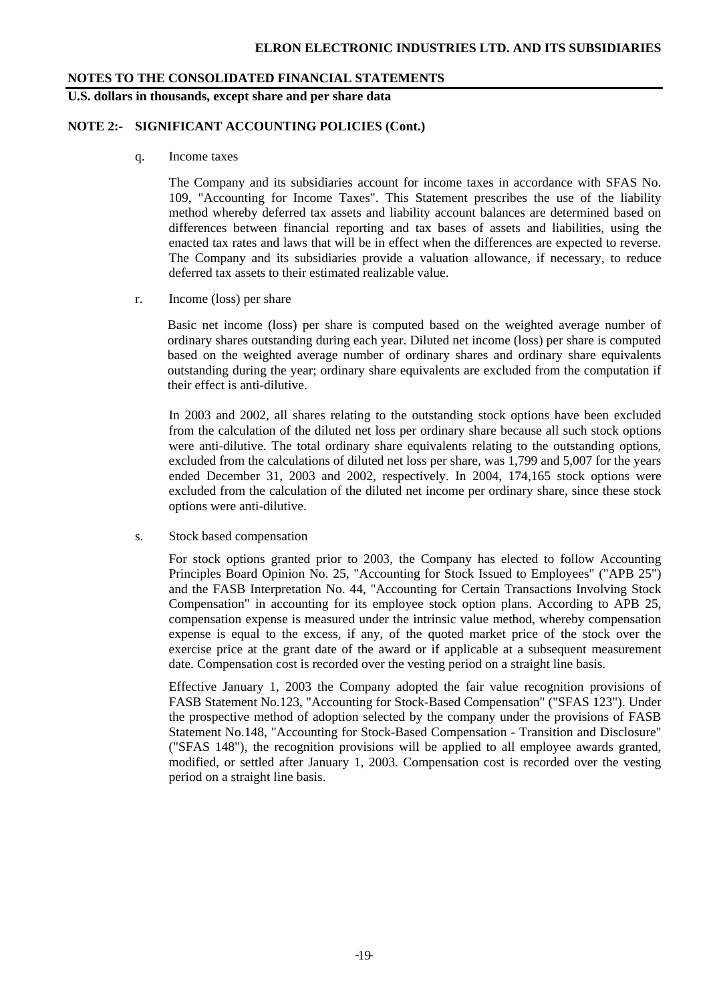**U.S. dollars in thousands, except share and per share data** 

#### **NOTE 2:- SIGNIFICANT ACCOUNTING POLICIES (Cont.)**

q. Income taxes

The Company and its subsidiaries account for income taxes in accordance with SFAS No. 109, "Accounting for Income Taxes". This Statement prescribes the use of the liability method whereby deferred tax assets and liability account balances are determined based on differences between financial reporting and tax bases of assets and liabilities, using the enacted tax rates and laws that will be in effect when the differences are expected to reverse. The Company and its subsidiaries provide a valuation allowance, if necessary, to reduce deferred tax assets to their estimated realizable value.

r. Income (loss) per share

Basic net income (loss) per share is computed based on the weighted average number of ordinary shares outstanding during each year. Diluted net income (loss) per share is computed based on the weighted average number of ordinary shares and ordinary share equivalents outstanding during the year; ordinary share equivalents are excluded from the computation if their effect is anti-dilutive.

In 2003 and 2002, all shares relating to the outstanding stock options have been excluded from the calculation of the diluted net loss per ordinary share because all such stock options were anti-dilutive. The total ordinary share equivalents relating to the outstanding options, excluded from the calculations of diluted net loss per share, was 1,799 and 5,007 for the years ended December 31, 2003 and 2002, respectively. In 2004, 174,165 stock options were excluded from the calculation of the diluted net income per ordinary share, since these stock options were anti-dilutive.

s. Stock based compensation

For stock options granted prior to 2003, the Company has elected to follow Accounting Principles Board Opinion No. 25, "Accounting for Stock Issued to Employees" ("APB 25") and the FASB Interpretation No. 44, "Accounting for Certain Transactions Involving Stock Compensation" in accounting for its employee stock option plans. According to APB 25, compensation expense is measured under the intrinsic value method, whereby compensation expense is equal to the excess, if any, of the quoted market price of the stock over the exercise price at the grant date of the award or if applicable at a subsequent measurement date. Compensation cost is recorded over the vesting period on a straight line basis.

Effective January 1, 2003 the Company adopted the fair value recognition provisions of FASB Statement No.123, "Accounting for Stock-Based Compensation" ("SFAS 123"). Under the prospective method of adoption selected by the company under the provisions of FASB Statement No.148, "Accounting for Stock-Based Compensation - Transition and Disclosure" ("SFAS 148"), the recognition provisions will be applied to all employee awards granted, modified, or settled after January 1, 2003. Compensation cost is recorded over the vesting period on a straight line basis.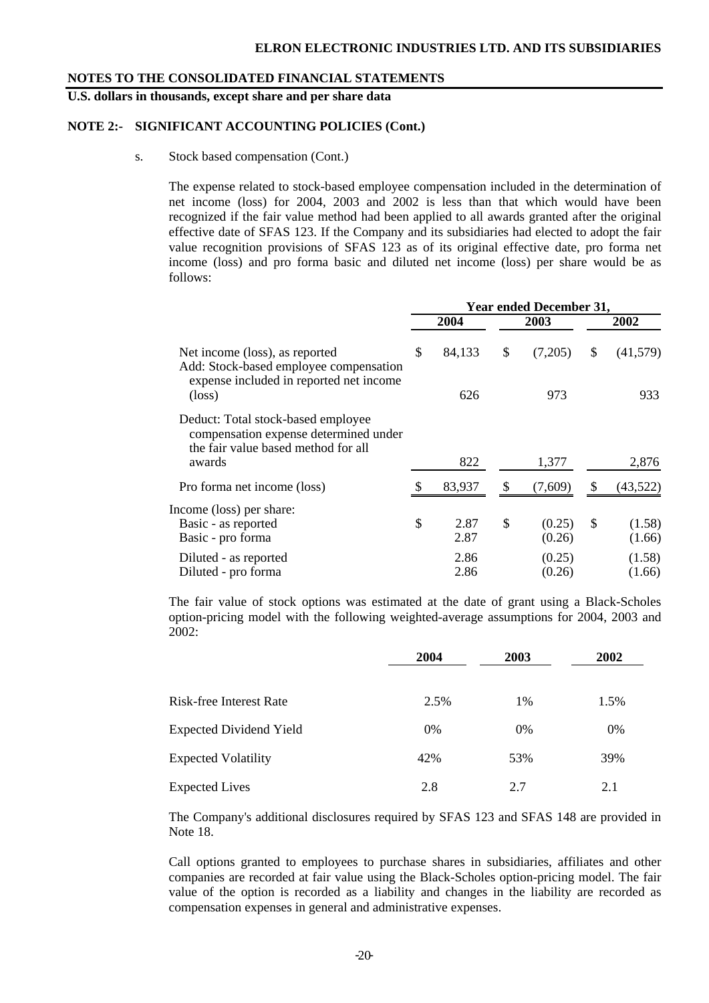**U.S. dollars in thousands, except share and per share data** 

## **NOTE 2:- SIGNIFICANT ACCOUNTING POLICIES (Cont.)**

s. Stock based compensation (Cont.)

The expense related to stock-based employee compensation included in the determination of net income (loss) for 2004, 2003 and 2002 is less than that which would have been recognized if the fair value method had been applied to all awards granted after the original effective date of SFAS 123. If the Company and its subsidiaries had elected to adopt the fair value recognition provisions of SFAS 123 as of its original effective date, pro forma net income (loss) and pro forma basic and diluted net income (loss) per share would be as follows:

|                                                                                                                     | <b>Year ended December 31,</b> |        |    |         |    |          |
|---------------------------------------------------------------------------------------------------------------------|--------------------------------|--------|----|---------|----|----------|
|                                                                                                                     |                                | 2004   |    | 2003    |    | 2002     |
| Net income (loss), as reported<br>Add: Stock-based employee compensation<br>expense included in reported net income | \$                             | 84,133 | \$ | (7,205) | \$ | (41,579) |
| $(\text{loss})$                                                                                                     |                                | 626    |    | 973     |    | 933      |
| Deduct: Total stock-based employee<br>compensation expense determined under<br>the fair value based method for all  |                                |        |    |         |    |          |
| awards                                                                                                              |                                | 822    |    | 1,377   |    | 2,876    |
| Pro forma net income (loss)                                                                                         |                                | 83,937 | \$ | (7,609) | \$ | (43,522) |
| Income (loss) per share:                                                                                            |                                |        |    |         |    |          |
| Basic - as reported                                                                                                 | \$                             | 2.87   | \$ | (0.25)  | \$ | (1.58)   |
| Basic - pro forma                                                                                                   |                                | 2.87   |    | (0.26)  |    | (1.66)   |
| Diluted - as reported                                                                                               |                                | 2.86   |    | (0.25)  |    | (1.58)   |
| Diluted - pro forma                                                                                                 |                                | 2.86   |    | (0.26)  |    | (1.66)   |

The fair value of stock options was estimated at the date of grant using a Black-Scholes option-pricing model with the following weighted-average assumptions for 2004, 2003 and 2002:

|                                | 2004 | 2003  | 2002 |
|--------------------------------|------|-------|------|
| <b>Risk-free Interest Rate</b> | 2.5% | 1%    | 1.5% |
| <b>Expected Dividend Yield</b> | 0%   | $0\%$ | 0%   |
| <b>Expected Volatility</b>     | 42%  | 53%   | 39%  |
| <b>Expected Lives</b>          | 2.8  | 2.7   | 2.1  |

The Company's additional disclosures required by SFAS 123 and SFAS 148 are provided in Note 18.

Call options granted to employees to purchase shares in subsidiaries, affiliates and other companies are recorded at fair value using the Black-Scholes option-pricing model. The fair value of the option is recorded as a liability and changes in the liability are recorded as compensation expenses in general and administrative expenses.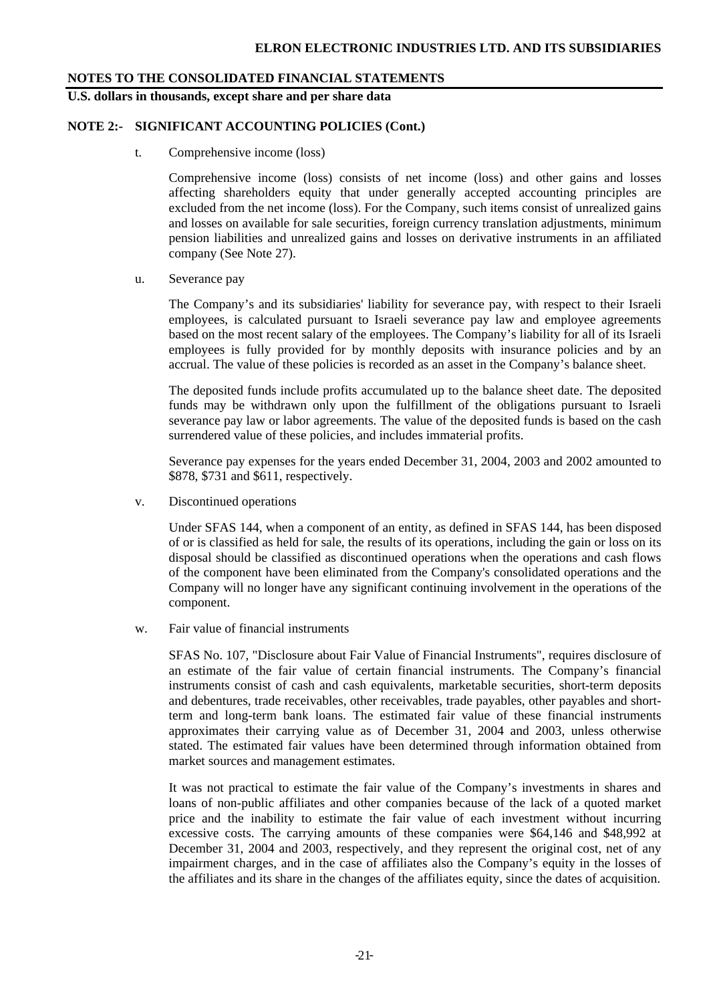**U.S. dollars in thousands, except share and per share data** 

## **NOTE 2:- SIGNIFICANT ACCOUNTING POLICIES (Cont.)**

t. Comprehensive income (loss)

Comprehensive income (loss) consists of net income (loss) and other gains and losses affecting shareholders equity that under generally accepted accounting principles are excluded from the net income (loss). For the Company, such items consist of unrealized gains and losses on available for sale securities, foreign currency translation adjustments, minimum pension liabilities and unrealized gains and losses on derivative instruments in an affiliated company (See Note 27).

#### u. Severance pay

The Company's and its subsidiaries' liability for severance pay, with respect to their Israeli employees, is calculated pursuant to Israeli severance pay law and employee agreements based on the most recent salary of the employees. The Company's liability for all of its Israeli employees is fully provided for by monthly deposits with insurance policies and by an accrual. The value of these policies is recorded as an asset in the Company's balance sheet.

The deposited funds include profits accumulated up to the balance sheet date. The deposited funds may be withdrawn only upon the fulfillment of the obligations pursuant to Israeli severance pay law or labor agreements. The value of the deposited funds is based on the cash surrendered value of these policies, and includes immaterial profits.

Severance pay expenses for the years ended December 31, 2004, 2003 and 2002 amounted to \$878, \$731 and \$611, respectively.

v. Discontinued operations

Under SFAS 144, when a component of an entity, as defined in SFAS 144, has been disposed of or is classified as held for sale, the results of its operations, including the gain or loss on its disposal should be classified as discontinued operations when the operations and cash flows of the component have been eliminated from the Company's consolidated operations and the Company will no longer have any significant continuing involvement in the operations of the component.

w. Fair value of financial instruments

SFAS No. 107, "Disclosure about Fair Value of Financial Instruments", requires disclosure of an estimate of the fair value of certain financial instruments. The Company's financial instruments consist of cash and cash equivalents, marketable securities, short-term deposits and debentures, trade receivables, other receivables, trade payables, other payables and shortterm and long-term bank loans. The estimated fair value of these financial instruments approximates their carrying value as of December 31, 2004 and 2003, unless otherwise stated. The estimated fair values have been determined through information obtained from market sources and management estimates.

It was not practical to estimate the fair value of the Company's investments in shares and loans of non-public affiliates and other companies because of the lack of a quoted market price and the inability to estimate the fair value of each investment without incurring excessive costs. The carrying amounts of these companies were \$64,146 and \$48,992 at December 31, 2004 and 2003, respectively, and they represent the original cost, net of any impairment charges, and in the case of affiliates also the Company's equity in the losses of the affiliates and its share in the changes of the affiliates equity, since the dates of acquisition.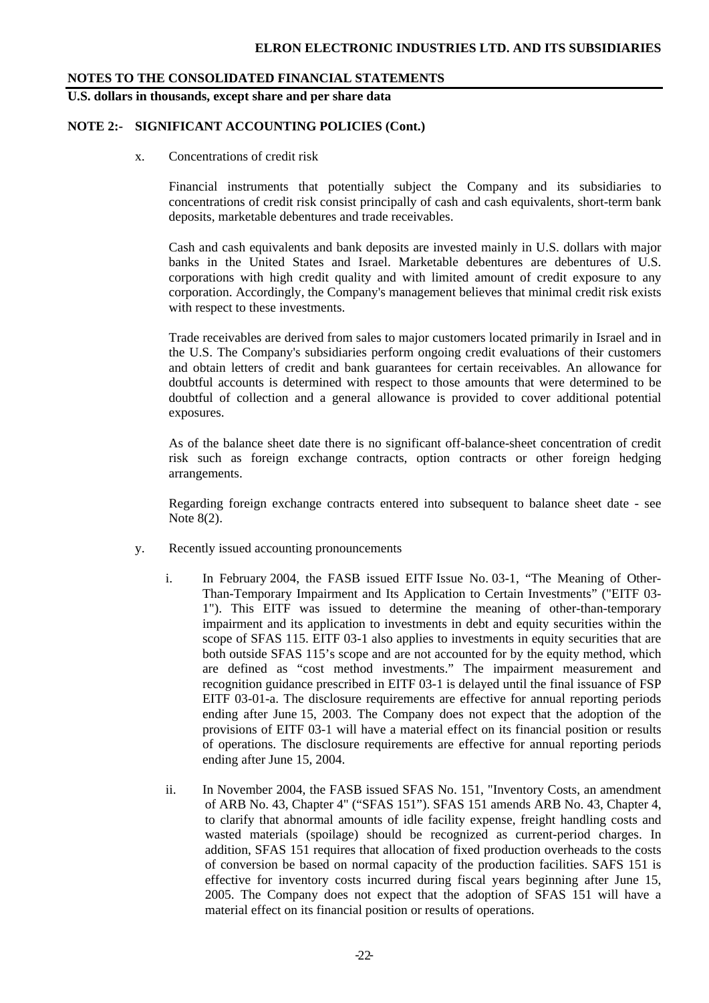**U.S. dollars in thousands, except share and per share data** 

## **NOTE 2:- SIGNIFICANT ACCOUNTING POLICIES (Cont.)**

x. Concentrations of credit risk

Financial instruments that potentially subject the Company and its subsidiaries to concentrations of credit risk consist principally of cash and cash equivalents, short-term bank deposits, marketable debentures and trade receivables.

Cash and cash equivalents and bank deposits are invested mainly in U.S. dollars with major banks in the United States and Israel. Marketable debentures are debentures of U.S. corporations with high credit quality and with limited amount of credit exposure to any corporation. Accordingly, the Company's management believes that minimal credit risk exists with respect to these investments.

Trade receivables are derived from sales to major customers located primarily in Israel and in the U.S. The Company's subsidiaries perform ongoing credit evaluations of their customers and obtain letters of credit and bank guarantees for certain receivables. An allowance for doubtful accounts is determined with respect to those amounts that were determined to be doubtful of collection and a general allowance is provided to cover additional potential exposures.

As of the balance sheet date there is no significant off-balance-sheet concentration of credit risk such as foreign exchange contracts, option contracts or other foreign hedging arrangements.

Regarding foreign exchange contracts entered into subsequent to balance sheet date - see Note 8(2).

- y. Recently issued accounting pronouncements
	- i. In February 2004, the FASB issued EITF Issue No. 03-1, "The Meaning of Other-Than-Temporary Impairment and Its Application to Certain Investments" ("EITF 03- 1"). This EITF was issued to determine the meaning of other-than-temporary impairment and its application to investments in debt and equity securities within the scope of SFAS 115. EITF 03-1 also applies to investments in equity securities that are both outside SFAS 115's scope and are not accounted for by the equity method, which are defined as "cost method investments." The impairment measurement and recognition guidance prescribed in EITF 03-1 is delayed until the final issuance of FSP EITF 03-01-a. The disclosure requirements are effective for annual reporting periods ending after June 15, 2003. The Company does not expect that the adoption of the provisions of EITF 03-1 will have a material effect on its financial position or results of operations. The disclosure requirements are effective for annual reporting periods ending after June 15, 2004.
	- ii. In November 2004, the FASB issued SFAS No. 151, "Inventory Costs, an amendment of ARB No. 43, Chapter 4" ("SFAS 151"). SFAS 151 amends ARB No. 43, Chapter 4, to clarify that abnormal amounts of idle facility expense, freight handling costs and wasted materials (spoilage) should be recognized as current-period charges. In addition, SFAS 151 requires that allocation of fixed production overheads to the costs of conversion be based on normal capacity of the production facilities. SAFS 151 is effective for inventory costs incurred during fiscal years beginning after June 15, 2005. The Company does not expect that the adoption of SFAS 151 will have a material effect on its financial position or results of operations.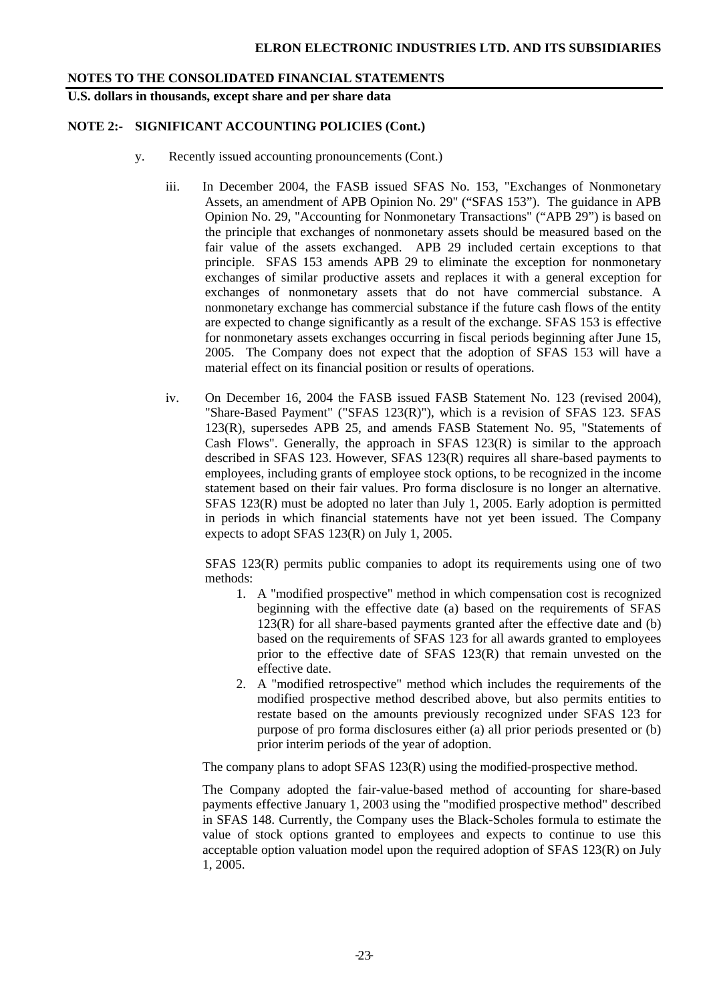**U.S. dollars in thousands, except share and per share data** 

#### **NOTE 2:- SIGNIFICANT ACCOUNTING POLICIES (Cont.)**

- y. Recently issued accounting pronouncements (Cont.)
	- iii. In December 2004, the FASB issued SFAS No. 153, "Exchanges of Nonmonetary Assets, an amendment of APB Opinion No. 29" ("SFAS 153"). The guidance in APB Opinion No. 29, "Accounting for Nonmonetary Transactions" ("APB 29") is based on the principle that exchanges of nonmonetary assets should be measured based on the fair value of the assets exchanged. APB 29 included certain exceptions to that principle. SFAS 153 amends APB 29 to eliminate the exception for nonmonetary exchanges of similar productive assets and replaces it with a general exception for exchanges of nonmonetary assets that do not have commercial substance. A nonmonetary exchange has commercial substance if the future cash flows of the entity are expected to change significantly as a result of the exchange. SFAS 153 is effective for nonmonetary assets exchanges occurring in fiscal periods beginning after June 15, 2005. The Company does not expect that the adoption of SFAS 153 will have a material effect on its financial position or results of operations.
	- iv. On December 16, 2004 the FASB issued FASB Statement No. 123 (revised 2004), "Share-Based Payment" ("SFAS 123(R)"), which is a revision of SFAS 123. SFAS 123(R), supersedes APB 25, and amends FASB Statement No. 95, "Statements of Cash Flows". Generally, the approach in SFAS 123(R) is similar to the approach described in SFAS 123. However, SFAS 123(R) requires all share-based payments to employees, including grants of employee stock options, to be recognized in the income statement based on their fair values. Pro forma disclosure is no longer an alternative. SFAS 123(R) must be adopted no later than July 1, 2005. Early adoption is permitted in periods in which financial statements have not yet been issued. The Company expects to adopt SFAS 123(R) on July 1, 2005.

SFAS 123(R) permits public companies to adopt its requirements using one of two methods:

- 1. A "modified prospective" method in which compensation cost is recognized beginning with the effective date (a) based on the requirements of SFAS 123(R) for all share-based payments granted after the effective date and (b) based on the requirements of SFAS 123 for all awards granted to employees prior to the effective date of SFAS 123(R) that remain unvested on the effective date.
- 2. A "modified retrospective" method which includes the requirements of the modified prospective method described above, but also permits entities to restate based on the amounts previously recognized under SFAS 123 for purpose of pro forma disclosures either (a) all prior periods presented or (b) prior interim periods of the year of adoption.

The company plans to adopt SFAS 123(R) using the modified-prospective method.

The Company adopted the fair-value-based method of accounting for share-based payments effective January 1, 2003 using the "modified prospective method" described in SFAS 148. Currently, the Company uses the Black-Scholes formula to estimate the value of stock options granted to employees and expects to continue to use this acceptable option valuation model upon the required adoption of SFAS 123(R) on July 1, 2005.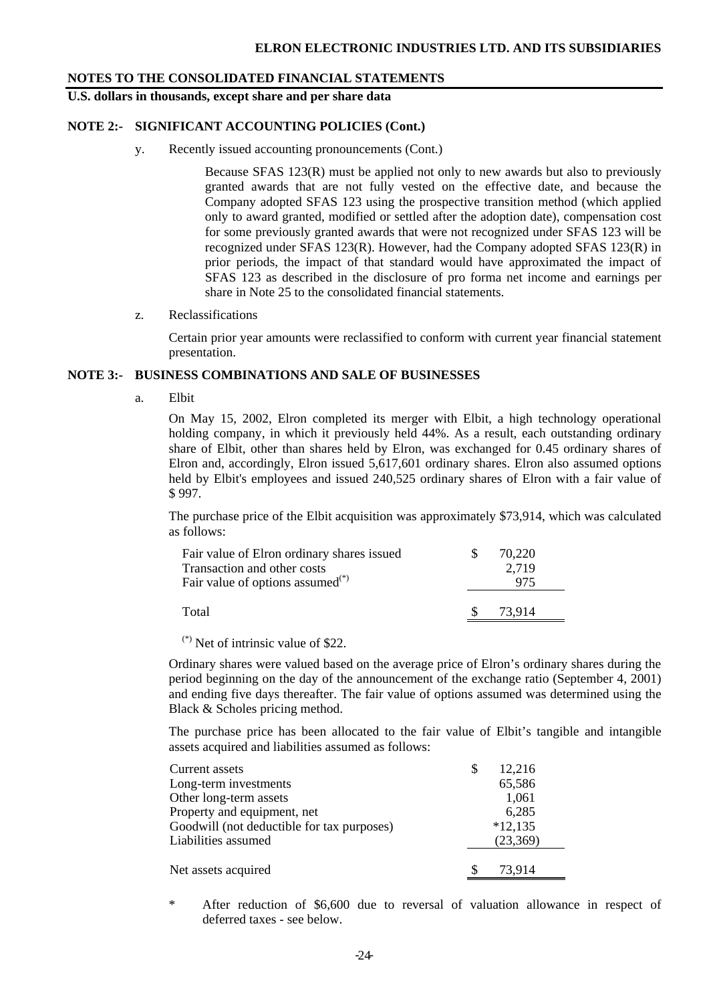**U.S. dollars in thousands, except share and per share data** 

## **NOTE 2:- SIGNIFICANT ACCOUNTING POLICIES (Cont.)**

y. Recently issued accounting pronouncements (Cont.)

Because SFAS 123(R) must be applied not only to new awards but also to previously granted awards that are not fully vested on the effective date, and because the Company adopted SFAS 123 using the prospective transition method (which applied only to award granted, modified or settled after the adoption date), compensation cost for some previously granted awards that were not recognized under SFAS 123 will be recognized under SFAS 123(R). However, had the Company adopted SFAS 123(R) in prior periods, the impact of that standard would have approximated the impact of SFAS 123 as described in the disclosure of pro forma net income and earnings per share in Note 25 to the consolidated financial statements.

z. Reclassifications

Certain prior year amounts were reclassified to conform with current year financial statement presentation.

#### **NOTE 3:- BUSINESS COMBINATIONS AND SALE OF BUSINESSES**

a. Elbit

 On May 15, 2002, Elron completed its merger with Elbit, a high technology operational holding company, in which it previously held 44%. As a result, each outstanding ordinary share of Elbit, other than shares held by Elron, was exchanged for 0.45 ordinary shares of Elron and, accordingly, Elron issued 5,617,601 ordinary shares. Elron also assumed options held by Elbit's employees and issued 240,525 ordinary shares of Elron with a fair value of \$ 997.

 The purchase price of the Elbit acquisition was approximately \$73,914, which was calculated as follows:

| Fair value of Elron ordinary shares issued   | 70.220 |
|----------------------------------------------|--------|
| Transaction and other costs                  | 2,719  |
| Fair value of options assumed <sup>(*)</sup> | 975    |
|                                              |        |
| Total                                        | 73.914 |

 $(*)$  Net of intrinsic value of \$22.

Ordinary shares were valued based on the average price of Elron's ordinary shares during the period beginning on the day of the announcement of the exchange ratio (September 4, 2001) and ending five days thereafter. The fair value of options assumed was determined using the Black & Scholes pricing method.

The purchase price has been allocated to the fair value of Elbit's tangible and intangible assets acquired and liabilities assumed as follows:

| Current assets                             | S | 12,216    |
|--------------------------------------------|---|-----------|
| Long-term investments                      |   | 65,586    |
| Other long-term assets                     |   | 1,061     |
| Property and equipment, net                |   | 6,285     |
| Goodwill (not deductible for tax purposes) |   | $*12,135$ |
| Liabilities assumed                        |   | (23,369)  |
|                                            |   |           |
| Net assets acquired                        |   | 73,914    |

After reduction of \$6,600 due to reversal of valuation allowance in respect of deferred taxes - see below.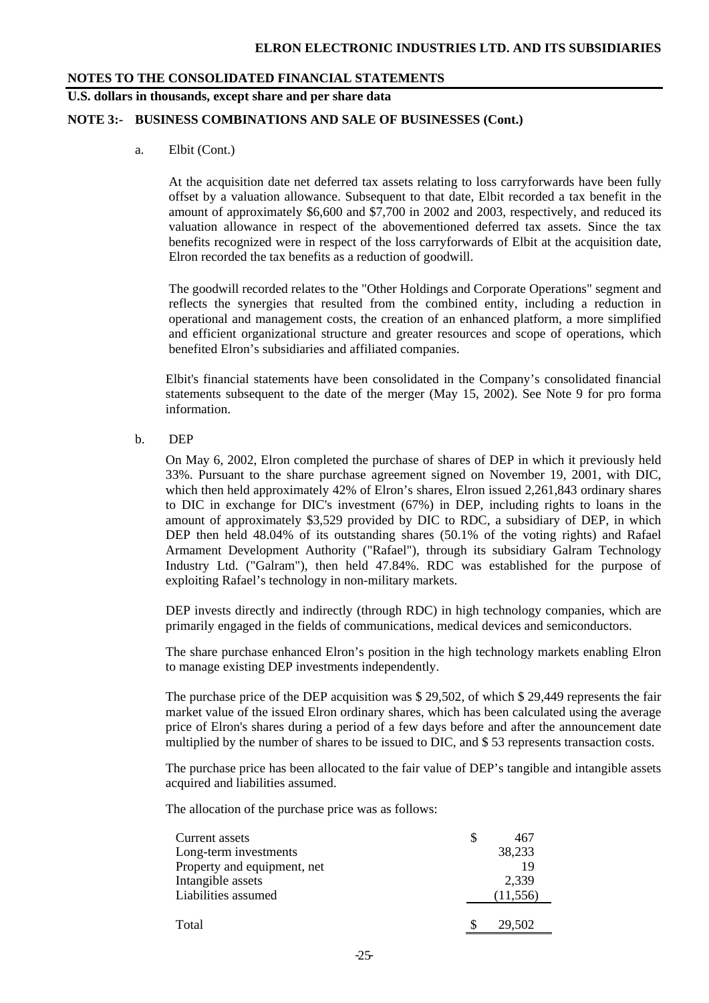**U.S. dollars in thousands, except share and per share data** 

#### **NOTE 3:- BUSINESS COMBINATIONS AND SALE OF BUSINESSES (Cont.)**

a. Elbit (Cont.)

At the acquisition date net deferred tax assets relating to loss carryforwards have been fully offset by a valuation allowance. Subsequent to that date, Elbit recorded a tax benefit in the amount of approximately \$6,600 and \$7,700 in 2002 and 2003, respectively, and reduced its valuation allowance in respect of the abovementioned deferred tax assets. Since the tax benefits recognized were in respect of the loss carryforwards of Elbit at the acquisition date, Elron recorded the tax benefits as a reduction of goodwill.

The goodwill recorded relates to the "Other Holdings and Corporate Operations" segment and reflects the synergies that resulted from the combined entity, including a reduction in operational and management costs, the creation of an enhanced platform, a more simplified and efficient organizational structure and greater resources and scope of operations, which benefited Elron's subsidiaries and affiliated companies.

Elbit's financial statements have been consolidated in the Company's consolidated financial statements subsequent to the date of the merger (May 15, 2002). See Note 9 for pro forma information.

b. DEP

On May 6, 2002, Elron completed the purchase of shares of DEP in which it previously held 33%. Pursuant to the share purchase agreement signed on November 19, 2001, with DIC, which then held approximately 42% of Elron's shares, Elron issued 2,261,843 ordinary shares to DIC in exchange for DIC's investment (67%) in DEP, including rights to loans in the amount of approximately \$3,529 provided by DIC to RDC, a subsidiary of DEP, in which DEP then held 48.04% of its outstanding shares (50.1% of the voting rights) and Rafael Armament Development Authority ("Rafael"), through its subsidiary Galram Technology Industry Ltd. ("Galram"), then held 47.84%. RDC was established for the purpose of exploiting Rafael's technology in non-military markets.

DEP invests directly and indirectly (through RDC) in high technology companies, which are primarily engaged in the fields of communications, medical devices and semiconductors.

The share purchase enhanced Elron's position in the high technology markets enabling Elron to manage existing DEP investments independently.

The purchase price of the DEP acquisition was \$ 29,502, of which \$ 29,449 represents the fair market value of the issued Elron ordinary shares, which has been calculated using the average price of Elron's shares during a period of a few days before and after the announcement date multiplied by the number of shares to be issued to DIC, and \$ 53 represents transaction costs.

The purchase price has been allocated to the fair value of DEP's tangible and intangible assets acquired and liabilities assumed.

The allocation of the purchase price was as follows:

| Current assets              | 467       |
|-----------------------------|-----------|
| Long-term investments       | 38,233    |
| Property and equipment, net | 19        |
| Intangible assets           | 2,339     |
| Liabilities assumed         | (11, 556) |
|                             |           |
| Total                       | 29,502    |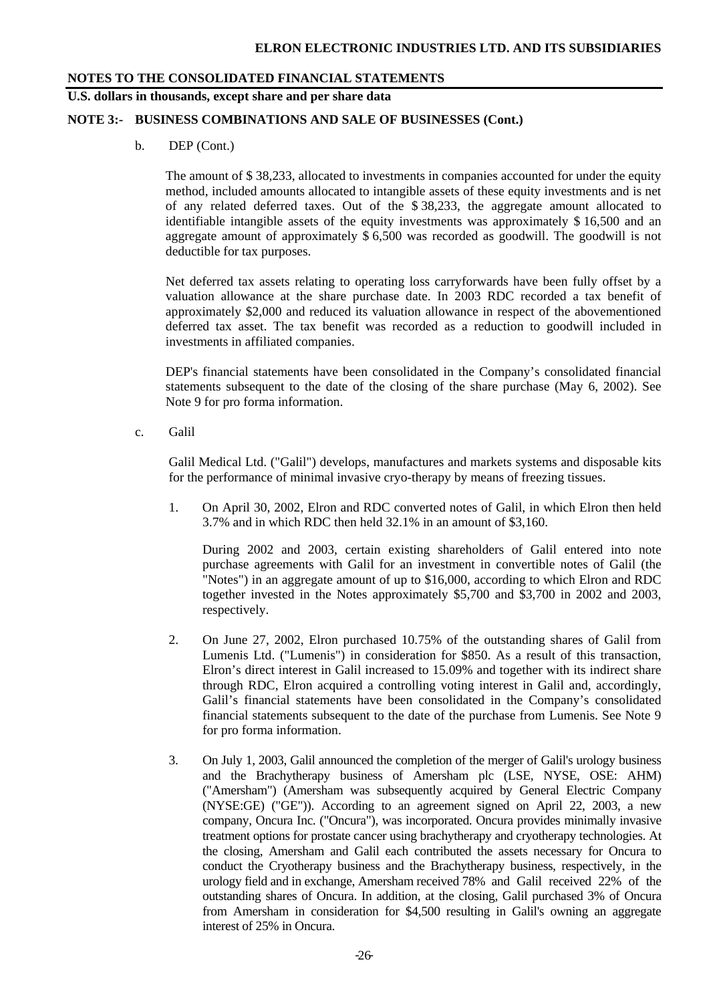**U.S. dollars in thousands, except share and per share data** 

#### **NOTE 3:- BUSINESS COMBINATIONS AND SALE OF BUSINESSES (Cont.)**

b. DEP (Cont.)

The amount of \$ 38,233, allocated to investments in companies accounted for under the equity method, included amounts allocated to intangible assets of these equity investments and is net of any related deferred taxes. Out of the \$ 38,233, the aggregate amount allocated to identifiable intangible assets of the equity investments was approximately \$ 16,500 and an aggregate amount of approximately \$ 6,500 was recorded as goodwill. The goodwill is not deductible for tax purposes.

Net deferred tax assets relating to operating loss carryforwards have been fully offset by a valuation allowance at the share purchase date. In 2003 RDC recorded a tax benefit of approximately \$2,000 and reduced its valuation allowance in respect of the abovementioned deferred tax asset. The tax benefit was recorded as a reduction to goodwill included in investments in affiliated companies.

DEP's financial statements have been consolidated in the Company's consolidated financial statements subsequent to the date of the closing of the share purchase (May 6, 2002). See Note 9 for pro forma information.

c. Galil

Galil Medical Ltd. ("Galil") develops, manufactures and markets systems and disposable kits for the performance of minimal invasive cryo-therapy by means of freezing tissues.

1. On April 30, 2002, Elron and RDC converted notes of Galil, in which Elron then held 3.7% and in which RDC then held 32.1% in an amount of \$3,160.

During 2002 and 2003, certain existing shareholders of Galil entered into note purchase agreements with Galil for an investment in convertible notes of Galil (the "Notes") in an aggregate amount of up to \$16,000, according to which Elron and RDC together invested in the Notes approximately \$5,700 and \$3,700 in 2002 and 2003, respectively.

- 2. On June 27, 2002, Elron purchased 10.75% of the outstanding shares of Galil from Lumenis Ltd. ("Lumenis") in consideration for \$850. As a result of this transaction, Elron's direct interest in Galil increased to 15.09% and together with its indirect share through RDC, Elron acquired a controlling voting interest in Galil and, accordingly, Galil's financial statements have been consolidated in the Company's consolidated financial statements subsequent to the date of the purchase from Lumenis. See Note 9 for pro forma information.
- 3. On July 1, 2003, Galil announced the completion of the merger of Galil's urology business and the Brachytherapy business of Amersham plc (LSE, NYSE, OSE: AHM) ("Amersham") (Amersham was subsequently acquired by General Electric Company (NYSE:GE) ("GE")). According to an agreement signed on April 22, 2003, a new company, Oncura Inc. ("Oncura"), was incorporated. Oncura provides minimally invasive treatment options for prostate cancer using brachytherapy and cryotherapy technologies. At the closing, Amersham and Galil each contributed the assets necessary for Oncura to conduct the Cryotherapy business and the Brachytherapy business, respectively, in the urology field and in exchange, Amersham received 78% and Galil received 22% of the outstanding shares of Oncura. In addition, at the closing, Galil purchased 3% of Oncura from Amersham in consideration for \$4,500 resulting in Galil's owning an aggregate interest of 25% in Oncura.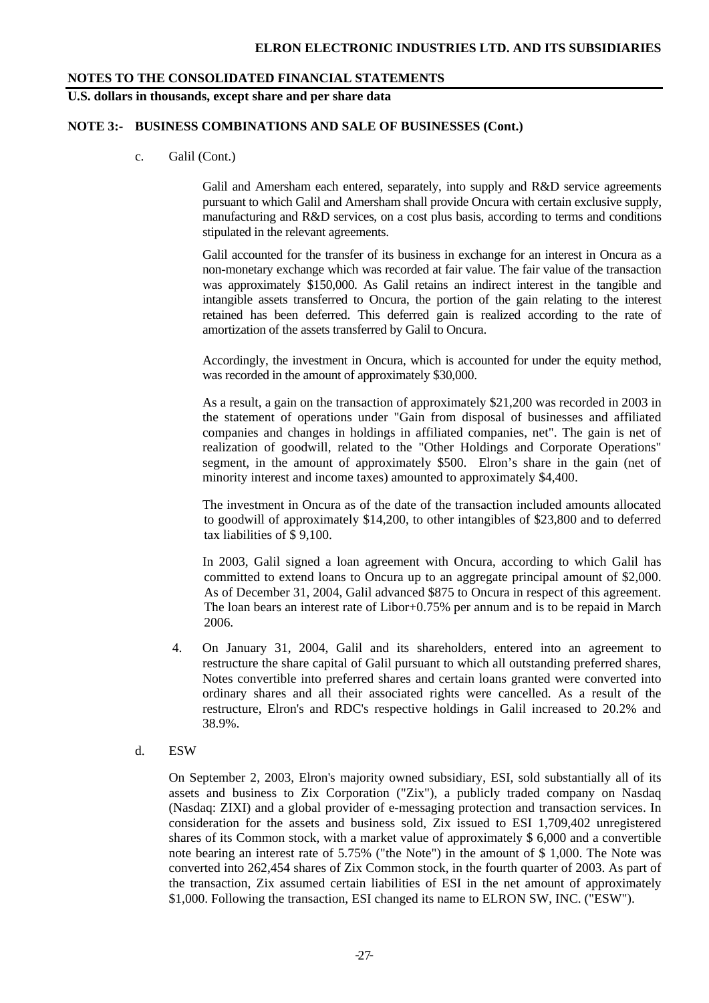## **U.S. dollars in thousands, except share and per share data**

#### **NOTE 3:- BUSINESS COMBINATIONS AND SALE OF BUSINESSES (Cont.)**

c. Galil (Cont.)

Galil and Amersham each entered, separately, into supply and R&D service agreements pursuant to which Galil and Amersham shall provide Oncura with certain exclusive supply, manufacturing and R&D services, on a cost plus basis, according to terms and conditions stipulated in the relevant agreements.

Galil accounted for the transfer of its business in exchange for an interest in Oncura as a non-monetary exchange which was recorded at fair value. The fair value of the transaction was approximately \$150,000. As Galil retains an indirect interest in the tangible and intangible assets transferred to Oncura, the portion of the gain relating to the interest retained has been deferred. This deferred gain is realized according to the rate of amortization of the assets transferred by Galil to Oncura.

Accordingly, the investment in Oncura, which is accounted for under the equity method, was recorded in the amount of approximately \$30,000.

As a result, a gain on the transaction of approximately \$21,200 was recorded in 2003 in the statement of operations under "Gain from disposal of businesses and affiliated companies and changes in holdings in affiliated companies, net". The gain is net of realization of goodwill, related to the "Other Holdings and Corporate Operations" segment, in the amount of approximately \$500. Elron's share in the gain (net of minority interest and income taxes) amounted to approximately \$4,400.

The investment in Oncura as of the date of the transaction included amounts allocated to goodwill of approximately \$14,200, to other intangibles of \$23,800 and to deferred tax liabilities of \$ 9,100.

In 2003, Galil signed a loan agreement with Oncura, according to which Galil has committed to extend loans to Oncura up to an aggregate principal amount of \$2,000. As of December 31, 2004, Galil advanced \$875 to Oncura in respect of this agreement. The loan bears an interest rate of Libor+0.75% per annum and is to be repaid in March 2006.

- 4. On January 31, 2004, Galil and its shareholders, entered into an agreement to restructure the share capital of Galil pursuant to which all outstanding preferred shares, Notes convertible into preferred shares and certain loans granted were converted into ordinary shares and all their associated rights were cancelled. As a result of the restructure, Elron's and RDC's respective holdings in Galil increased to 20.2% and 38.9%.
- d. ESW

On September 2, 2003, Elron's majority owned subsidiary, ESI, sold substantially all of its assets and business to Zix Corporation ("Zix"), a publicly traded company on Nasdaq (Nasdaq: ZIXI) and a global provider of e-messaging protection and transaction services. In consideration for the assets and business sold, Zix issued to ESI 1,709,402 unregistered shares of its Common stock, with a market value of approximately \$ 6,000 and a convertible note bearing an interest rate of 5.75% ("the Note") in the amount of \$ 1,000. The Note was converted into 262,454 shares of Zix Common stock, in the fourth quarter of 2003. As part of the transaction, Zix assumed certain liabilities of ESI in the net amount of approximately \$1,000. Following the transaction, ESI changed its name to ELRON SW, INC. ("ESW").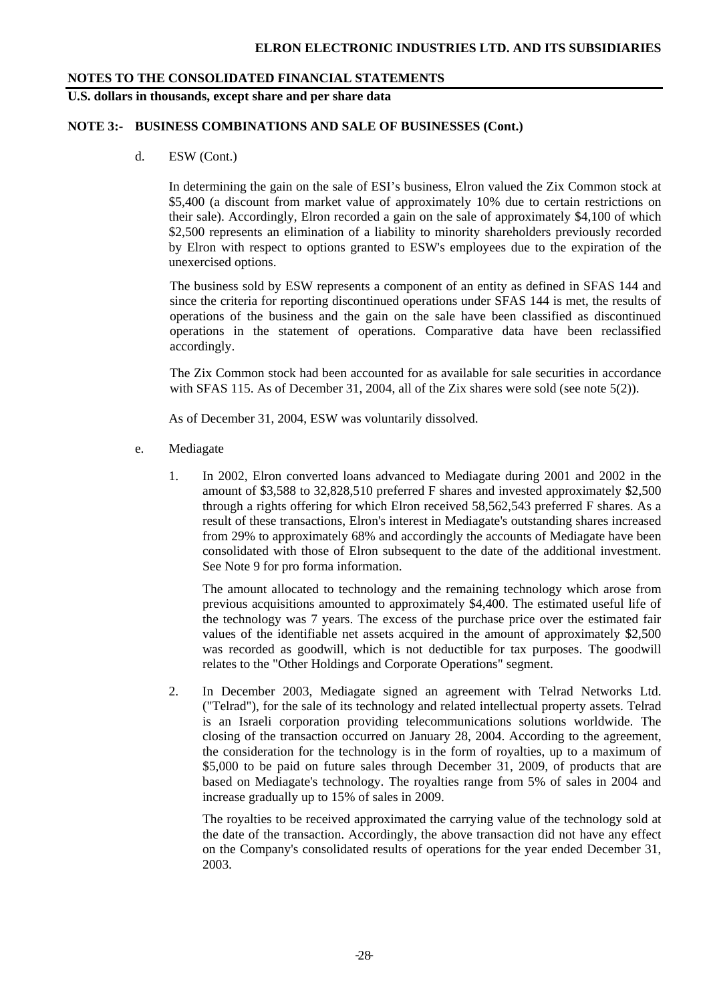**U.S. dollars in thousands, except share and per share data** 

#### **NOTE 3:- BUSINESS COMBINATIONS AND SALE OF BUSINESSES (Cont.)**

d. ESW (Cont.)

In determining the gain on the sale of ESI's business, Elron valued the Zix Common stock at \$5,400 (a discount from market value of approximately 10% due to certain restrictions on their sale). Accordingly, Elron recorded a gain on the sale of approximately \$4,100 of which \$2,500 represents an elimination of a liability to minority shareholders previously recorded by Elron with respect to options granted to ESW's employees due to the expiration of the unexercised options.

The business sold by ESW represents a component of an entity as defined in SFAS 144 and since the criteria for reporting discontinued operations under SFAS 144 is met, the results of operations of the business and the gain on the sale have been classified as discontinued operations in the statement of operations. Comparative data have been reclassified accordingly.

The Zix Common stock had been accounted for as available for sale securities in accordance with SFAS 115. As of December 31, 2004, all of the Zix shares were sold (see note 5(2)).

As of December 31, 2004, ESW was voluntarily dissolved.

- e. Mediagate
	- 1. In 2002, Elron converted loans advanced to Mediagate during 2001 and 2002 in the amount of \$3,588 to 32,828,510 preferred F shares and invested approximately \$2,500 through a rights offering for which Elron received 58,562,543 preferred F shares. As a result of these transactions, Elron's interest in Mediagate's outstanding shares increased from 29% to approximately 68% and accordingly the accounts of Mediagate have been consolidated with those of Elron subsequent to the date of the additional investment. See Note 9 for pro forma information.

The amount allocated to technology and the remaining technology which arose from previous acquisitions amounted to approximately \$4,400. The estimated useful life of the technology was 7 years. The excess of the purchase price over the estimated fair values of the identifiable net assets acquired in the amount of approximately \$2,500 was recorded as goodwill, which is not deductible for tax purposes. The goodwill relates to the "Other Holdings and Corporate Operations" segment.

2. In December 2003, Mediagate signed an agreement with Telrad Networks Ltd. ("Telrad"), for the sale of its technology and related intellectual property assets. Telrad is an Israeli corporation providing telecommunications solutions worldwide. The closing of the transaction occurred on January 28, 2004. According to the agreement, the consideration for the technology is in the form of royalties, up to a maximum of \$5,000 to be paid on future sales through December 31, 2009, of products that are based on Mediagate's technology. The royalties range from 5% of sales in 2004 and increase gradually up to 15% of sales in 2009.

 The royalties to be received approximated the carrying value of the technology sold at the date of the transaction. Accordingly, the above transaction did not have any effect on the Company's consolidated results of operations for the year ended December 31, 2003.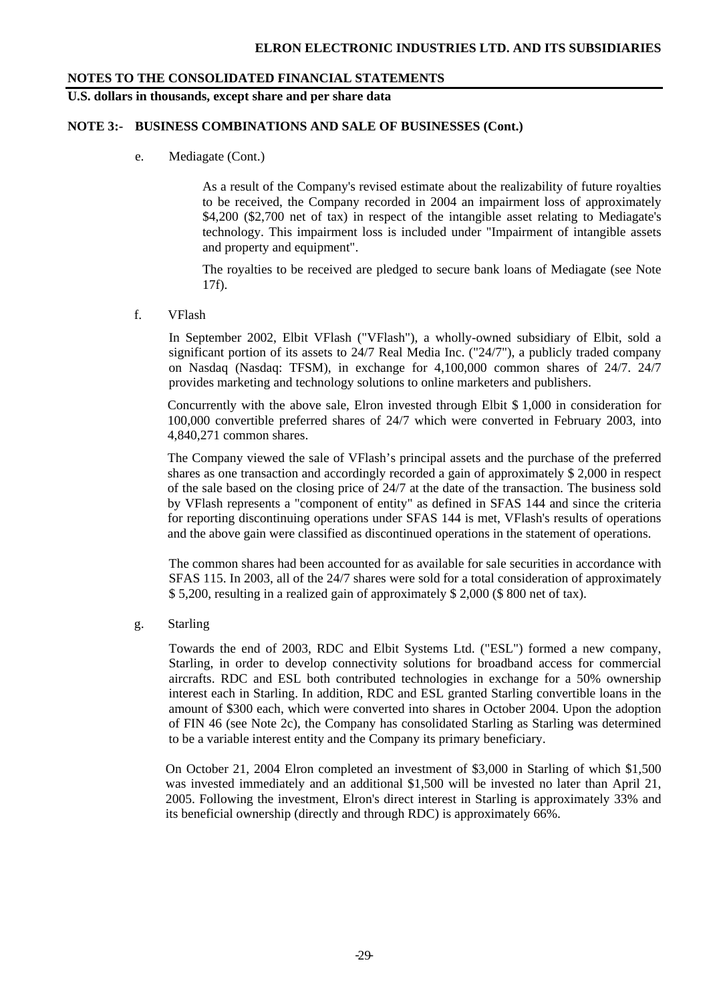## **U.S. dollars in thousands, except share and per share data**

#### **NOTE 3:- BUSINESS COMBINATIONS AND SALE OF BUSINESSES (Cont.)**

e. Mediagate (Cont.)

 As a result of the Company's revised estimate about the realizability of future royalties to be received, the Company recorded in 2004 an impairment loss of approximately \$4,200 (\$2,700 net of tax) in respect of the intangible asset relating to Mediagate's technology. This impairment loss is included under "Impairment of intangible assets and property and equipment".

The royalties to be received are pledged to secure bank loans of Mediagate (see Note 17f).

f. VFlash

In September 2002, Elbit VFlash ("VFlash"), a wholly-owned subsidiary of Elbit, sold a significant portion of its assets to  $24/7$  Real Media Inc. ("24/7"), a publicly traded company on Nasdaq (Nasdaq: TFSM), in exchange for 4,100,000 common shares of 24/7. 24/7 provides marketing and technology solutions to online marketers and publishers.

Concurrently with the above sale, Elron invested through Elbit \$ 1,000 in consideration for 100,000 convertible preferred shares of 24/7 which were converted in February 2003, into 4,840,271 common shares.

The Company viewed the sale of VFlash's principal assets and the purchase of the preferred shares as one transaction and accordingly recorded a gain of approximately \$ 2,000 in respect of the sale based on the closing price of 24/7 at the date of the transaction. The business sold by VFlash represents a "component of entity" as defined in SFAS 144 and since the criteria for reporting discontinuing operations under SFAS 144 is met, VFlash's results of operations and the above gain were classified as discontinued operations in the statement of operations.

The common shares had been accounted for as available for sale securities in accordance with SFAS 115. In 2003, all of the 24/7 shares were sold for a total consideration of approximately \$ 5,200, resulting in a realized gain of approximately \$ 2,000 (\$ 800 net of tax).

g. Starling

Towards the end of 2003, RDC and Elbit Systems Ltd. ("ESL") formed a new company, Starling, in order to develop connectivity solutions for broadband access for commercial aircrafts. RDC and ESL both contributed technologies in exchange for a 50% ownership interest each in Starling. In addition, RDC and ESL granted Starling convertible loans in the amount of \$300 each, which were converted into shares in October 2004. Upon the adoption of FIN 46 (see Note 2c), the Company has consolidated Starling as Starling was determined to be a variable interest entity and the Company its primary beneficiary.

On October 21, 2004 Elron completed an investment of \$3,000 in Starling of which \$1,500 was invested immediately and an additional \$1,500 will be invested no later than April 21, 2005. Following the investment, Elron's direct interest in Starling is approximately 33% and its beneficial ownership (directly and through RDC) is approximately 66%.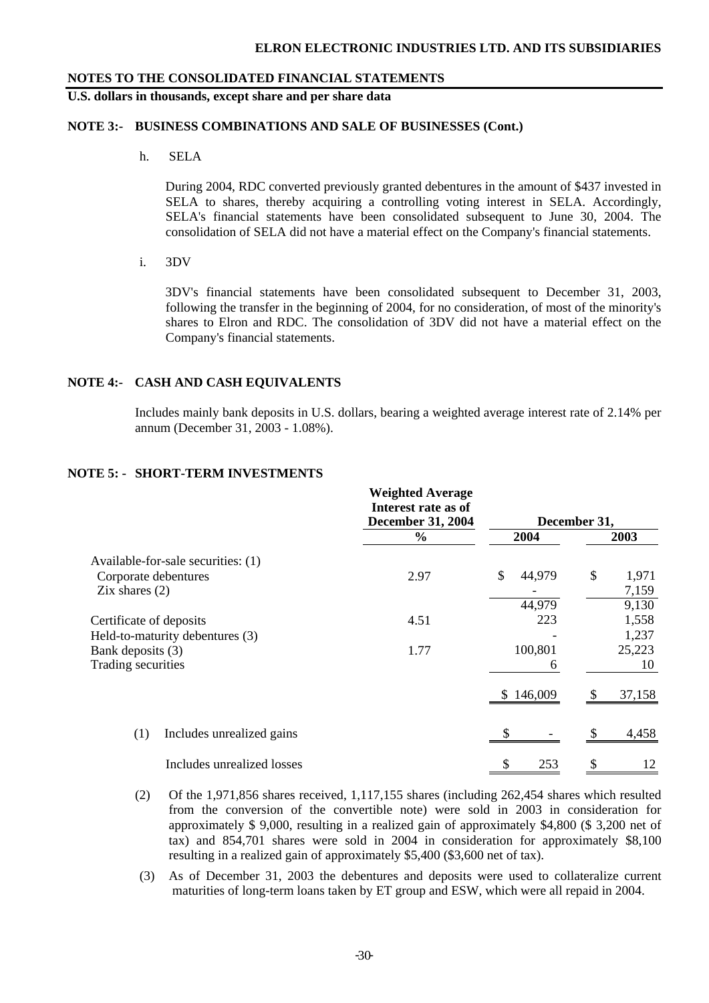**U.S. dollars in thousands, except share and per share data** 

### **NOTE 3:- BUSINESS COMBINATIONS AND SALE OF BUSINESSES (Cont.)**

h. SELA

 During 2004, RDC converted previously granted debentures in the amount of \$437 invested in SELA to shares, thereby acquiring a controlling voting interest in SELA. Accordingly, SELA's financial statements have been consolidated subsequent to June 30, 2004. The consolidation of SELA did not have a material effect on the Company's financial statements.

i. 3DV

 3DV's financial statements have been consolidated subsequent to December 31, 2003, following the transfer in the beginning of 2004, for no consideration, of most of the minority's shares to Elron and RDC. The consolidation of 3DV did not have a material effect on the Company's financial statements.

## **NOTE 4:- CASH AND CASH EQUIVALENTS**

Includes mainly bank deposits in U.S. dollars, bearing a weighted average interest rate of 2.14% per annum (December 31, 2003 - 1.08%).

|                                                                                    | <b>Weighted Average</b><br>Interest rate as of<br><b>December 31, 2004</b> |    | December 31,  |                         |
|------------------------------------------------------------------------------------|----------------------------------------------------------------------------|----|---------------|-------------------------|
|                                                                                    | $\frac{0}{0}$                                                              |    | 2004          | 2003                    |
| Available-for-sale securities: (1)<br>Corporate debentures<br>$\chi$ ix shares (2) | 2.97                                                                       | \$ | 44,979        | \$<br>1,971<br>7,159    |
| Certificate of deposits<br>Held-to-maturity debentures (3)                         | 4.51                                                                       |    | 44,979<br>223 | 9,130<br>1,558<br>1,237 |
| Bank deposits (3)<br>Trading securities                                            | 1.77                                                                       |    | 100,801<br>6  | 25,223<br>10            |
|                                                                                    |                                                                            |    | \$146,009     | \$<br>37,158            |
| Includes unrealized gains<br>(1)                                                   |                                                                            |    |               | 4,458                   |
| Includes unrealized losses                                                         |                                                                            | \$ | 253           | \$<br>12                |

#### **NOTE 5: - SHORT-TERM INVESTMENTS**

- (2) Of the 1,971,856 shares received, 1,117,155 shares (including 262,454 shares which resulted from the conversion of the convertible note) were sold in 2003 in consideration for approximately \$ 9,000, resulting in a realized gain of approximately \$4,800 (\$ 3,200 net of tax) and 854,701 shares were sold in 2004 in consideration for approximately \$8,100 resulting in a realized gain of approximately \$5,400 (\$3,600 net of tax).
- (3) As of December 31, 2003 the debentures and deposits were used to collateralize current maturities of long-term loans taken by ET group and ESW, which were all repaid in 2004.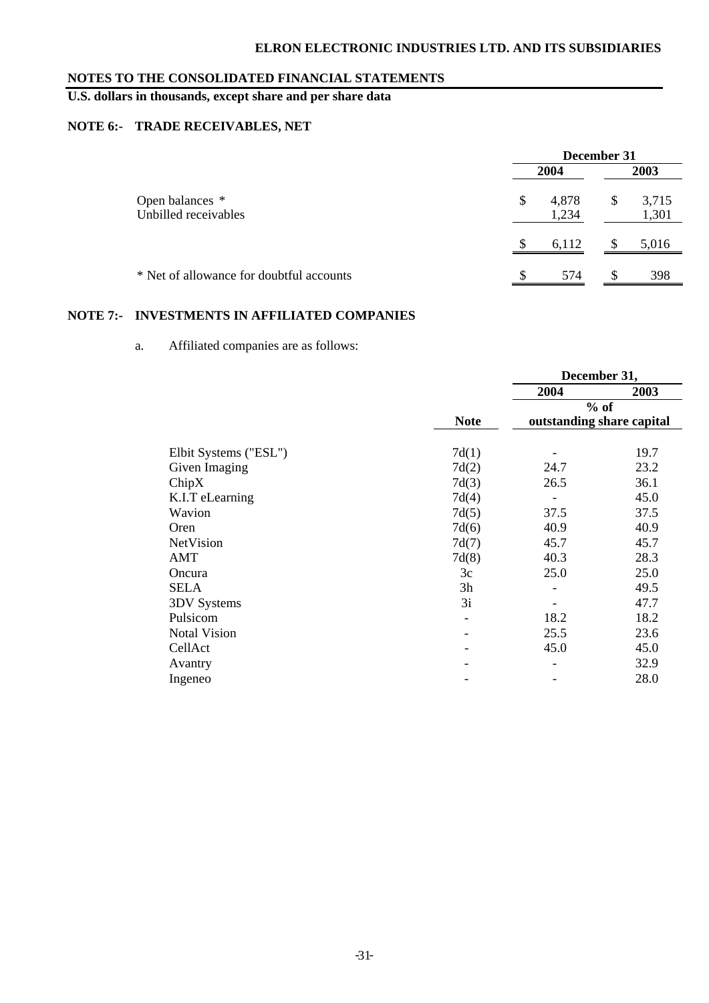**U.S. dollars in thousands, except share and per share data** 

## **NOTE 6:- TRADE RECEIVABLES, NET**

|                                          |                      | December 31          |  |  |  |
|------------------------------------------|----------------------|----------------------|--|--|--|
|                                          | 2004                 | 2003                 |  |  |  |
| Open balances *<br>Unbilled receivables  | 4,878<br>\$<br>1,234 | 3,715<br>\$<br>1,301 |  |  |  |
|                                          | 6,112                | 5,016                |  |  |  |
| * Net of allowance for doubtful accounts | 574                  | 398<br>S             |  |  |  |

## **NOTE 7:- INVESTMENTS IN AFFILIATED COMPANIES**

## a. Affiliated companies are as follows:

|                       |             | December 31,              |      |  |  |
|-----------------------|-------------|---------------------------|------|--|--|
|                       |             | 2004                      | 2003 |  |  |
|                       |             | $%$ of                    |      |  |  |
|                       | <b>Note</b> | outstanding share capital |      |  |  |
|                       |             |                           |      |  |  |
| Elbit Systems ("ESL") | 7d(1)       |                           | 19.7 |  |  |
| Given Imaging         | 7d(2)       | 24.7                      | 23.2 |  |  |
| ChipX                 | 7d(3)       | 26.5                      | 36.1 |  |  |
| K.I.T eLearning       | 7d(4)       |                           | 45.0 |  |  |
| Wavion                | 7d(5)       | 37.5                      | 37.5 |  |  |
| Oren                  | 7d(6)       | 40.9                      | 40.9 |  |  |
| NetVision             | 7d(7)       | 45.7                      | 45.7 |  |  |
| AMT                   | 7d(8)       | 40.3                      | 28.3 |  |  |
| Oncura                | 3c          | 25.0                      | 25.0 |  |  |
| <b>SELA</b>           | 3h          | $\overline{\phantom{a}}$  | 49.5 |  |  |
| <b>3DV Systems</b>    | 3i          |                           | 47.7 |  |  |
| Pulsicom              |             | 18.2                      | 18.2 |  |  |
| <b>Notal Vision</b>   |             | 25.5                      | 23.6 |  |  |
| CellAct               |             | 45.0                      | 45.0 |  |  |
| Avantry               |             |                           | 32.9 |  |  |
| Ingeneo               |             |                           | 28.0 |  |  |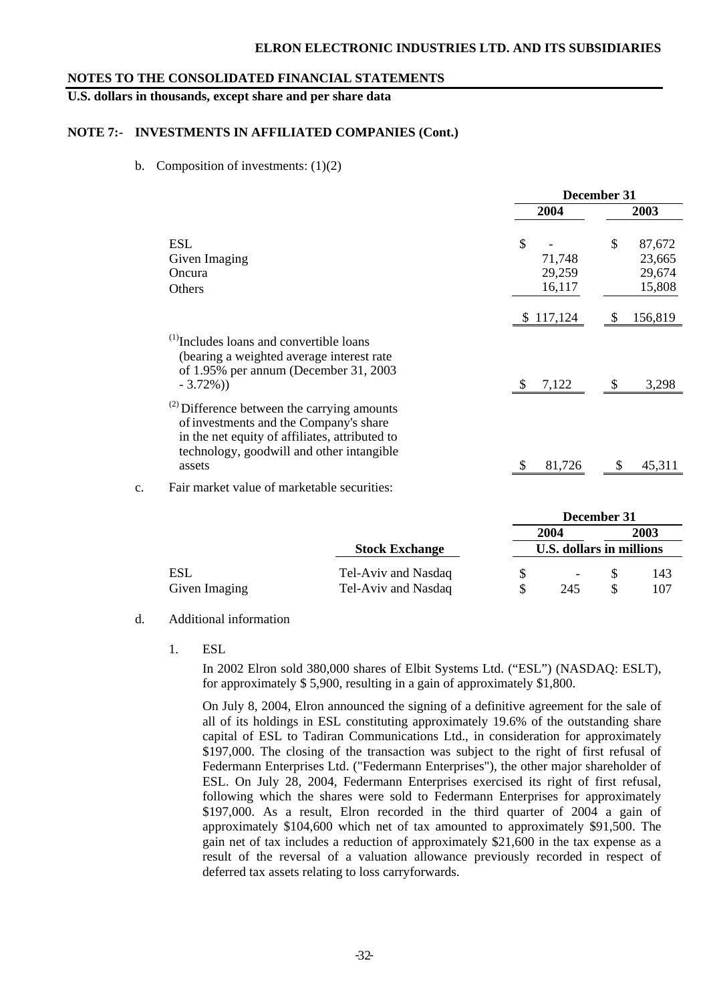### **ELRON ELECTRONIC INDUSTRIES LTD. AND ITS SUBSIDIARIES**

#### **NOTES TO THE CONSOLIDATED FINANCIAL STATEMENTS**

**U.S. dollars in thousands, except share and per share data** 

## **NOTE 7:- INVESTMENTS IN AFFILIATED COMPANIES (Cont.)**

b. Composition of investments:  $(1)(2)$ 

|                                                 |                                                                                                                                                                                           | December 31 |                                 |               |                                      |
|-------------------------------------------------|-------------------------------------------------------------------------------------------------------------------------------------------------------------------------------------------|-------------|---------------------------------|---------------|--------------------------------------|
|                                                 |                                                                                                                                                                                           |             | 2004                            |               | 2003                                 |
| <b>ESL</b><br>Given Imaging<br>Oncura<br>Others |                                                                                                                                                                                           | \$          | 71,748<br>29,259<br>16,117      | $\mathcal{S}$ | 87,672<br>23,665<br>29,674<br>15,808 |
|                                                 |                                                                                                                                                                                           |             | \$117,124                       | <sup>\$</sup> | 156,819                              |
| $-3.72\%)$                                      | <sup>(1)</sup> Includes loans and convertible loans<br>(bearing a weighted average interest rate<br>of 1.95% per annum (December 31, 2003                                                 | \$          | 7,122                           | \$            | 3,298                                |
| assets                                          | $^{(2)}$ Difference between the carrying amounts<br>of investments and the Company's share<br>in the net equity of affiliates, attributed to<br>technology, goodwill and other intangible | S           | 81,726                          |               | 45,311                               |
| c.                                              | Fair market value of marketable securities:                                                                                                                                               |             |                                 |               |                                      |
|                                                 |                                                                                                                                                                                           |             |                                 | December 31   |                                      |
|                                                 |                                                                                                                                                                                           |             | 2004                            |               | 2003                                 |
|                                                 | <b>Stock Exchange</b>                                                                                                                                                                     |             | <b>U.S. dollars in millions</b> |               |                                      |
| <b>ESL</b>                                      | Tel-Aviv and Nasdaq                                                                                                                                                                       | \$          |                                 | \$            | 143                                  |
| Given Imaging                                   | Tel-Aviv and Nasdaq                                                                                                                                                                       | \$          | 245                             | \$            | 107                                  |

- d. Additional information
	- 1. ESL

In 2002 Elron sold 380,000 shares of Elbit Systems Ltd. ("ESL") (NASDAQ: ESLT), for approximately \$ 5,900, resulting in a gain of approximately \$1,800.

 On July 8, 2004, Elron announced the signing of a definitive agreement for the sale of all of its holdings in ESL constituting approximately 19.6% of the outstanding share capital of ESL to Tadiran Communications Ltd., in consideration for approximately \$197,000. The closing of the transaction was subject to the right of first refusal of Federmann Enterprises Ltd. ("Federmann Enterprises"), the other major shareholder of ESL. On July 28, 2004, Federmann Enterprises exercised its right of first refusal, following which the shares were sold to Federmann Enterprises for approximately \$197,000. As a result, Elron recorded in the third quarter of 2004 a gain of approximately \$104,600 which net of tax amounted to approximately \$91,500. The gain net of tax includes a reduction of approximately \$21,600 in the tax expense as a result of the reversal of a valuation allowance previously recorded in respect of deferred tax assets relating to loss carryforwards.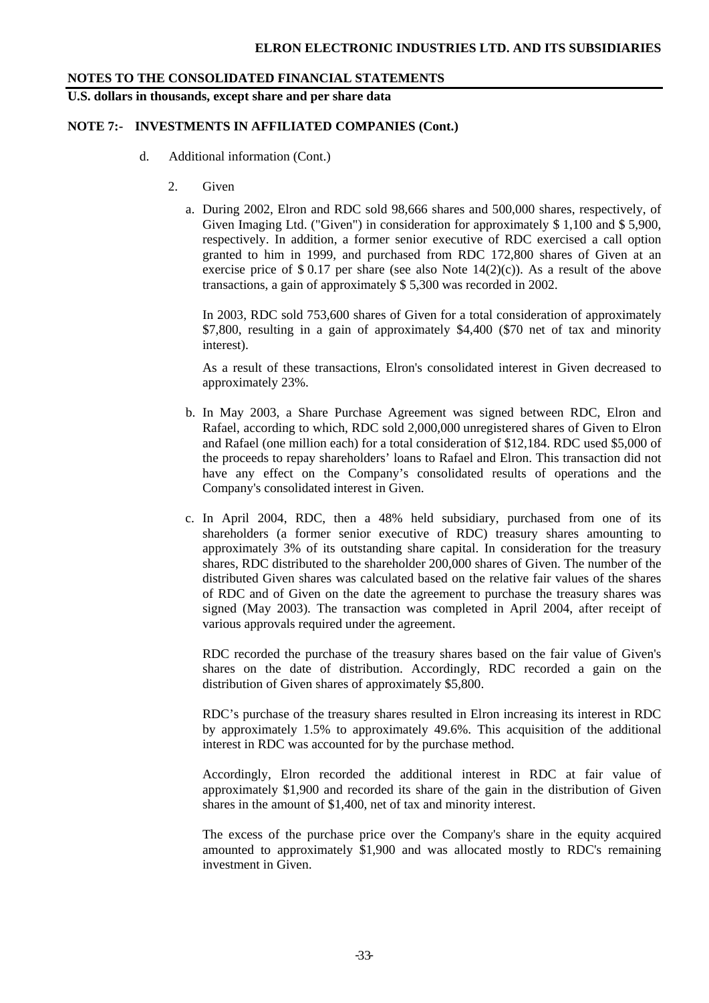**U.S. dollars in thousands, except share and per share data** 

### **NOTE 7:- INVESTMENTS IN AFFILIATED COMPANIES (Cont.)**

- d. Additional information (Cont.)
	- 2. Given
		- a. During 2002, Elron and RDC sold 98,666 shares and 500,000 shares, respectively, of Given Imaging Ltd. ("Given") in consideration for approximately \$ 1,100 and \$ 5,900, respectively. In addition, a former senior executive of RDC exercised a call option granted to him in 1999, and purchased from RDC 172,800 shares of Given at an exercise price of  $$ 0.17$  per share (see also Note  $14(2)(c)$ ). As a result of the above transactions, a gain of approximately \$ 5,300 was recorded in 2002.

In 2003, RDC sold 753,600 shares of Given for a total consideration of approximately \$7,800, resulting in a gain of approximately \$4,400 (\$70 net of tax and minority interest).

 As a result of these transactions, Elron's consolidated interest in Given decreased to approximately 23%.

- b. In May 2003, a Share Purchase Agreement was signed between RDC, Elron and Rafael, according to which, RDC sold 2,000,000 unregistered shares of Given to Elron and Rafael (one million each) for a total consideration of \$12,184. RDC used \$5,000 of the proceeds to repay shareholders' loans to Rafael and Elron. This transaction did not have any effect on the Company's consolidated results of operations and the Company's consolidated interest in Given.
- c. In April 2004, RDC, then a 48% held subsidiary, purchased from one of its shareholders (a former senior executive of RDC) treasury shares amounting to approximately 3% of its outstanding share capital. In consideration for the treasury shares, RDC distributed to the shareholder 200,000 shares of Given. The number of the distributed Given shares was calculated based on the relative fair values of the shares of RDC and of Given on the date the agreement to purchase the treasury shares was signed (May 2003). The transaction was completed in April 2004, after receipt of various approvals required under the agreement.

RDC recorded the purchase of the treasury shares based on the fair value of Given's shares on the date of distribution. Accordingly, RDC recorded a gain on the distribution of Given shares of approximately \$5,800.

RDC's purchase of the treasury shares resulted in Elron increasing its interest in RDC by approximately 1.5% to approximately 49.6%. This acquisition of the additional interest in RDC was accounted for by the purchase method.

Accordingly, Elron recorded the additional interest in RDC at fair value of approximately \$1,900 and recorded its share of the gain in the distribution of Given shares in the amount of \$1,400, net of tax and minority interest.

The excess of the purchase price over the Company's share in the equity acquired amounted to approximately \$1,900 and was allocated mostly to RDC's remaining investment in Given.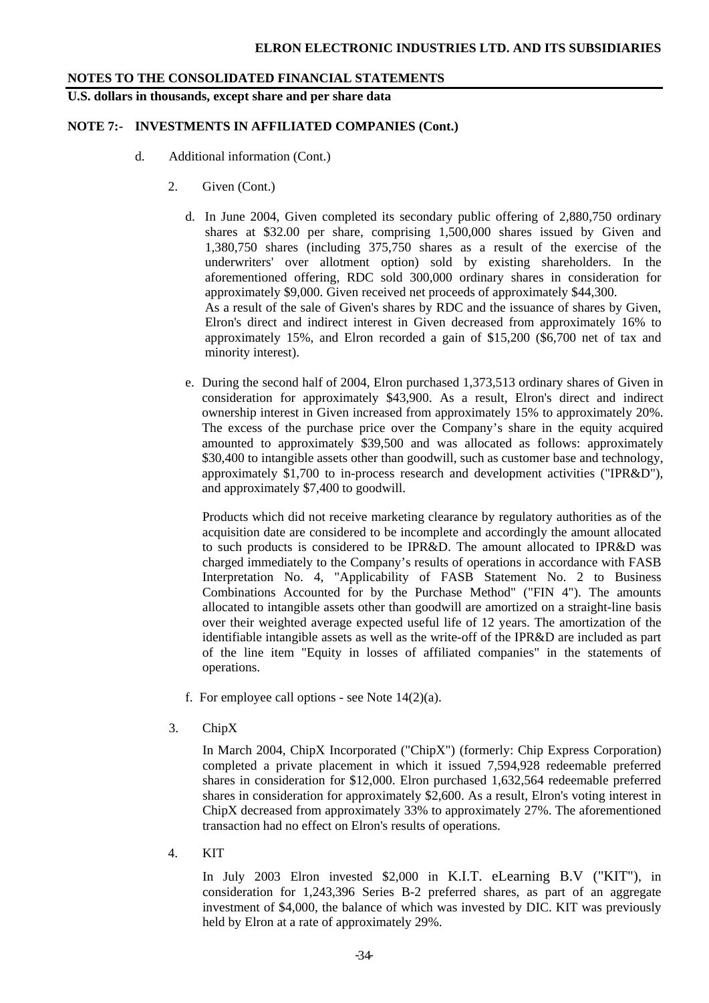**U.S. dollars in thousands, except share and per share data** 

## **NOTE 7:- INVESTMENTS IN AFFILIATED COMPANIES (Cont.)**

- d. Additional information (Cont.)
	- 2. Given (Cont.)
		- d. In June 2004, Given completed its secondary public offering of 2,880,750 ordinary shares at \$32.00 per share, comprising 1,500,000 shares issued by Given and 1,380,750 shares (including 375,750 shares as a result of the exercise of the underwriters' over allotment option) sold by existing shareholders. In the aforementioned offering, RDC sold 300,000 ordinary shares in consideration for approximately \$9,000. Given received net proceeds of approximately \$44,300. As a result of the sale of Given's shares by RDC and the issuance of shares by Given, Elron's direct and indirect interest in Given decreased from approximately 16% to approximately 15%, and Elron recorded a gain of \$15,200 (\$6,700 net of tax and minority interest).
		- e. During the second half of 2004, Elron purchased 1,373,513 ordinary shares of Given in consideration for approximately \$43,900. As a result, Elron's direct and indirect ownership interest in Given increased from approximately 15% to approximately 20%. The excess of the purchase price over the Company's share in the equity acquired amounted to approximately \$39,500 and was allocated as follows: approximately \$30,400 to intangible assets other than goodwill, such as customer base and technology, approximately \$1,700 to in-process research and development activities ("IPR&D"), and approximately \$7,400 to goodwill.

Products which did not receive marketing clearance by regulatory authorities as of the acquisition date are considered to be incomplete and accordingly the amount allocated to such products is considered to be IPR&D. The amount allocated to IPR&D was charged immediately to the Company's results of operations in accordance with FASB Interpretation No. 4, "Applicability of FASB Statement No. 2 to Business Combinations Accounted for by the Purchase Method" ("FIN 4"). The amounts allocated to intangible assets other than goodwill are amortized on a straight-line basis over their weighted average expected useful life of 12 years. The amortization of the identifiable intangible assets as well as the write-off of the IPR&D are included as part of the line item "Equity in losses of affiliated companies" in the statements of operations.

- f. For employee call options see Note  $14(2)(a)$ .
- 3. ChipX

 In March 2004, ChipX Incorporated ("ChipX") (formerly: Chip Express Corporation) completed a private placement in which it issued 7,594,928 redeemable preferred shares in consideration for \$12,000. Elron purchased 1,632,564 redeemable preferred shares in consideration for approximately \$2,600. As a result, Elron's voting interest in ChipX decreased from approximately 33% to approximately 27%. The aforementioned transaction had no effect on Elron's results of operations.

4. KIT

In July 2003 Elron invested \$2,000 in K.I.T. eLearning B.V ("KIT"), in consideration for 1,243,396 Series B-2 preferred shares, as part of an aggregate investment of \$4,000, the balance of which was invested by DIC. KIT was previously held by Elron at a rate of approximately 29%.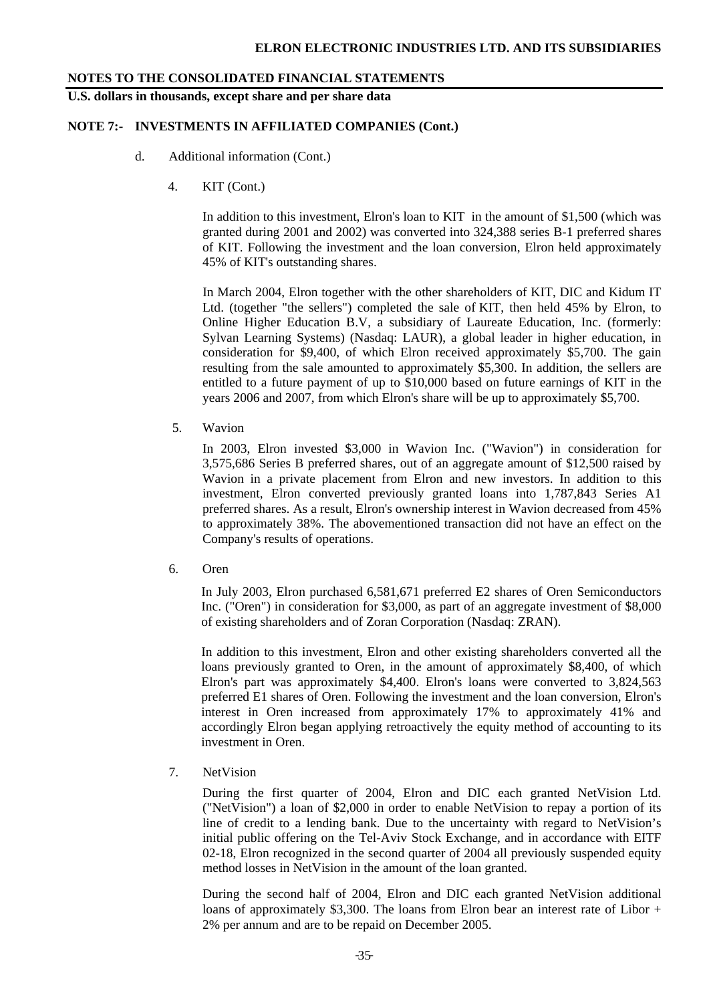**U.S. dollars in thousands, except share and per share data** 

#### **NOTE 7:- INVESTMENTS IN AFFILIATED COMPANIES (Cont.)**

- d. Additional information (Cont.)
	- 4. KIT (Cont.)

In addition to this investment, Elron's loan to KIT in the amount of \$1,500 (which was granted during 2001 and 2002) was converted into 324,388 series B-1 preferred shares of KIT. Following the investment and the loan conversion, Elron held approximately 45% of KIT's outstanding shares.

In March 2004, Elron together with the other shareholders of KIT, DIC and Kidum IT Ltd. (together "the sellers") completed the sale of KIT, then held 45% by Elron, to Online Higher Education B.V, a subsidiary of Laureate Education, Inc. (formerly: Sylvan Learning Systems) (Nasdaq: LAUR), a global leader in higher education, in consideration for \$9,400, of which Elron received approximately \$5,700. The gain resulting from the sale amounted to approximately \$5,300. In addition, the sellers are entitled to a future payment of up to \$10,000 based on future earnings of KIT in the years 2006 and 2007, from which Elron's share will be up to approximately \$5,700.

5. Wavion

 In 2003, Elron invested \$3,000 in Wavion Inc. ("Wavion") in consideration for 3,575,686 Series B preferred shares, out of an aggregate amount of \$12,500 raised by Wavion in a private placement from Elron and new investors. In addition to this investment, Elron converted previously granted loans into 1,787,843 Series A1 preferred shares. As a result, Elron's ownership interest in Wavion decreased from 45% to approximately 38%. The abovementioned transaction did not have an effect on the Company's results of operations.

6. Oren

In July 2003, Elron purchased 6,581,671 preferred E2 shares of Oren Semiconductors Inc. ("Oren") in consideration for \$3,000, as part of an aggregate investment of \$8,000 of existing shareholders and of Zoran Corporation (Nasdaq: ZRAN).

In addition to this investment, Elron and other existing shareholders converted all the loans previously granted to Oren, in the amount of approximately \$8,400, of which Elron's part was approximately \$4,400. Elron's loans were converted to 3,824,563 preferred E1 shares of Oren. Following the investment and the loan conversion, Elron's interest in Oren increased from approximately 17% to approximately 41% and accordingly Elron began applying retroactively the equity method of accounting to its investment in Oren.

7. NetVision

 During the first quarter of 2004, Elron and DIC each granted NetVision Ltd. ("NetVision") a loan of \$2,000 in order to enable NetVision to repay a portion of its line of credit to a lending bank. Due to the uncertainty with regard to NetVision's initial public offering on the Tel-Aviv Stock Exchange, and in accordance with EITF 02-18, Elron recognized in the second quarter of 2004 all previously suspended equity method losses in NetVision in the amount of the loan granted.

During the second half of 2004, Elron and DIC each granted NetVision additional loans of approximately \$3,300. The loans from Elron bear an interest rate of Libor  $+$ 2% per annum and are to be repaid on December 2005.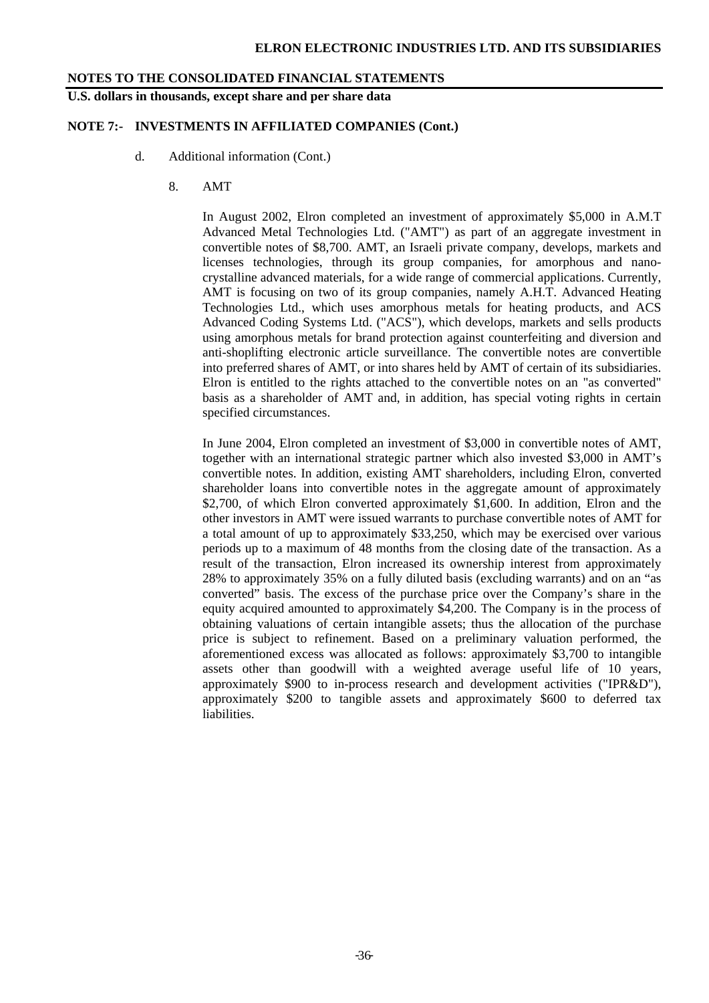**U.S. dollars in thousands, except share and per share data** 

### **NOTE 7:- INVESTMENTS IN AFFILIATED COMPANIES (Cont.)**

- d. Additional information (Cont.)
	- 8. AMT

In August 2002, Elron completed an investment of approximately \$5,000 in A.M.T Advanced Metal Technologies Ltd. ("AMT") as part of an aggregate investment in convertible notes of \$8,700. AMT, an Israeli private company, develops, markets and licenses technologies, through its group companies, for amorphous and nanocrystalline advanced materials, for a wide range of commercial applications. Currently, AMT is focusing on two of its group companies, namely A.H.T. Advanced Heating Technologies Ltd., which uses amorphous metals for heating products, and ACS Advanced Coding Systems Ltd. ("ACS"), which develops, markets and sells products using amorphous metals for brand protection against counterfeiting and diversion and anti-shoplifting electronic article surveillance. The convertible notes are convertible into preferred shares of AMT, or into shares held by AMT of certain of its subsidiaries. Elron is entitled to the rights attached to the convertible notes on an "as converted" basis as a shareholder of AMT and, in addition, has special voting rights in certain specified circumstances.

In June 2004, Elron completed an investment of \$3,000 in convertible notes of AMT, together with an international strategic partner which also invested \$3,000 in AMT's convertible notes. In addition, existing AMT shareholders, including Elron, converted shareholder loans into convertible notes in the aggregate amount of approximately \$2,700, of which Elron converted approximately \$1,600. In addition, Elron and the other investors in AMT were issued warrants to purchase convertible notes of AMT for a total amount of up to approximately \$33,250, which may be exercised over various periods up to a maximum of 48 months from the closing date of the transaction. As a result of the transaction, Elron increased its ownership interest from approximately 28% to approximately 35% on a fully diluted basis (excluding warrants) and on an "as converted" basis. The excess of the purchase price over the Company's share in the equity acquired amounted to approximately \$4,200. The Company is in the process of obtaining valuations of certain intangible assets; thus the allocation of the purchase price is subject to refinement. Based on a preliminary valuation performed, the aforementioned excess was allocated as follows: approximately \$3,700 to intangible assets other than goodwill with a weighted average useful life of 10 years, approximately \$900 to in-process research and development activities ("IPR&D"), approximately \$200 to tangible assets and approximately \$600 to deferred tax **liabilities**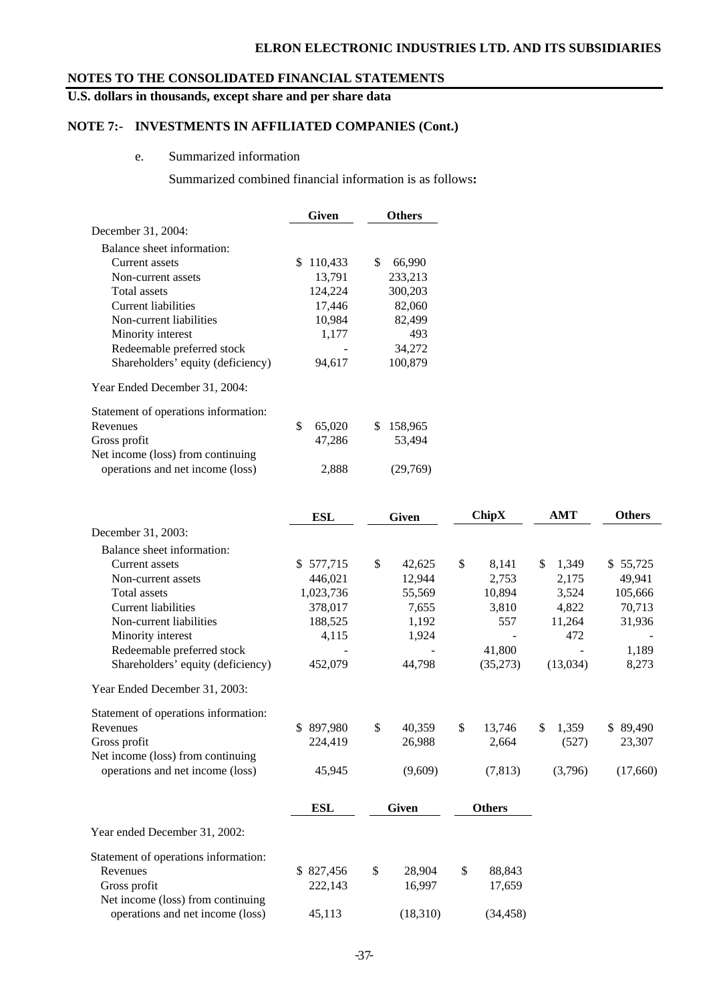## **ELRON ELECTRONIC INDUSTRIES LTD. AND ITS SUBSIDIARIES**

## **NOTES TO THE CONSOLIDATED FINANCIAL STATEMENTS**

## **U.S. dollars in thousands, except share and per share data**

## **NOTE 7:- INVESTMENTS IN AFFILIATED COMPANIES (Cont.)**

## e. Summarized information

Summarized combined financial information is as follows**:** 

|                                      | Given         | <b>Others</b> |
|--------------------------------------|---------------|---------------|
| December 31, 2004:                   |               |               |
| Balance sheet information:           |               |               |
| Current assets                       | \$<br>110,433 | \$<br>66,990  |
| Non-current assets                   | 13,791        | 233,213       |
| <b>Total assets</b>                  | 124,224       | 300,203       |
| Current liabilities                  | 17,446        | 82,060        |
| Non-current liabilities              | 10,984        | 82,499        |
| Minority interest                    | 1,177         | 493           |
| Redeemable preferred stock           |               | 34,272        |
| Shareholders' equity (deficiency)    | 94,617        | 100,879       |
| Year Ended December 31, 2004:        |               |               |
| Statement of operations information: |               |               |
| Revenues                             | \$<br>65,020  | \$<br>158,965 |
| Gross profit                         | 47,286        | 53,494        |
| Net income (loss) from continuing    |               |               |
| operations and net income (loss)     | 2,888         | (29,769)      |

|                                      | <b>ESL</b> |              | <b>Given</b> |              | <b>ChipX</b>  | <b>AMT</b>  | <b>Others</b> |
|--------------------------------------|------------|--------------|--------------|--------------|---------------|-------------|---------------|
| December 31, 2003:                   |            |              |              |              |               |             |               |
| Balance sheet information:           |            |              |              |              |               |             |               |
| Current assets                       | \$577,715  | $\mathbb{S}$ | 42,625       | \$           | 8,141         | \$<br>1,349 | \$55,725      |
| Non-current assets                   | 446,021    |              | 12,944       |              | 2,753         | 2,175       | 49,941        |
| Total assets                         | 1,023,736  |              | 55,569       |              | 10,894        | 3,524       | 105,666       |
| <b>Current liabilities</b>           | 378,017    |              | 7,655        |              | 3,810         | 4,822       | 70,713        |
| Non-current liabilities              | 188,525    |              | 1,192        |              | 557           | 11,264      | 31,936        |
| Minority interest                    | 4,115      |              | 1,924        |              |               | 472         |               |
| Redeemable preferred stock           |            |              |              |              | 41,800        |             | 1,189         |
| Shareholders' equity (deficiency)    | 452,079    |              | 44,798       |              | (35,273)      | (13,034)    | 8,273         |
| Year Ended December 31, 2003:        |            |              |              |              |               |             |               |
| Statement of operations information: |            |              |              |              |               |             |               |
| Revenues                             | \$897,980  | $\mathbb{S}$ | 40,359       | $\mathbb{S}$ | 13,746        | 1,359<br>\$ | \$89,490      |
| Gross profit                         | 224,419    |              | 26,988       |              | 2,664         | (527)       | 23,307        |
| Net income (loss) from continuing    |            |              |              |              |               |             |               |
| operations and net income (loss)     | 45,945     |              | (9,609)      |              | (7, 813)      | (3,796)     | (17,660)      |
|                                      | <b>ESL</b> |              | <b>Given</b> |              | <b>Others</b> |             |               |
| Year ended December 31, 2002:        |            |              |              |              |               |             |               |
| Statement of operations information: |            |              |              |              |               |             |               |
| Revenues                             | \$827,456  | \$           | 28,904       | $\mathbb{S}$ | 88,843        |             |               |
| Gross profit                         | 222,143    |              | 16,997       |              | 17,659        |             |               |
| Net income (loss) from continuing    |            |              |              |              |               |             |               |
| operations and net income (loss)     | 45,113     |              | (18,310)     |              | (34, 458)     |             |               |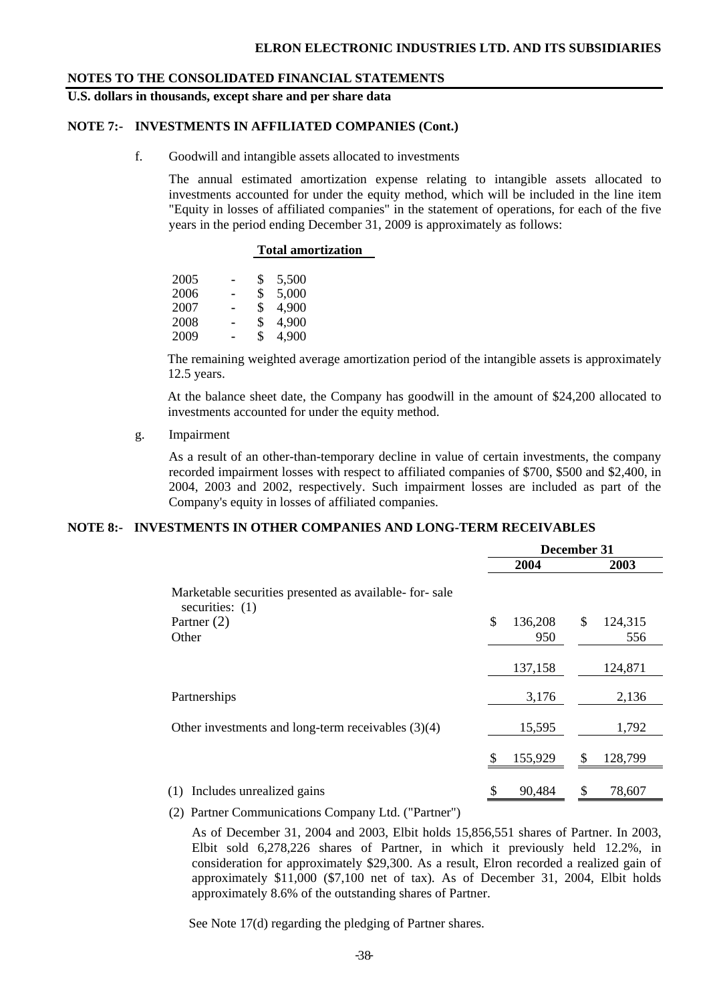**U.S. dollars in thousands, except share and per share data** 

## **NOTE 7:- INVESTMENTS IN AFFILIATED COMPANIES (Cont.)**

f. Goodwill and intangible assets allocated to investments

The annual estimated amortization expense relating to intangible assets allocated to investments accounted for under the equity method, which will be included in the line item "Equity in losses of affiliated companies" in the statement of operations, for each of the five years in the period ending December 31, 2009 is approximately as follows:

#### **Total amortization**

| 2005 | ۰              | \$<br>5.500 |
|------|----------------|-------------|
| 2006 | $\overline{a}$ | \$<br>5,000 |
| 2007 | $\blacksquare$ | \$<br>4,900 |
| 2008 |                | \$<br>4,900 |
| 2009 | $\blacksquare$ | \$<br>4,900 |

The remaining weighted average amortization period of the intangible assets is approximately 12.5 years.

At the balance sheet date, the Company has goodwill in the amount of \$24,200 allocated to investments accounted for under the equity method.

g. Impairment

As a result of an other-than-temporary decline in value of certain investments, the company recorded impairment losses with respect to affiliated companies of \$700, \$500 and \$2,400, in 2004, 2003 and 2002, respectively. Such impairment losses are included as part of the Company's equity in losses of affiliated companies.

### **NOTE 8:- INVESTMENTS IN OTHER COMPANIES AND LONG-TERM RECEIVABLES**

|                                                                            | December 31   |                |  |  |  |
|----------------------------------------------------------------------------|---------------|----------------|--|--|--|
|                                                                            | 2004          | 2003           |  |  |  |
| Marketable securities presented as available-for-sale<br>securities: $(1)$ |               |                |  |  |  |
| Partner $(2)$                                                              | \$<br>136,208 | \$<br>124,315  |  |  |  |
| Other                                                                      | 950           | 556            |  |  |  |
|                                                                            | 137,158       | 124,871        |  |  |  |
| Partnerships                                                               | 3,176         | 2,136          |  |  |  |
| Other investments and long-term receivables $(3)(4)$                       | 15,595        | 1,792          |  |  |  |
|                                                                            | 155,929       | \$.<br>128,799 |  |  |  |
| Includes unrealized gains<br>(1)                                           | 90,484<br>S   | 78,607<br>S    |  |  |  |

(2) Partner Communications Company Ltd. ("Partner")

 As of December 31, 2004 and 2003, Elbit holds 15,856,551 shares of Partner. In 2003, Elbit sold 6,278,226 shares of Partner, in which it previously held 12.2%, in consideration for approximately \$29,300. As a result, Elron recorded a realized gain of approximately \$11,000 (\$7,100 net of tax). As of December 31, 2004, Elbit holds approximately 8.6% of the outstanding shares of Partner.

See Note 17(d) regarding the pledging of Partner shares.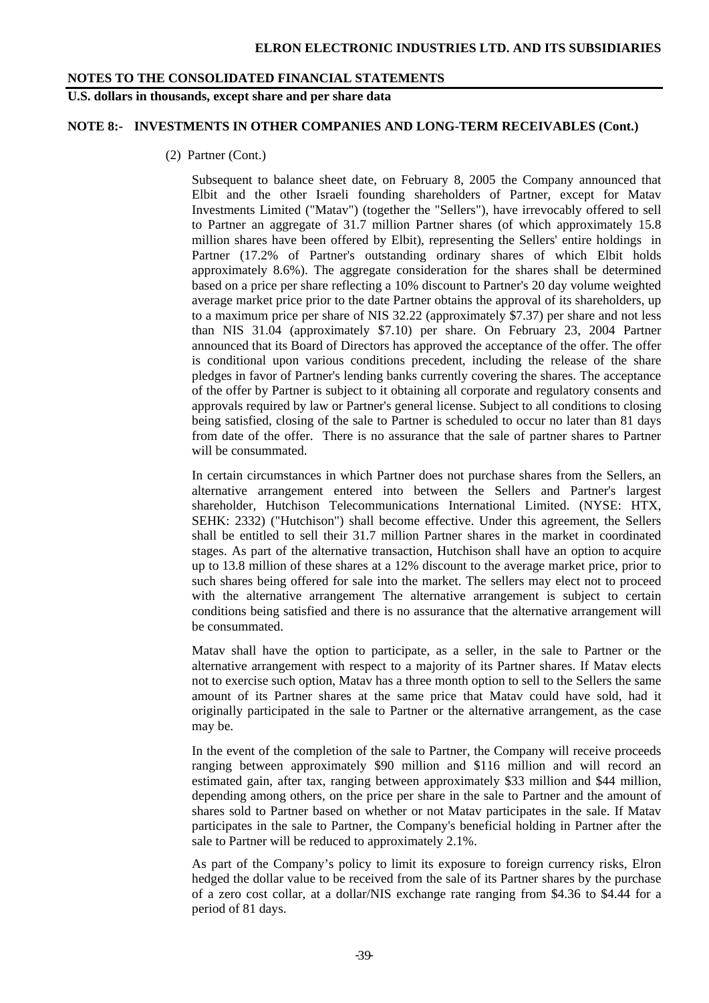## **U.S. dollars in thousands, except share and per share data**

## **NOTE 8:- INVESTMENTS IN OTHER COMPANIES AND LONG-TERM RECEIVABLES (Cont.)**

(2) Partner (Cont.)

Subsequent to balance sheet date, on February 8, 2005 the Company announced that Elbit and the other Israeli founding shareholders of Partner, except for Matav Investments Limited ("Matav") (together the "Sellers"), have irrevocably offered to sell to Partner an aggregate of 31.7 million Partner shares (of which approximately 15.8 million shares have been offered by Elbit), representing the Sellers' entire holdings in Partner (17.2% of Partner's outstanding ordinary shares of which Elbit holds approximately 8.6%). The aggregate consideration for the shares shall be determined based on a price per share reflecting a 10% discount to Partner's 20 day volume weighted average market price prior to the date Partner obtains the approval of its shareholders, up to a maximum price per share of NIS 32.22 (approximately \$7.37) per share and not less than NIS 31.04 (approximately \$7.10) per share. On February 23, 2004 Partner announced that its Board of Directors has approved the acceptance of the offer. The offer is conditional upon various conditions precedent, including the release of the share pledges in favor of Partner's lending banks currently covering the shares. The acceptance of the offer by Partner is subject to it obtaining all corporate and regulatory consents and approvals required by law or Partner's general license. Subject to all conditions to closing being satisfied, closing of the sale to Partner is scheduled to occur no later than 81 days from date of the offer. There is no assurance that the sale of partner shares to Partner will be consummated.

In certain circumstances in which Partner does not purchase shares from the Sellers, an alternative arrangement entered into between the Sellers and Partner's largest shareholder, Hutchison Telecommunications International Limited. (NYSE: HTX, SEHK: 2332) ("Hutchison") shall become effective. Under this agreement, the Sellers shall be entitled to sell their 31.7 million Partner shares in the market in coordinated stages. As part of the alternative transaction, Hutchison shall have an option to acquire up to 13.8 million of these shares at a 12% discount to the average market price, prior to such shares being offered for sale into the market. The sellers may elect not to proceed with the alternative arrangement The alternative arrangement is subject to certain conditions being satisfied and there is no assurance that the alternative arrangement will be consummated.

Matav shall have the option to participate, as a seller, in the sale to Partner or the alternative arrangement with respect to a majority of its Partner shares. If Matav elects not to exercise such option, Matav has a three month option to sell to the Sellers the same amount of its Partner shares at the same price that Matav could have sold, had it originally participated in the sale to Partner or the alternative arrangement, as the case may be.

In the event of the completion of the sale to Partner, the Company will receive proceeds ranging between approximately \$90 million and \$116 million and will record an estimated gain, after tax, ranging between approximately \$33 million and \$44 million, depending among others, on the price per share in the sale to Partner and the amount of shares sold to Partner based on whether or not Matav participates in the sale. If Matav participates in the sale to Partner, the Company's beneficial holding in Partner after the sale to Partner will be reduced to approximately 2.1%.

As part of the Company's policy to limit its exposure to foreign currency risks, Elron hedged the dollar value to be received from the sale of its Partner shares by the purchase of a zero cost collar, at a dollar/NIS exchange rate ranging from \$4.36 to \$4.44 for a period of 81 days.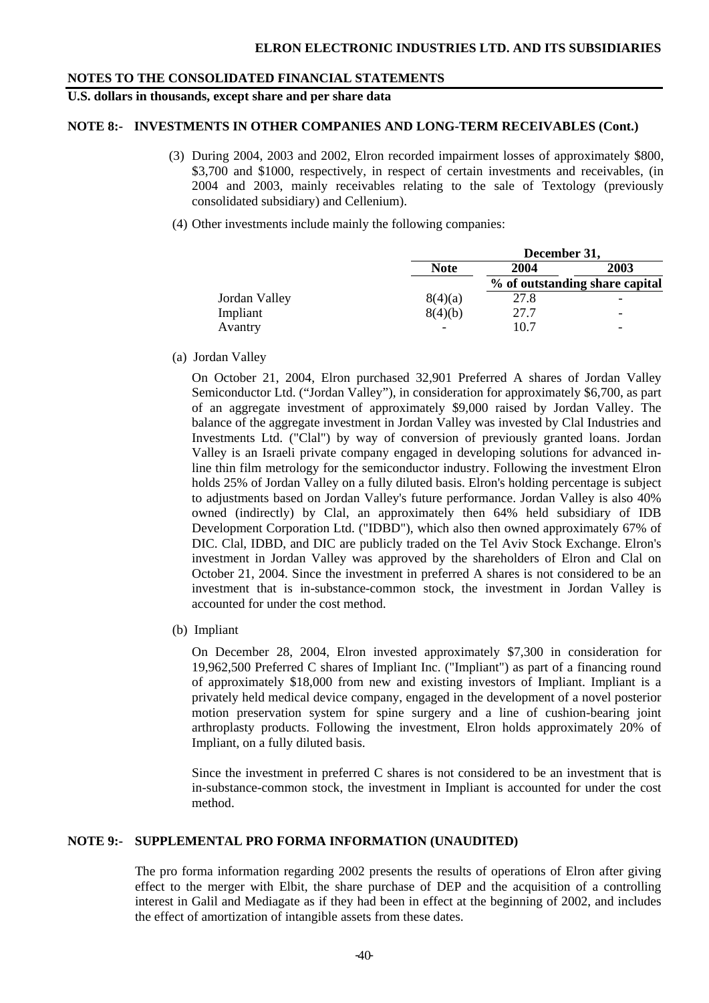## **U.S. dollars in thousands, except share and per share data**

## **NOTE 8:- INVESTMENTS IN OTHER COMPANIES AND LONG-TERM RECEIVABLES (Cont.)**

- (3) During 2004, 2003 and 2002, Elron recorded impairment losses of approximately \$800, \$3,700 and \$1000, respectively, in respect of certain investments and receivables, (in 2004 and 2003, mainly receivables relating to the sale of Textology (previously consolidated subsidiary) and Cellenium).
- (4) Other investments include mainly the following companies:

|               |             | December 31, |                                |
|---------------|-------------|--------------|--------------------------------|
|               | <b>Note</b> | 2004         | 2003                           |
|               |             |              | % of outstanding share capital |
| Jordan Valley | 8(4)(a)     | 27.8         |                                |
| Impliant      | 8(4)(b)     | 27.7         | -                              |
| Avantry       | -           | 10.7         | -                              |

(a) Jordan Valley

On October 21, 2004, Elron purchased 32,901 Preferred A shares of Jordan Valley Semiconductor Ltd. ("Jordan Valley"), in consideration for approximately \$6,700, as part of an aggregate investment of approximately \$9,000 raised by Jordan Valley. The balance of the aggregate investment in Jordan Valley was invested by Clal Industries and Investments Ltd. ("Clal") by way of conversion of previously granted loans. Jordan Valley is an Israeli private company engaged in developing solutions for advanced inline thin film metrology for the semiconductor industry. Following the investment Elron holds 25% of Jordan Valley on a fully diluted basis. Elron's holding percentage is subject to adjustments based on Jordan Valley's future performance. Jordan Valley is also 40% owned (indirectly) by Clal, an approximately then 64% held subsidiary of IDB Development Corporation Ltd. ("IDBD"), which also then owned approximately 67% of DIC. Clal, IDBD, and DIC are publicly traded on the Tel Aviv Stock Exchange. Elron's investment in Jordan Valley was approved by the shareholders of Elron and Clal on October 21, 2004. Since the investment in preferred A shares is not considered to be an investment that is in-substance-common stock, the investment in Jordan Valley is accounted for under the cost method.

(b) Impliant

 On December 28, 2004, Elron invested approximately \$7,300 in consideration for 19,962,500 Preferred C shares of Impliant Inc. ("Impliant") as part of a financing round of approximately \$18,000 from new and existing investors of Impliant. Impliant is a privately held medical device company, engaged in the development of a novel posterior motion preservation system for spine surgery and a line of cushion-bearing joint arthroplasty products. Following the investment, Elron holds approximately 20% of Impliant, on a fully diluted basis.

Since the investment in preferred C shares is not considered to be an investment that is in-substance-common stock, the investment in Impliant is accounted for under the cost method.

### **NOTE 9:- SUPPLEMENTAL PRO FORMA INFORMATION (UNAUDITED)**

The pro forma information regarding 2002 presents the results of operations of Elron after giving effect to the merger with Elbit, the share purchase of DEP and the acquisition of a controlling interest in Galil and Mediagate as if they had been in effect at the beginning of 2002, and includes the effect of amortization of intangible assets from these dates.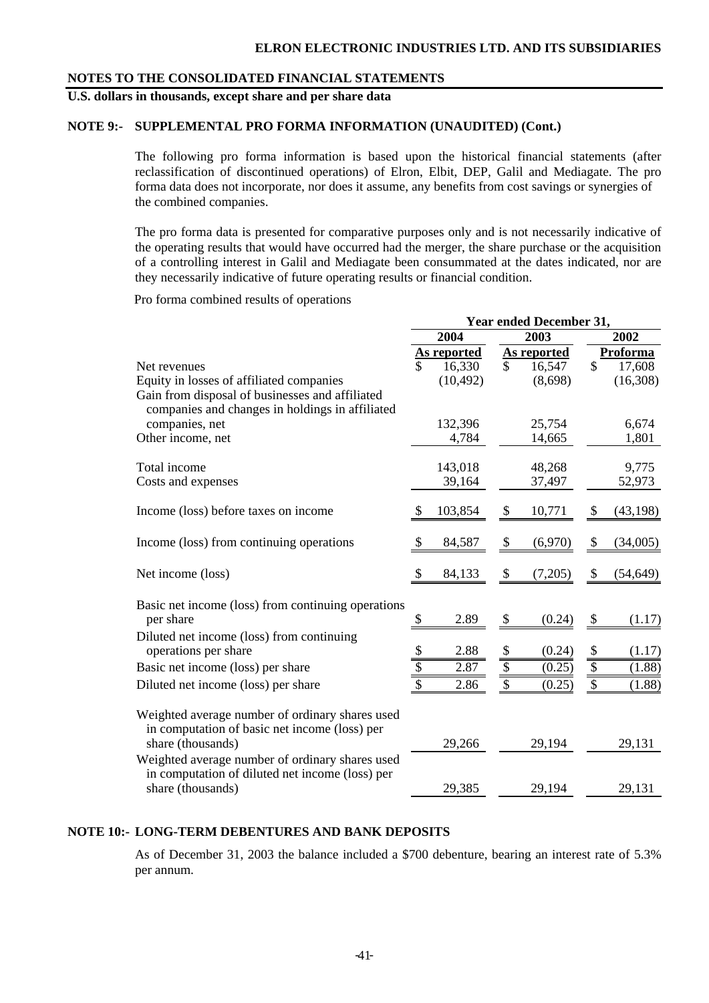**U.S. dollars in thousands, except share and per share data** 

#### **NOTE 9:- SUPPLEMENTAL PRO FORMA INFORMATION (UNAUDITED) (Cont.)**

The following pro forma information is based upon the historical financial statements (after reclassification of discontinued operations) of Elron, Elbit, DEP, Galil and Mediagate. The pro forma data does not incorporate, nor does it assume, any benefits from cost savings or synergies of the combined companies.

The pro forma data is presented for comparative purposes only and is not necessarily indicative of the operating results that would have occurred had the merger, the share purchase or the acquisition of a controlling interest in Galil and Mediagate been consummated at the dates indicated, nor are they necessarily indicative of future operating results or financial condition.

Pro forma combined results of operations

|                                                                                                    | Year ended December 31, |             |                 |             |      |           |
|----------------------------------------------------------------------------------------------------|-------------------------|-------------|-----------------|-------------|------|-----------|
|                                                                                                    | 2004                    |             | 2003            |             | 2002 |           |
|                                                                                                    |                         | As reported |                 | As reported |      | Proforma  |
| Net revenues                                                                                       | \$                      | 16,330      | $\mathbb{S}$    | 16,547      | \$   | 17,608    |
| Equity in losses of affiliated companies                                                           |                         | (10, 492)   |                 | (8,698)     |      | (16,308)  |
| Gain from disposal of businesses and affiliated<br>companies and changes in holdings in affiliated |                         |             |                 |             |      |           |
| companies, net                                                                                     |                         | 132,396     |                 | 25,754      |      | 6,674     |
| Other income, net                                                                                  |                         | 4,784       |                 | 14,665      |      | 1,801     |
| Total income                                                                                       |                         | 143,018     |                 | 48,268      |      | 9,775     |
| Costs and expenses                                                                                 |                         | 39,164      |                 | 37,497      |      | 52,973    |
| Income (loss) before taxes on income                                                               | \$                      | 103,854     | \$              | 10,771      | \$   | (43, 198) |
| Income (loss) from continuing operations                                                           | \$                      | 84,587      | \$              | (6,970)     | \$   | (34,005)  |
| Net income (loss)                                                                                  | \$                      | 84,133      | \$              | (7,205)     | \$   | (54, 649) |
| Basic net income (loss) from continuing operations<br>per share                                    | \$                      | 2.89        | \$              | (0.24)      | \$   | (1.17)    |
| Diluted net income (loss) from continuing<br>operations per share                                  | \$                      | 2.88        | \$              | (0.24)      | \$   | (1.17)    |
| Basic net income (loss) per share                                                                  | $\sqrt[6]{\frac{1}{2}}$ | 2.87        | $\sqrt[6]{}$    | (0.25)      | \$   | (1.88)    |
|                                                                                                    | $\overline{\$}$         |             | $\overline{\$}$ |             |      |           |
| Diluted net income (loss) per share                                                                |                         | 2.86        |                 | (0.25)      | \$   | (1.88)    |
| Weighted average number of ordinary shares used<br>in computation of basic net income (loss) per   |                         |             |                 |             |      |           |
| share (thousands)                                                                                  |                         | 29,266      |                 | 29,194      |      | 29,131    |
| Weighted average number of ordinary shares used<br>in computation of diluted net income (loss) per |                         |             |                 |             |      |           |
| share (thousands)                                                                                  |                         | 29,385      |                 | 29,194      |      | 29,131    |

## **NOTE 10:- LONG-TERM DEBENTURES AND BANK DEPOSITS**

As of December 31, 2003 the balance included a \$700 debenture, bearing an interest rate of 5.3% per annum.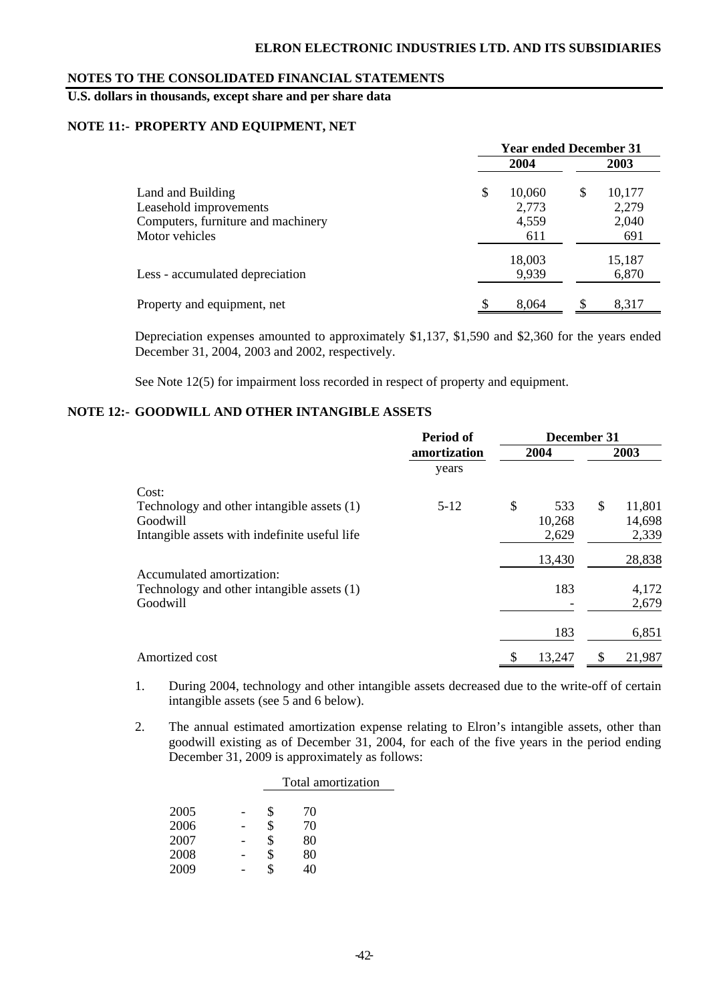## **U.S. dollars in thousands, except share and per share data**

#### **NOTE 11:- PROPERTY AND EQUIPMENT, NET**

|                                    | <b>Year ended December 31</b> |        |    |        |  |  |  |
|------------------------------------|-------------------------------|--------|----|--------|--|--|--|
|                                    |                               | 2004   |    | 2003   |  |  |  |
| Land and Building                  | \$                            | 10,060 | \$ | 10,177 |  |  |  |
| Leasehold improvements             |                               | 2,773  |    | 2,279  |  |  |  |
| Computers, furniture and machinery |                               | 4,559  |    | 2,040  |  |  |  |
| Motor vehicles                     |                               | 611    |    | 691    |  |  |  |
|                                    |                               | 18,003 |    | 15,187 |  |  |  |
| Less - accumulated depreciation    |                               | 9,939  |    | 6,870  |  |  |  |
| Property and equipment, net        | \$                            | 8,064  | \$ | 8,317  |  |  |  |

Depreciation expenses amounted to approximately \$1,137, \$1,590 and \$2,360 for the years ended December 31, 2004, 2003 and 2002, respectively.

See Note 12(5) for impairment loss recorded in respect of property and equipment.

## **NOTE 12:- GOODWILL AND OTHER INTANGIBLE ASSETS**

|                                               | Period of    | December 31 |        |    |        |  |
|-----------------------------------------------|--------------|-------------|--------|----|--------|--|
|                                               | amortization |             | 2004   |    | 2003   |  |
|                                               | years        |             |        |    |        |  |
| Cost:                                         |              |             |        |    |        |  |
| Technology and other intangible assets (1)    | $5 - 12$     | \$          | 533    | \$ | 11,801 |  |
| Goodwill                                      |              |             | 10,268 |    | 14,698 |  |
| Intangible assets with indefinite useful life |              |             | 2,629  |    | 2,339  |  |
|                                               |              |             | 13,430 |    | 28,838 |  |
| Accumulated amortization:                     |              |             |        |    |        |  |
| Technology and other intangible assets (1)    |              |             | 183    |    | 4,172  |  |
| Goodwill                                      |              |             |        |    | 2,679  |  |
|                                               |              |             | 183    |    | 6,851  |  |
| Amortized cost                                |              | \$          | 13,247 | \$ | 21,987 |  |

1. During 2004, technology and other intangible assets decreased due to the write-off of certain intangible assets (see 5 and 6 below).

2. The annual estimated amortization expense relating to Elron's intangible assets, other than goodwill existing as of December 31, 2004, for each of the five years in the period ending December 31, 2009 is approximately as follows:

|      |    | Total amortization |  |
|------|----|--------------------|--|
|      |    |                    |  |
| 2005 | S  | 70                 |  |
| 2006 | \$ | 70                 |  |
| 2007 | \$ | 80                 |  |
| 2008 | \$ | 80                 |  |
| 2009 |    |                    |  |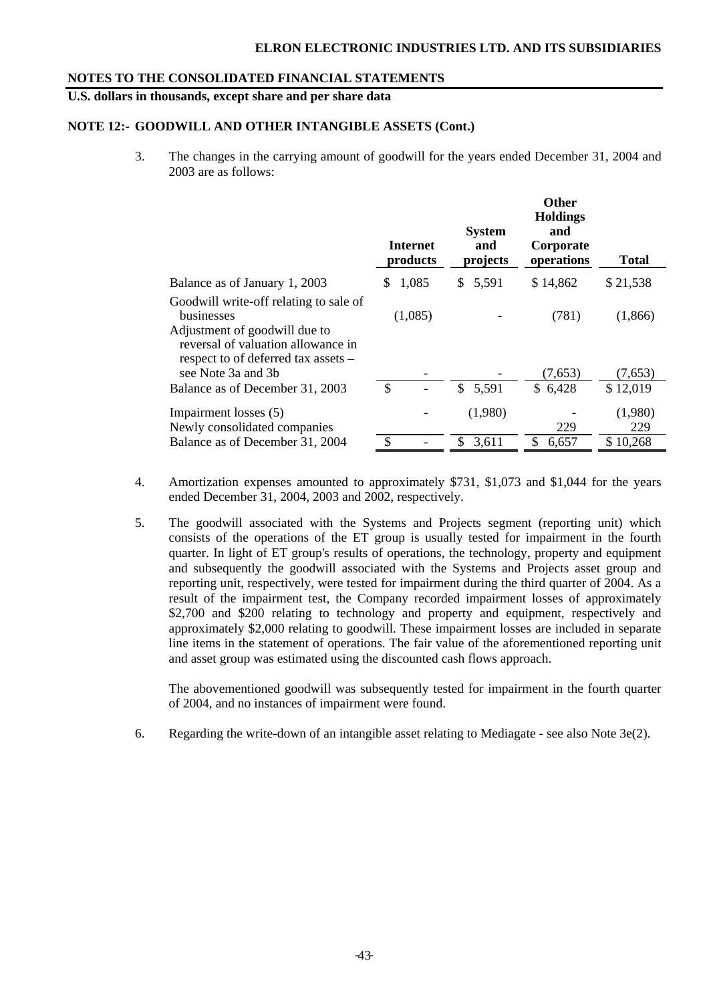**U.S. dollars in thousands, except share and per share data** 

## **NOTE 12:- GOODWILL AND OTHER INTANGIBLE ASSETS (Cont.)**

3. The changes in the carrying amount of goodwill for the years ended December 31, 2004 and 2003 are as follows:

|                                                                                                                                                                    | <b>Internet</b><br>products | <b>System</b><br>and<br>projects | <b>Other</b><br><b>Holdings</b><br>and<br>Corporate<br>operations | <b>Total</b>   |
|--------------------------------------------------------------------------------------------------------------------------------------------------------------------|-----------------------------|----------------------------------|-------------------------------------------------------------------|----------------|
| Balance as of January 1, 2003                                                                                                                                      | 1,085<br>S                  | \$5,591                          | \$14,862                                                          | \$21,538       |
| Goodwill write-off relating to sale of<br>businesses<br>Adjustment of goodwill due to<br>reversal of valuation allowance in<br>respect to of deferred tax assets – | (1,085)                     |                                  | (781)                                                             | (1,866)        |
| see Note 3a and 3b                                                                                                                                                 |                             |                                  | (7,653)                                                           | (7,653)        |
| Balance as of December 31, 2003                                                                                                                                    | \$                          | \$5,591                          | \$6,428                                                           | \$12,019       |
| Impairment losses (5)<br>Newly consolidated companies                                                                                                              |                             | (1,980)                          | 229                                                               | (1,980)<br>229 |
| Balance as of December 31, 2004                                                                                                                                    | \$                          | 3,611<br>S                       | \$<br>6,657                                                       | \$10,268       |

- 4. Amortization expenses amounted to approximately \$731, \$1,073 and \$1,044 for the years ended December 31, 2004, 2003 and 2002, respectively.
- 5. The goodwill associated with the Systems and Projects segment (reporting unit) which consists of the operations of the ET group is usually tested for impairment in the fourth quarter. In light of ET group's results of operations, the technology, property and equipment and subsequently the goodwill associated with the Systems and Projects asset group and reporting unit, respectively, were tested for impairment during the third quarter of 2004. As a result of the impairment test, the Company recorded impairment losses of approximately \$2,700 and \$200 relating to technology and property and equipment, respectively and approximately \$2,000 relating to goodwill. These impairment losses are included in separate line items in the statement of operations. The fair value of the aforementioned reporting unit and asset group was estimated using the discounted cash flows approach.

 The abovementioned goodwill was subsequently tested for impairment in the fourth quarter of 2004, and no instances of impairment were found.

6. Regarding the write-down of an intangible asset relating to Mediagate - see also Note  $3e(2)$ .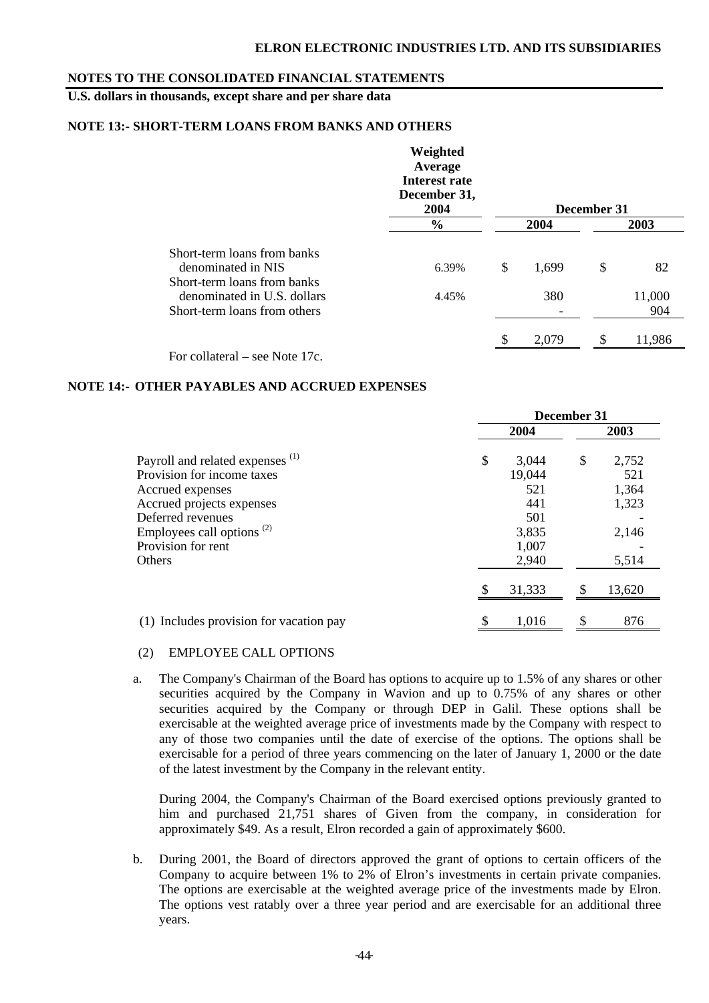## **U.S. dollars in thousands, except share and per share data**

## **NOTE 13:- SHORT-TERM LOANS FROM BANKS AND OTHERS**

|                                                                                            | Weighted<br>Average<br><b>Interest rate</b><br>December 31,<br>2004 |             | December 31 |               |
|--------------------------------------------------------------------------------------------|---------------------------------------------------------------------|-------------|-------------|---------------|
|                                                                                            | $\frac{6}{6}$                                                       | 2004        |             | 2003          |
| Short-term loans from banks<br>denominated in NIS                                          | 6.39%                                                               | \$<br>1,699 | \$          | 82            |
| Short-term loans from banks<br>denominated in U.S. dollars<br>Short-term loans from others | 4.45%                                                               | 380         |             | 11,000<br>904 |
| For collateral – see Note 17c.                                                             |                                                                     | 2,079       |             | 11,986        |

## **NOTE 14:- OTHER PAYABLES AND ACCRUED EXPENSES**

|                                             | December 31 |        |      |        |  |  |
|---------------------------------------------|-------------|--------|------|--------|--|--|
|                                             |             |        | 2003 |        |  |  |
| Payroll and related expenses <sup>(1)</sup> | \$          | 3,044  | \$   | 2,752  |  |  |
| Provision for income taxes                  |             | 19,044 |      | 521    |  |  |
| Accrued expenses                            |             | 521    |      | 1,364  |  |  |
| Accrued projects expenses                   |             | 441    |      | 1,323  |  |  |
| Deferred revenues                           |             | 501    |      |        |  |  |
| Employees call options <sup>(2)</sup>       |             | 3,835  |      | 2,146  |  |  |
| Provision for rent                          |             | 1,007  |      |        |  |  |
| <b>Others</b>                               |             | 2,940  |      | 5,514  |  |  |
|                                             |             | 31,333 |      | 13,620 |  |  |
| Includes provision for vacation pay         | \$          | 1,016  |      | 876    |  |  |

- (2) EMPLOYEE CALL OPTIONS
- a. The Company's Chairman of the Board has options to acquire up to 1.5% of any shares or other securities acquired by the Company in Wavion and up to 0.75% of any shares or other securities acquired by the Company or through DEP in Galil. These options shall be exercisable at the weighted average price of investments made by the Company with respect to any of those two companies until the date of exercise of the options. The options shall be exercisable for a period of three years commencing on the later of January 1, 2000 or the date of the latest investment by the Company in the relevant entity.

 During 2004, the Company's Chairman of the Board exercised options previously granted to him and purchased 21,751 shares of Given from the company, in consideration for approximately \$49. As a result, Elron recorded a gain of approximately \$600.

b. During 2001, the Board of directors approved the grant of options to certain officers of the Company to acquire between 1% to 2% of Elron's investments in certain private companies. The options are exercisable at the weighted average price of the investments made by Elron. The options vest ratably over a three year period and are exercisable for an additional three years.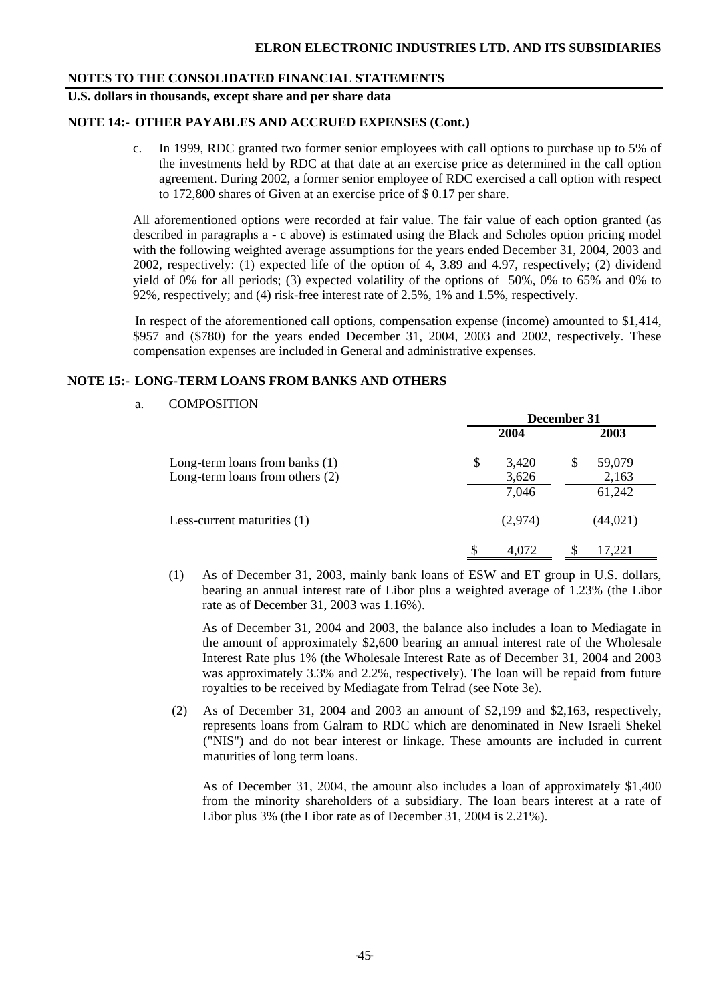**U.S. dollars in thousands, except share and per share data** 

#### **NOTE 14:- OTHER PAYABLES AND ACCRUED EXPENSES (Cont.)**

c. In 1999, RDC granted two former senior employees with call options to purchase up to 5% of the investments held by RDC at that date at an exercise price as determined in the call option agreement. During 2002, a former senior employee of RDC exercised a call option with respect to 172,800 shares of Given at an exercise price of \$ 0.17 per share.

All aforementioned options were recorded at fair value. The fair value of each option granted (as described in paragraphs a - c above) is estimated using the Black and Scholes option pricing model with the following weighted average assumptions for the years ended December 31, 2004, 2003 and 2002, respectively: (1) expected life of the option of 4, 3.89 and 4.97, respectively; (2) dividend yield of 0% for all periods; (3) expected volatility of the options of 50%, 0% to 65% and 0% to 92%, respectively; and (4) risk-free interest rate of 2.5%, 1% and 1.5%, respectively.

In respect of the aforementioned call options, compensation expense (income) amounted to \$1,414, \$957 and (\$780) for the years ended December 31, 2004, 2003 and 2002, respectively. These compensation expenses are included in General and administrative expenses.

## **NOTE 15:- LONG-TERM LOANS FROM BANKS AND OTHERS**

#### a. COMPOSITION

|                                                                   | December 31          |                       |  |  |  |
|-------------------------------------------------------------------|----------------------|-----------------------|--|--|--|
|                                                                   | 2004                 | 2003                  |  |  |  |
| Long-term loans from banks (1)<br>Long-term loans from others (2) | \$<br>3,420<br>3,626 | 59,079<br>\$<br>2,163 |  |  |  |
|                                                                   | 7,046                | 61,242                |  |  |  |
| Less-current maturities (1)                                       | (2,974)              | (44,021)              |  |  |  |
|                                                                   | S<br>4,072           | 17,221<br>\$.         |  |  |  |

 (1) As of December 31, 2003, mainly bank loans of ESW and ET group in U.S. dollars, bearing an annual interest rate of Libor plus a weighted average of 1.23% (the Libor rate as of December 31, 2003 was 1.16%).

As of December 31, 2004 and 2003, the balance also includes a loan to Mediagate in the amount of approximately \$2,600 bearing an annual interest rate of the Wholesale Interest Rate plus 1% (the Wholesale Interest Rate as of December 31, 2004 and 2003 was approximately 3.3% and 2.2%, respectively). The loan will be repaid from future royalties to be received by Mediagate from Telrad (see Note 3e).

 (2) As of December 31, 2004 and 2003 an amount of \$2,199 and \$2,163, respectively, represents loans from Galram to RDC which are denominated in New Israeli Shekel ("NIS") and do not bear interest or linkage. These amounts are included in current maturities of long term loans.

As of December 31, 2004, the amount also includes a loan of approximately \$1,400 from the minority shareholders of a subsidiary. The loan bears interest at a rate of Libor plus 3% (the Libor rate as of December 31, 2004 is 2.21%).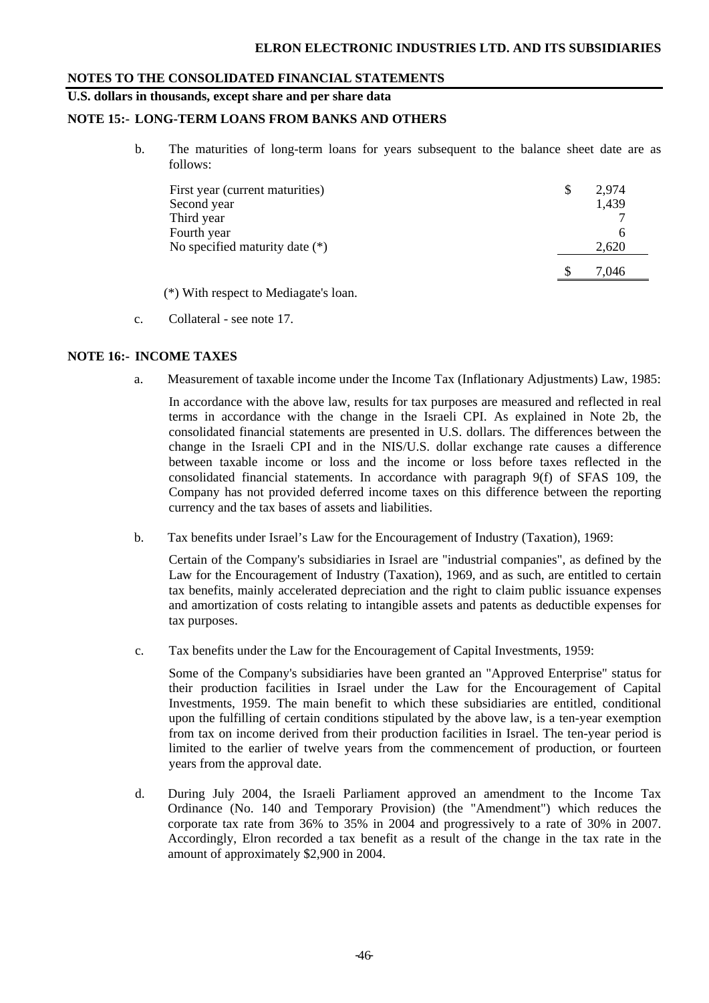**U.S. dollars in thousands, except share and per share data** 

## **NOTE 15:- LONG-TERM LOANS FROM BANKS AND OTHERS**

b. The maturities of long-term loans for years subsequent to the balance sheet date are as follows:

| First year (current maturities)  | 2,974 |
|----------------------------------|-------|
| Second year                      | 1,439 |
| Third year                       |       |
| Fourth year                      | n     |
| No specified maturity date $(*)$ | 2,620 |
|                                  | 7,046 |

(\*) With respect to Mediagate's loan.

c. Collateral - see note 17.

## **NOTE 16:- INCOME TAXES**

a. Measurement of taxable income under the Income Tax (Inflationary Adjustments) Law, 1985:

In accordance with the above law, results for tax purposes are measured and reflected in real terms in accordance with the change in the Israeli CPI. As explained in Note 2b, the consolidated financial statements are presented in U.S. dollars. The differences between the change in the Israeli CPI and in the NIS/U.S. dollar exchange rate causes a difference between taxable income or loss and the income or loss before taxes reflected in the consolidated financial statements. In accordance with paragraph 9(f) of SFAS 109, the Company has not provided deferred income taxes on this difference between the reporting currency and the tax bases of assets and liabilities.

b. Tax benefits under Israel's Law for the Encouragement of Industry (Taxation), 1969:

Certain of the Company's subsidiaries in Israel are "industrial companies", as defined by the Law for the Encouragement of Industry (Taxation), 1969, and as such, are entitled to certain tax benefits, mainly accelerated depreciation and the right to claim public issuance expenses and amortization of costs relating to intangible assets and patents as deductible expenses for tax purposes.

c. Tax benefits under the Law for the Encouragement of Capital Investments, 1959:

Some of the Company's subsidiaries have been granted an "Approved Enterprise" status for their production facilities in Israel under the Law for the Encouragement of Capital Investments, 1959. The main benefit to which these subsidiaries are entitled, conditional upon the fulfilling of certain conditions stipulated by the above law, is a ten-year exemption from tax on income derived from their production facilities in Israel. The ten-year period is limited to the earlier of twelve years from the commencement of production, or fourteen years from the approval date.

d. During July 2004, the Israeli Parliament approved an amendment to the Income Tax Ordinance (No. 140 and Temporary Provision) (the "Amendment") which reduces the corporate tax rate from 36% to 35% in 2004 and progressively to a rate of 30% in 2007. Accordingly, Elron recorded a tax benefit as a result of the change in the tax rate in the amount of approximately \$2,900 in 2004.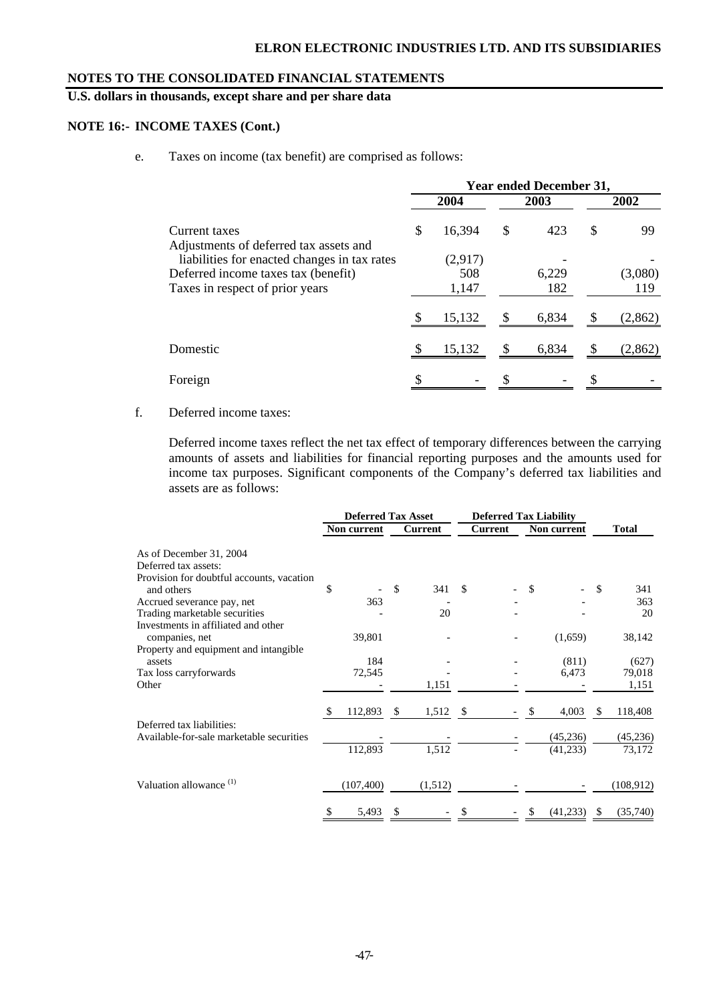## **U.S. dollars in thousands, except share and per share data**

## **NOTE 16:- INCOME TAXES (Cont.)**

e. Taxes on income (tax benefit) are comprised as follows:

|                                                         | <b>Year ended December 31,</b> |         |     |       |               |          |  |
|---------------------------------------------------------|--------------------------------|---------|-----|-------|---------------|----------|--|
|                                                         |                                | 2004    |     | 2003  |               | 2002     |  |
| Current taxes<br>Adjustments of deferred tax assets and | \$                             | 16,394  | \$  | 423   | \$            | 99       |  |
| liabilities for enacted changes in tax rates            |                                | (2,917) |     |       |               |          |  |
| Deferred income taxes tax (benefit)                     |                                | 508     |     | 6,229 |               | (3,080)  |  |
| Taxes in respect of prior years                         |                                | 1,147   |     | 182   |               | 119      |  |
|                                                         |                                | 15,132  |     | 6,834 |               | (2, 862) |  |
| Domestic                                                |                                | 15,132  | \$. | 6,834 | <sup>\$</sup> | (2, 862) |  |
| Foreign                                                 |                                |         |     |       |               |          |  |

## f. Deferred income taxes:

Deferred income taxes reflect the net tax effect of temporary differences between the carrying amounts of assets and liabilities for financial reporting purposes and the amounts used for income tax purposes. Significant components of the Company's deferred tax liabilities and assets are as follows:

|                                                                       |     | <b>Deferred Tax Asset</b> |               |            | <b>Deferred Tax Liability</b> |  |    |             |              |            |
|-----------------------------------------------------------------------|-----|---------------------------|---------------|------------|-------------------------------|--|----|-------------|--------------|------------|
|                                                                       |     | Non current               |               | Current    | Current                       |  |    | Non current | <b>Total</b> |            |
| As of December 31, 2004                                               |     |                           |               |            |                               |  |    |             |              |            |
| Deferred tax assets:                                                  |     |                           |               |            |                               |  |    |             |              |            |
| Provision for doubtful accounts, vacation                             |     |                           |               |            |                               |  |    |             |              |            |
| and others                                                            | \$  |                           | \$            | 341        | -S                            |  |    |             | -S           | 341        |
| Accrued severance pay, net                                            |     | 363                       |               |            |                               |  |    |             |              | 363        |
| Trading marketable securities                                         |     |                           |               | 20         |                               |  |    |             |              | 20         |
| Investments in affiliated and other                                   |     |                           |               |            |                               |  |    |             |              |            |
| companies, net                                                        |     | 39,801                    |               |            |                               |  |    | (1,659)     |              | 38,142     |
| Property and equipment and intangible                                 |     |                           |               |            |                               |  |    |             |              |            |
| assets                                                                |     | 184                       |               |            |                               |  |    | (811)       |              | (627)      |
| Tax loss carryforwards                                                |     | 72,545                    |               |            |                               |  |    | 6,473       |              | 79,018     |
| Other                                                                 |     |                           |               | 1,151      |                               |  |    |             |              | 1,151      |
|                                                                       | SS. | 112,893                   | <sup>\$</sup> | $1,512$ \$ |                               |  | \$ | 4,003       | S.           | 118,408    |
| Deferred tax liabilities:<br>Available-for-sale marketable securities |     |                           |               |            |                               |  |    | (45, 236)   |              | (45,236)   |
|                                                                       |     | 112,893                   |               | 1,512      |                               |  |    | (41,233)    |              | 73,172     |
| Valuation allowance <sup>(1)</sup>                                    |     | (107, 400)                |               | (1,512)    |                               |  |    |             |              | (108, 912) |
|                                                                       |     |                           |               |            |                               |  |    |             |              |            |
|                                                                       | \$  | 5,493                     | \$            |            | \$                            |  | \$ | (41, 233)   | S            | (35,740)   |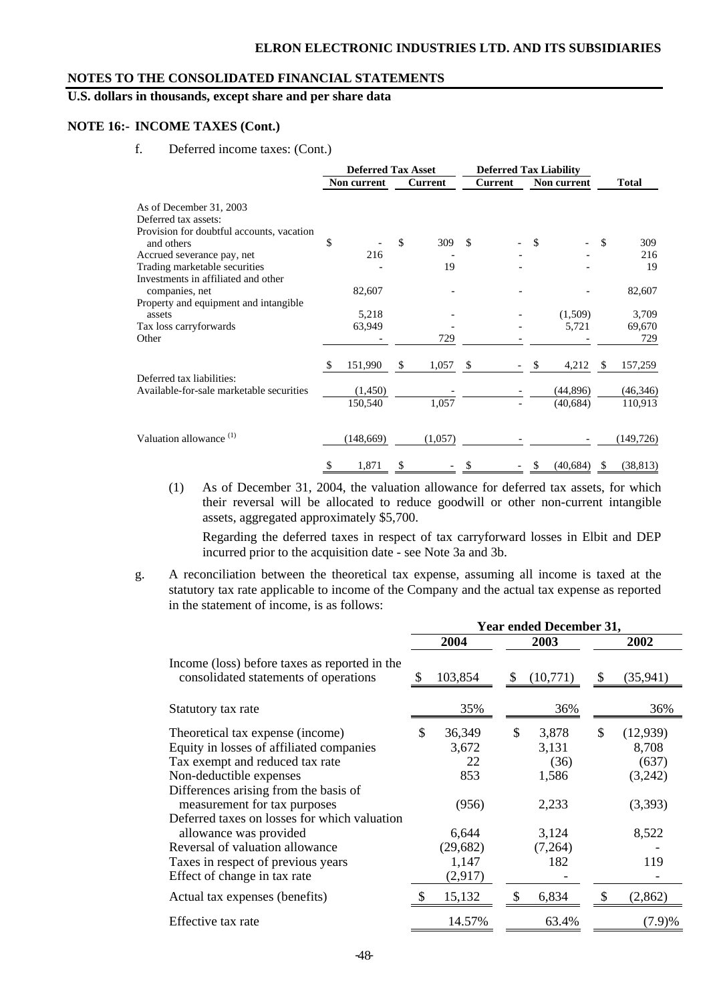## **U.S. dollars in thousands, except share and per share data**

## **NOTE 16:- INCOME TAXES (Cont.)**

f. Deferred income taxes: (Cont.)

|                                                                       |    | <b>Deferred Tax Asset</b> |    |                |               |                | <b>Deferred Tax Liability</b> |           |    |              |
|-----------------------------------------------------------------------|----|---------------------------|----|----------------|---------------|----------------|-------------------------------|-----------|----|--------------|
|                                                                       |    | Non current               |    | <b>Current</b> |               | <b>Current</b> | Non current                   |           |    | <b>Total</b> |
| As of December 31, 2003                                               |    |                           |    |                |               |                |                               |           |    |              |
| Deferred tax assets:                                                  |    |                           |    |                |               |                |                               |           |    |              |
| Provision for doubtful accounts, vacation                             |    |                           |    |                |               |                |                               |           |    |              |
| and others                                                            | \$ |                           | \$ | 309            | <sup>\$</sup> |                | \$                            |           | S  | 309          |
| Accrued severance pay, net                                            |    | 216                       |    |                |               |                |                               |           |    | 216          |
| Trading marketable securities                                         |    |                           |    | 19             |               |                |                               |           |    | 19           |
| Investments in affiliated and other<br>companies, net                 |    | 82,607                    |    |                |               |                |                               |           |    | 82,607       |
| Property and equipment and intangible                                 |    |                           |    |                |               |                |                               |           |    |              |
| assets                                                                |    | 5,218                     |    |                |               |                |                               | (1,509)   |    | 3,709        |
| Tax loss carryforwards                                                |    | 63,949                    |    |                |               |                |                               | 5,721     |    | 69,670       |
| Other                                                                 |    |                           |    | 729            |               |                |                               |           |    | 729          |
|                                                                       | S  | 151,990                   | \$ | 1,057          | \$            |                | S                             | 4,212     |    | 157,259      |
| Deferred tax liabilities:<br>Available-for-sale marketable securities |    | (1,450)                   |    |                |               |                |                               | (44, 896) |    | (46, 346)    |
|                                                                       |    | 150,540                   |    | 1,057          |               |                |                               | (40, 684) |    | 110,913      |
| Valuation allowance <sup>(1)</sup>                                    |    | (148, 669)                |    | (1,057)        |               |                |                               |           |    | (149, 726)   |
|                                                                       | \$ | 1,871                     | \$ |                | \$            |                | \$                            | (40, 684) | \$ | (38, 813)    |

(1) As of December 31, 2004, the valuation allowance for deferred tax assets, for which their reversal will be allocated to reduce goodwill or other non-current intangible assets, aggregated approximately \$5,700.

Regarding the deferred taxes in respect of tax carryforward losses in Elbit and DEP incurred prior to the acquisition date - see Note 3a and 3b.

g. A reconciliation between the theoretical tax expense, assuming all income is taxed at the statutory tax rate applicable to income of the Company and the actual tax expense as reported in the statement of income, is as follows:

|                                                                                        | <b>Year ended December 31,</b> |           |     |          |    |           |  |  |  |  |  |
|----------------------------------------------------------------------------------------|--------------------------------|-----------|-----|----------|----|-----------|--|--|--|--|--|
|                                                                                        |                                | 2004      |     | 2003     |    | 2002      |  |  |  |  |  |
| Income (loss) before taxes as reported in the<br>consolidated statements of operations |                                | 103,854   | S   | (10,771) |    | (35, 941) |  |  |  |  |  |
| Statutory tax rate                                                                     |                                | 35%       |     | 36%      |    | 36%       |  |  |  |  |  |
| Theoretical tax expense (income)                                                       | \$                             | 36,349    | \$  | 3,878    | \$ | (12,939)  |  |  |  |  |  |
| Equity in losses of affiliated companies                                               |                                | 3,672     |     | 3,131    |    | 8,708     |  |  |  |  |  |
| Tax exempt and reduced tax rate                                                        |                                | 22        |     | (36)     |    | (637)     |  |  |  |  |  |
| Non-deductible expenses                                                                |                                | 853       |     | 1,586    |    | (3,242)   |  |  |  |  |  |
| Differences arising from the basis of                                                  |                                |           |     |          |    |           |  |  |  |  |  |
| measurement for tax purposes                                                           |                                | (956)     |     | 2,233    |    | (3,393)   |  |  |  |  |  |
| Deferred taxes on losses for which valuation                                           |                                |           |     |          |    |           |  |  |  |  |  |
| allowance was provided                                                                 |                                | 6,644     |     | 3,124    |    | 8,522     |  |  |  |  |  |
| Reversal of valuation allowance                                                        |                                | (29, 682) |     | (7,264)  |    |           |  |  |  |  |  |
| Taxes in respect of previous years                                                     |                                | 1,147     |     | 182      |    | 119       |  |  |  |  |  |
| Effect of change in tax rate                                                           |                                | (2,917)   |     |          |    |           |  |  |  |  |  |
| Actual tax expenses (benefits)                                                         |                                | 15,132    | \$. | 6,834    | S  | (2,862)   |  |  |  |  |  |
| Effective tax rate                                                                     |                                | 14.57%    |     | 63.4%    |    | (7.9)%    |  |  |  |  |  |
|                                                                                        |                                |           |     |          |    |           |  |  |  |  |  |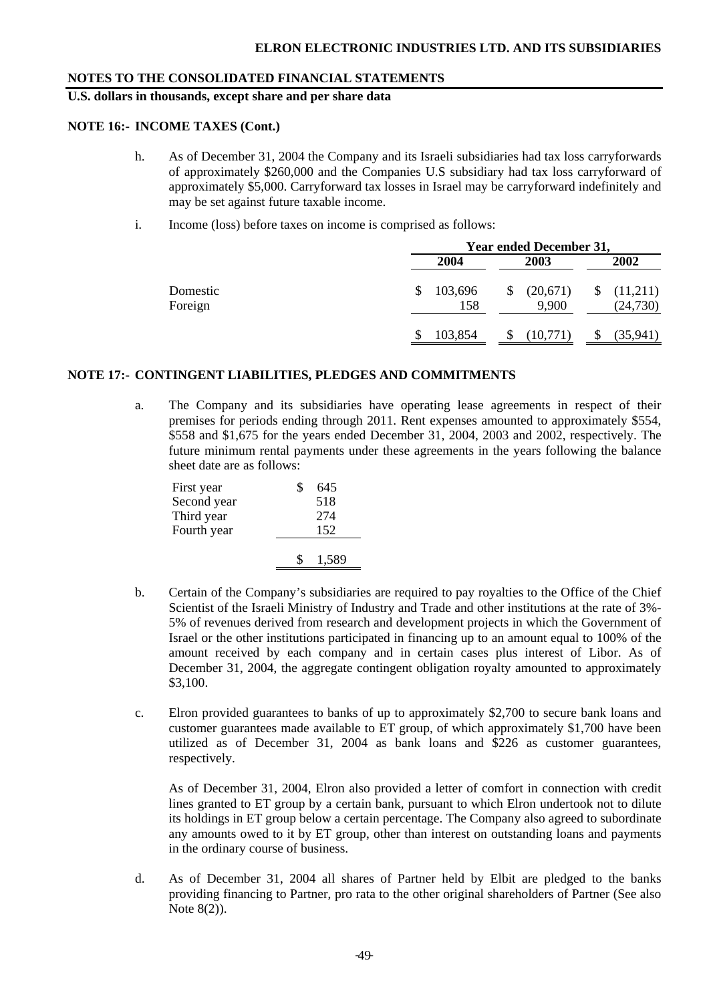## **U.S. dollars in thousands, except share and per share data**

## **NOTE 16:- INCOME TAXES (Cont.)**

- h. As of December 31, 2004 the Company and its Israeli subsidiaries had tax loss carryforwards of approximately \$260,000 and the Companies U.S subsidiary had tax loss carryforward of approximately \$5,000. Carryforward tax losses in Israel may be carryforward indefinitely and may be set against future taxable income.
- i. Income (loss) before taxes on income is comprised as follows:

|                     |                | <b>Year ended December 31,</b> |                                |  |  |  |  |  |  |  |
|---------------------|----------------|--------------------------------|--------------------------------|--|--|--|--|--|--|--|
| Domestic<br>Foreign | 2004           | 2003                           | 2002                           |  |  |  |  |  |  |  |
|                     | 103,696<br>158 | (20,671)<br>\$<br>9,900        | $\frac{11,211}{2}$<br>(24,730) |  |  |  |  |  |  |  |
|                     | 103,854        | (10,771)                       | (35, 941)                      |  |  |  |  |  |  |  |

## **NOTE 17:- CONTINGENT LIABILITIES, PLEDGES AND COMMITMENTS**

a. The Company and its subsidiaries have operating lease agreements in respect of their premises for periods ending through 2011. Rent expenses amounted to approximately \$554, \$558 and \$1,675 for the years ended December 31, 2004, 2003 and 2002, respectively. The future minimum rental payments under these agreements in the years following the balance sheet date are as follows:

| First year  | 645   |
|-------------|-------|
| Second year | 518   |
| Third year  | 274   |
| Fourth year | 152   |
|             |       |
|             | 1,589 |
|             |       |

- b. Certain of the Company's subsidiaries are required to pay royalties to the Office of the Chief Scientist of the Israeli Ministry of Industry and Trade and other institutions at the rate of 3%- 5% of revenues derived from research and development projects in which the Government of Israel or the other institutions participated in financing up to an amount equal to 100% of the amount received by each company and in certain cases plus interest of Libor. As of December 31, 2004, the aggregate contingent obligation royalty amounted to approximately \$3,100.
- c. Elron provided guarantees to banks of up to approximately \$2,700 to secure bank loans and customer guarantees made available to ET group, of which approximately \$1,700 have been utilized as of December 31, 2004 as bank loans and \$226 as customer guarantees, respectively.

As of December 31, 2004, Elron also provided a letter of comfort in connection with credit lines granted to ET group by a certain bank, pursuant to which Elron undertook not to dilute its holdings in ET group below a certain percentage. The Company also agreed to subordinate any amounts owed to it by ET group, other than interest on outstanding loans and payments in the ordinary course of business.

d. As of December 31, 2004 all shares of Partner held by Elbit are pledged to the banks providing financing to Partner, pro rata to the other original shareholders of Partner (See also Note 8(2)).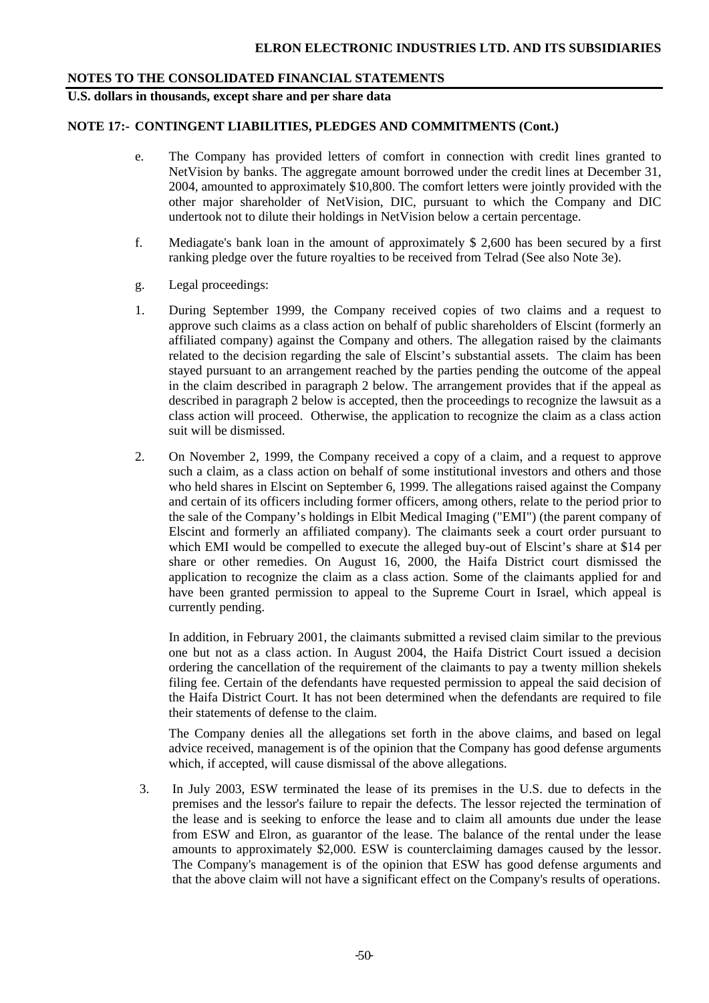**U.S. dollars in thousands, except share and per share data** 

## **NOTE 17:- CONTINGENT LIABILITIES, PLEDGES AND COMMITMENTS (Cont.)**

- e. The Company has provided letters of comfort in connection with credit lines granted to NetVision by banks. The aggregate amount borrowed under the credit lines at December 31, 2004, amounted to approximately \$10,800. The comfort letters were jointly provided with the other major shareholder of NetVision, DIC, pursuant to which the Company and DIC undertook not to dilute their holdings in NetVision below a certain percentage.
- f. Mediagate's bank loan in the amount of approximately \$ 2,600 has been secured by a first ranking pledge over the future royalties to be received from Telrad (See also Note 3e).
- g. Legal proceedings:
- 1. During September 1999, the Company received copies of two claims and a request to approve such claims as a class action on behalf of public shareholders of Elscint (formerly an affiliated company) against the Company and others. The allegation raised by the claimants related to the decision regarding the sale of Elscint's substantial assets. The claim has been stayed pursuant to an arrangement reached by the parties pending the outcome of the appeal in the claim described in paragraph 2 below. The arrangement provides that if the appeal as described in paragraph 2 below is accepted, then the proceedings to recognize the lawsuit as a class action will proceed. Otherwise, the application to recognize the claim as a class action suit will be dismissed.
- 2. On November 2, 1999, the Company received a copy of a claim, and a request to approve such a claim, as a class action on behalf of some institutional investors and others and those who held shares in Elscint on September 6, 1999. The allegations raised against the Company and certain of its officers including former officers, among others, relate to the period prior to the sale of the Company's holdings in Elbit Medical Imaging ("EMI") (the parent company of Elscint and formerly an affiliated company). The claimants seek a court order pursuant to which EMI would be compelled to execute the alleged buy-out of Elscint's share at \$14 per share or other remedies. On August 16, 2000, the Haifa District court dismissed the application to recognize the claim as a class action. Some of the claimants applied for and have been granted permission to appeal to the Supreme Court in Israel, which appeal is currently pending.

 In addition, in February 2001, the claimants submitted a revised claim similar to the previous one but not as a class action. In August 2004, the Haifa District Court issued a decision ordering the cancellation of the requirement of the claimants to pay a twenty million shekels filing fee. Certain of the defendants have requested permission to appeal the said decision of the Haifa District Court. It has not been determined when the defendants are required to file their statements of defense to the claim.

 The Company denies all the allegations set forth in the above claims, and based on legal advice received, management is of the opinion that the Company has good defense arguments which, if accepted, will cause dismissal of the above allegations.

3. In July 2003, ESW terminated the lease of its premises in the U.S. due to defects in the premises and the lessor's failure to repair the defects. The lessor rejected the termination of the lease and is seeking to enforce the lease and to claim all amounts due under the lease from ESW and Elron, as guarantor of the lease. The balance of the rental under the lease amounts to approximately \$2,000. ESW is counterclaiming damages caused by the lessor. The Company's management is of the opinion that ESW has good defense arguments and that the above claim will not have a significant effect on the Company's results of operations.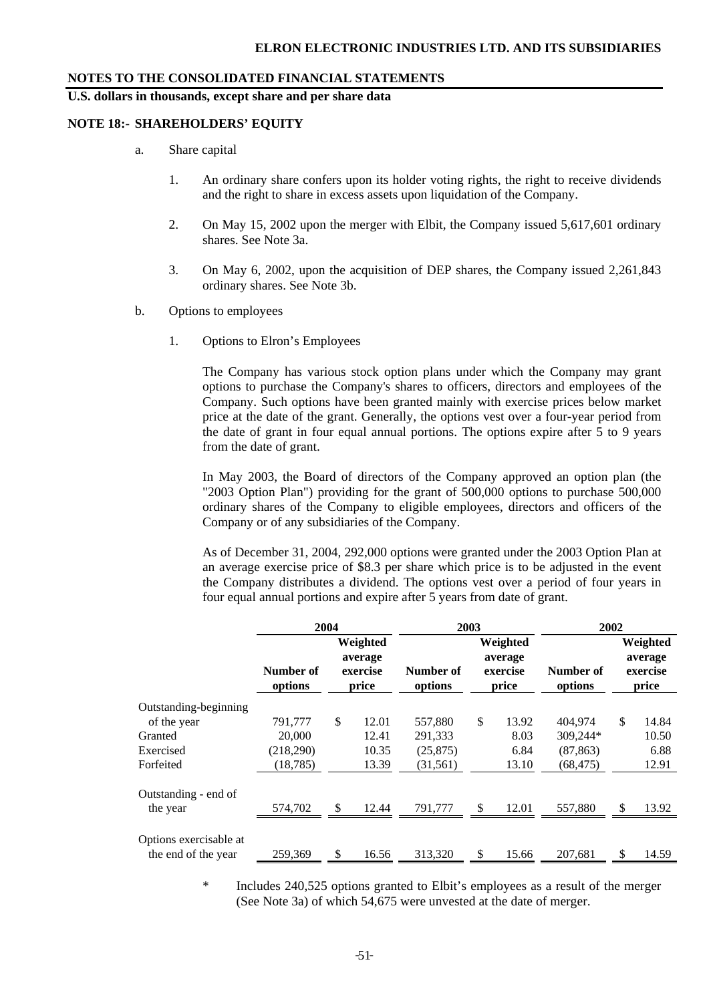**U.S. dollars in thousands, except share and per share data** 

## **NOTE 18:- SHAREHOLDERS' EQUITY**

- a. Share capital
	- 1. An ordinary share confers upon its holder voting rights, the right to receive dividends and the right to share in excess assets upon liquidation of the Company.
	- 2. On May 15, 2002 upon the merger with Elbit, the Company issued 5,617,601 ordinary shares. See Note 3a.
	- 3. On May 6, 2002, upon the acquisition of DEP shares, the Company issued 2,261,843 ordinary shares. See Note 3b.
- b. Options to employees
	- 1. Options to Elron's Employees

 The Company has various stock option plans under which the Company may grant options to purchase the Company's shares to officers, directors and employees of the Company. Such options have been granted mainly with exercise prices below market price at the date of the grant. Generally, the options vest over a four-year period from the date of grant in four equal annual portions. The options expire after 5 to 9 years from the date of grant.

 In May 2003, the Board of directors of the Company approved an option plan (the "2003 Option Plan") providing for the grant of 500,000 options to purchase 500,000 ordinary shares of the Company to eligible employees, directors and officers of the Company or of any subsidiaries of the Company.

 As of December 31, 2004, 292,000 options were granted under the 2003 Option Plan at an average exercise price of \$8.3 per share which price is to be adjusted in the event the Company distributes a dividend. The options vest over a period of four years in four equal annual portions and expire after 5 years from date of grant.

|                        | 2004                 |                                          |       |                                                                  | 2003          |                      | 2002                                     |               |       |  |
|------------------------|----------------------|------------------------------------------|-------|------------------------------------------------------------------|---------------|----------------------|------------------------------------------|---------------|-------|--|
|                        | Number of<br>options | Weighted<br>average<br>exercise<br>price |       | Weighted<br>average<br>Number of<br>exercise<br>options<br>price |               | Number of<br>options | Weighted<br>average<br>exercise<br>price |               |       |  |
| Outstanding-beginning  |                      |                                          |       |                                                                  |               |                      |                                          |               |       |  |
| of the year            | 791,777              | \$                                       | 12.01 | 557,880                                                          | \$            | 13.92                | 404,974                                  | \$.           | 14.84 |  |
| Granted                | 20,000               |                                          | 12.41 | 291.333                                                          |               | 8.03                 | 309.244*                                 |               | 10.50 |  |
| Exercised              | (218,290)            |                                          | 10.35 | (25, 875)                                                        |               | 6.84                 | (87, 863)                                |               | 6.88  |  |
| Forfeited              | (18, 785)            |                                          | 13.39 | (31, 561)                                                        |               | 13.10                | (68, 475)                                |               | 12.91 |  |
| Outstanding - end of   |                      |                                          |       |                                                                  |               |                      |                                          |               |       |  |
| the year               | 574,702              | <sup>\$</sup>                            | 12.44 | 791,777                                                          | <sup>\$</sup> | 12.01                | 557,880                                  | <sup>\$</sup> | 13.92 |  |
| Options exercisable at |                      |                                          |       |                                                                  |               |                      |                                          |               |       |  |
| the end of the year    | 259,369              | \$                                       | 16.56 | 313,320                                                          | $\mathbb{S}$  | 15.66                | 207,681                                  | \$            | 14.59 |  |

\* Includes 240,525 options granted to Elbit's employees as a result of the merger (See Note 3a) of which 54,675 were unvested at the date of merger.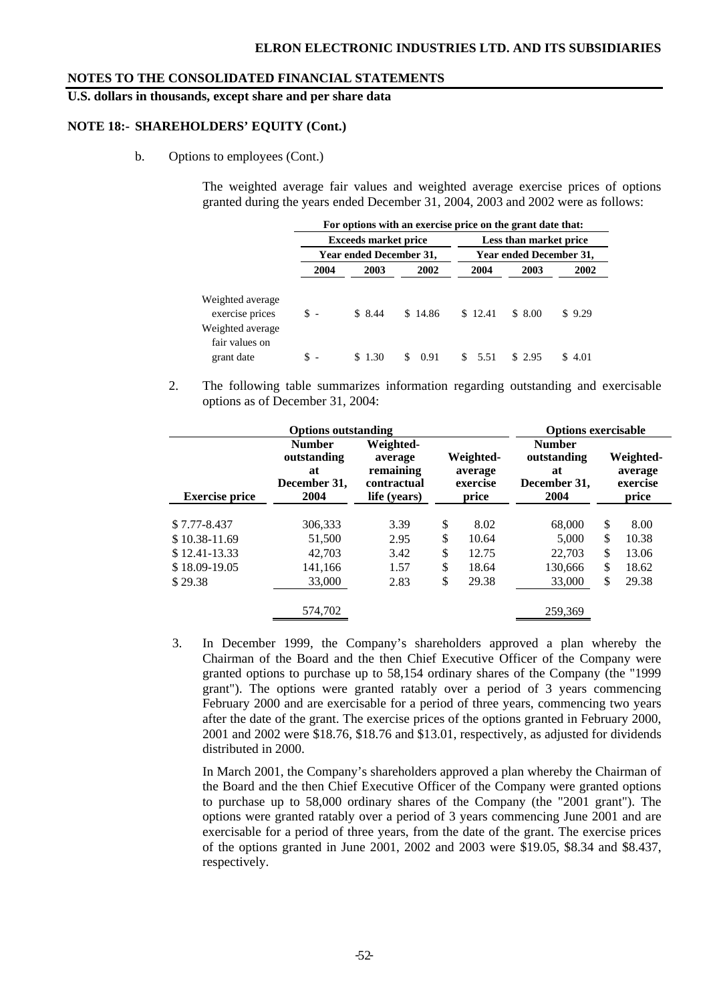## **U.S. dollars in thousands, except share and per share data**

#### **NOTE 18:- SHAREHOLDERS' EQUITY (Cont.)**

b. Options to employees (Cont.)

The weighted average fair values and weighted average exercise prices of options granted during the years ended December 31, 2004, 2003 and 2002 were as follows:

|                                                                           | For options with an exercise price on the grant date that: |                             |            |                                                   |         |        |  |  |  |  |
|---------------------------------------------------------------------------|------------------------------------------------------------|-----------------------------|------------|---------------------------------------------------|---------|--------|--|--|--|--|
|                                                                           |                                                            | <b>Exceeds market price</b> |            | Less than market price<br>Year ended December 31, |         |        |  |  |  |  |
|                                                                           |                                                            | Year ended December 31,     |            |                                                   |         |        |  |  |  |  |
|                                                                           | 2004                                                       | 2003                        | 2002       | 2004                                              | 2003    | 2002   |  |  |  |  |
| Weighted average<br>exercise prices<br>Weighted average<br>fair values on | $\mathbb{S}$ -                                             | \$8.44                      | \$14.86    | \$12.41                                           | \$ 8.00 | \$9.29 |  |  |  |  |
| grant date                                                                | S.                                                         | \$1.30                      | 0.91<br>S. | 5.51                                              | \$2.95  | \$4.01 |  |  |  |  |

2. The following table summarizes information regarding outstanding and exercisable options as of December 31, 2004:

|                       | <b>Options outstanding</b>                                 |                                                                  |                                           |       | <b>Options exercisable</b>                                 |                                           |       |  |  |  |
|-----------------------|------------------------------------------------------------|------------------------------------------------------------------|-------------------------------------------|-------|------------------------------------------------------------|-------------------------------------------|-------|--|--|--|
| <b>Exercise price</b> | <b>Number</b><br>outstanding<br>at<br>December 31,<br>2004 | Weighted-<br>average<br>remaining<br>contractual<br>life (years) | Weighted-<br>average<br>exercise<br>price |       | <b>Number</b><br>outstanding<br>at<br>December 31,<br>2004 | Weighted-<br>average<br>exercise<br>price |       |  |  |  |
| $$7.77 - 8.437$       | 306,333                                                    | 3.39                                                             | \$                                        | 8.02  | 68,000                                                     | \$                                        | 8.00  |  |  |  |
| $$10.38-11.69$        | 51,500                                                     | 2.95                                                             | \$                                        | 10.64 | 5.000                                                      | \$                                        | 10.38 |  |  |  |
| \$12.41-13.33         | 42.703                                                     | 3.42                                                             | \$                                        | 12.75 | 22,703                                                     | S                                         | 13.06 |  |  |  |
| \$18.09-19.05         | 141,166                                                    | 1.57                                                             | \$                                        | 18.64 | 130,666                                                    | \$                                        | 18.62 |  |  |  |
| \$29.38               | 33,000                                                     | 2.83                                                             | \$                                        | 29.38 | 33,000                                                     | \$                                        | 29.38 |  |  |  |
|                       | 574.702                                                    |                                                                  |                                           |       | 259.369                                                    |                                           |       |  |  |  |

3. In December 1999, the Company's shareholders approved a plan whereby the Chairman of the Board and the then Chief Executive Officer of the Company were granted options to purchase up to 58,154 ordinary shares of the Company (the "1999 grant"). The options were granted ratably over a period of 3 years commencing February 2000 and are exercisable for a period of three years, commencing two years after the date of the grant. The exercise prices of the options granted in February 2000, 2001 and 2002 were \$18.76, \$18.76 and \$13.01, respectively, as adjusted for dividends distributed in 2000.

In March 2001, the Company's shareholders approved a plan whereby the Chairman of the Board and the then Chief Executive Officer of the Company were granted options to purchase up to 58,000 ordinary shares of the Company (the "2001 grant"). The options were granted ratably over a period of 3 years commencing June 2001 and are exercisable for a period of three years, from the date of the grant. The exercise prices of the options granted in June 2001, 2002 and 2003 were \$19.05, \$8.34 and \$8.437, respectively.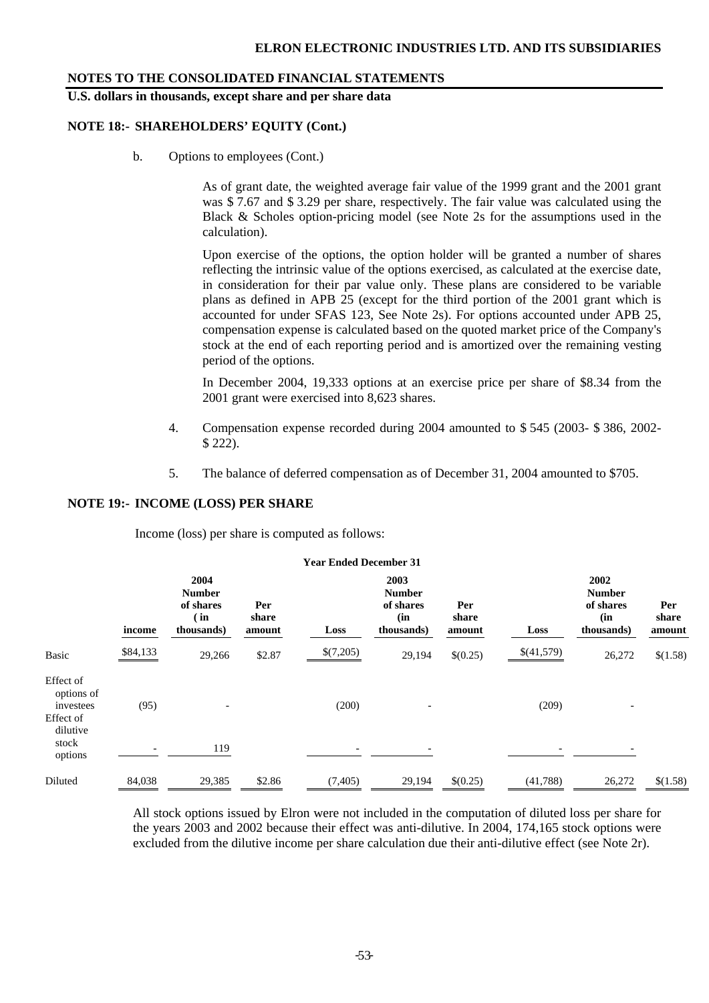**U.S. dollars in thousands, except share and per share data** 

## **NOTE 18:- SHAREHOLDERS' EQUITY (Cont.)**

b. Options to employees (Cont.)

As of grant date, the weighted average fair value of the 1999 grant and the 2001 grant was \$ 7.67 and \$ 3.29 per share, respectively. The fair value was calculated using the Black & Scholes option-pricing model (see Note 2s for the assumptions used in the calculation).

 Upon exercise of the options, the option holder will be granted a number of shares reflecting the intrinsic value of the options exercised, as calculated at the exercise date, in consideration for their par value only. These plans are considered to be variable plans as defined in APB 25 (except for the third portion of the 2001 grant which is accounted for under SFAS 123, See Note 2s). For options accounted under APB 25, compensation expense is calculated based on the quoted market price of the Company's stock at the end of each reporting period and is amortized over the remaining vesting period of the options.

 In December 2004, 19,333 options at an exercise price per share of \$8.34 from the 2001 grant were exercised into 8,623 shares.

- 4. Compensation expense recorded during 2004 amounted to \$ 545 (2003- \$ 386, 2002- \$ 222).
- 5. The balance of deferred compensation as of December 31, 2004 amounted to \$705.

## **NOTE 19:- INCOME (LOSS) PER SHARE**

Income (loss) per share is computed as follows:

|                                                               |          |                                                            |                        | Teal Ended Decennocl 91  |                                                         |                        |            |                                                         |                        |
|---------------------------------------------------------------|----------|------------------------------------------------------------|------------------------|--------------------------|---------------------------------------------------------|------------------------|------------|---------------------------------------------------------|------------------------|
|                                                               | income   | 2004<br><b>Number</b><br>of shares<br>$\sin$<br>thousands) | Per<br>share<br>amount | Loss                     | 2003<br><b>Number</b><br>of shares<br>(in<br>thousands) | Per<br>share<br>amount | Loss       | 2002<br><b>Number</b><br>of shares<br>(in<br>thousands) | Per<br>share<br>amount |
| <b>Basic</b>                                                  | \$84,133 | 29,266                                                     | \$2.87                 | \$(7,205)                | 29,194                                                  | \$(0.25)               | \$(41,579) | 26,272                                                  | \$(1.58)               |
| Effect of<br>options of<br>investees<br>Effect of<br>dilutive | (95)     |                                                            |                        | (200)                    | $\overline{a}$                                          |                        | (209)      |                                                         |                        |
| stock<br>options                                              |          | 119                                                        |                        | $\overline{\phantom{0}}$ |                                                         |                        |            |                                                         |                        |
| Diluted                                                       | 84,038   | 29,385                                                     | \$2.86                 | (7,405)                  | 29,194                                                  | \$(0.25)               | (41,788)   | 26,272                                                  | \$(1.58)               |

 **Year Ended December 31** 

All stock options issued by Elron were not included in the computation of diluted loss per share for the years 2003 and 2002 because their effect was anti-dilutive. In 2004, 174,165 stock options were excluded from the dilutive income per share calculation due their anti-dilutive effect (see Note 2r).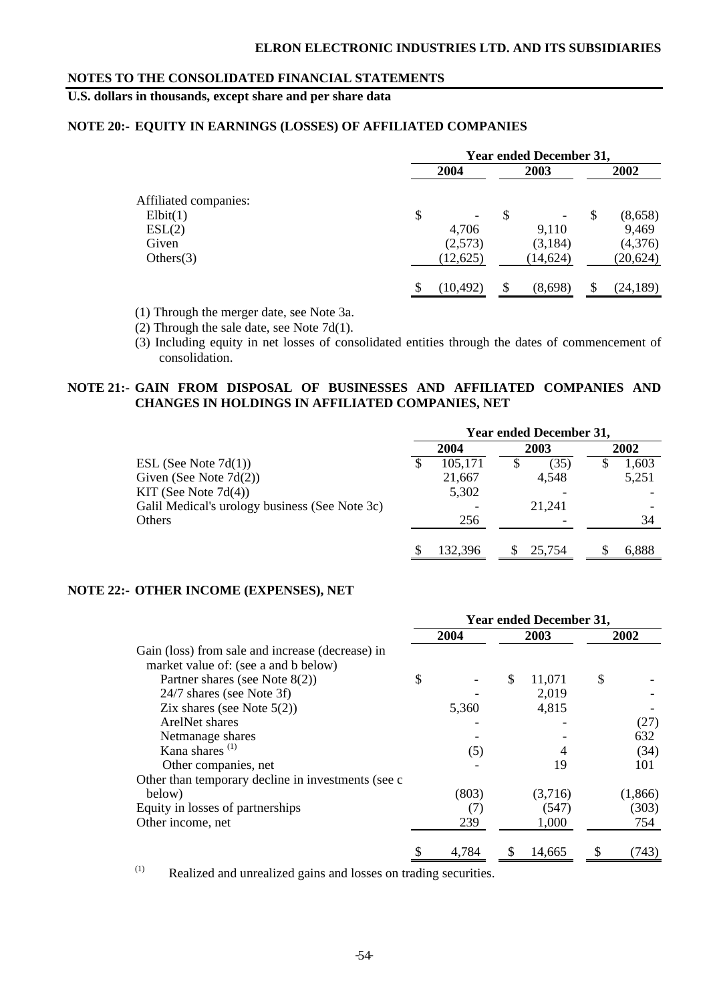## **U.S. dollars in thousands, except share and per share data**

## **NOTE 20:- EQUITY IN EARNINGS (LOSSES) OF AFFILIATED COMPANIES**

|                       | <b>Year ended December 31,</b> |                          |      |           |  |  |  |  |  |
|-----------------------|--------------------------------|--------------------------|------|-----------|--|--|--|--|--|
|                       | 2004                           | 2003                     | 2002 |           |  |  |  |  |  |
| Affiliated companies: |                                |                          |      |           |  |  |  |  |  |
| Elbit(1)              | \$<br>$\overline{\phantom{a}}$ | \$<br>-                  | S    | (8,658)   |  |  |  |  |  |
| ESL(2)                | 4,706                          | 9,110                    |      | 9,469     |  |  |  |  |  |
| Given                 | (2,573)                        | (3,184)                  |      | (4,376)   |  |  |  |  |  |
| Others $(3)$          | (12, 625)                      | (14, 624)                |      | (20, 624) |  |  |  |  |  |
|                       | (10, 492)                      | $\mathcal{S}$<br>(8,698) | S.   | (24, 189) |  |  |  |  |  |

(1) Through the merger date, see Note 3a.

(2) Through the sale date, see Note 7d(1).

(3) Including equity in net losses of consolidated entities through the dates of commencement of consolidation.

## **NOTE 21:- GAIN FROM DISPOSAL OF BUSINESSES AND AFFILIATED COMPANIES AND CHANGES IN HOLDINGS IN AFFILIATED COMPANIES, NET**

|                                                |   | <b>Year ended December 31,</b> |   |        |  |       |  |  |
|------------------------------------------------|---|--------------------------------|---|--------|--|-------|--|--|
|                                                |   | 2004                           |   | 2003   |  | 2002  |  |  |
| ESL (See Note $7d(1)$ )                        | J | 105,171                        | S | (35)   |  | 1,603 |  |  |
| Given (See Note $7d(2)$ )                      |   | 21,667                         |   | 4,548  |  | 5,251 |  |  |
| KIT (See Note $7d(4)$ )                        |   | 5,302                          |   |        |  |       |  |  |
| Galil Medical's urology business (See Note 3c) |   |                                |   | 21,241 |  |       |  |  |
| Others                                         |   | 256                            |   |        |  | 34    |  |  |
|                                                |   | 132,396                        |   | 25,754 |  | 6,888 |  |  |

## **NOTE 22:- OTHER INCOME (EXPENSES), NET**

|                                                                                          |    |       | <b>Year ended December 31,</b> |         |
|------------------------------------------------------------------------------------------|----|-------|--------------------------------|---------|
|                                                                                          |    | 2004  | 2003                           | 2002    |
| Gain (loss) from sale and increase (decrease) in<br>market value of: (see a and b below) |    |       |                                |         |
| Partner shares (see Note $8(2)$ )                                                        | \$ |       | \$<br>11,071                   | \$      |
| 24/7 shares (see Note 3f)                                                                |    |       | 2,019                          |         |
| Zix shares (see Note $5(2)$ )                                                            |    | 5,360 | 4,815                          |         |
| ArelNet shares                                                                           |    |       |                                | (27)    |
| Netmanage shares                                                                         |    |       |                                | 632     |
| Kana shares $(1)$                                                                        |    | (5)   |                                | (34)    |
| Other companies, net                                                                     |    |       | 19                             | 101     |
| Other than temporary decline in investments (see c)                                      |    |       |                                |         |
| below)                                                                                   |    | (803) | (3,716)                        | (1,866) |
| Equity in losses of partnerships                                                         |    | (7)   | (547)                          | (303)   |
| Other income, net                                                                        |    | 239   | 1,000                          | 754     |
|                                                                                          |    | 4,784 | 14,665                         | (743)   |

(1) Realized and unrealized gains and losses on trading securities.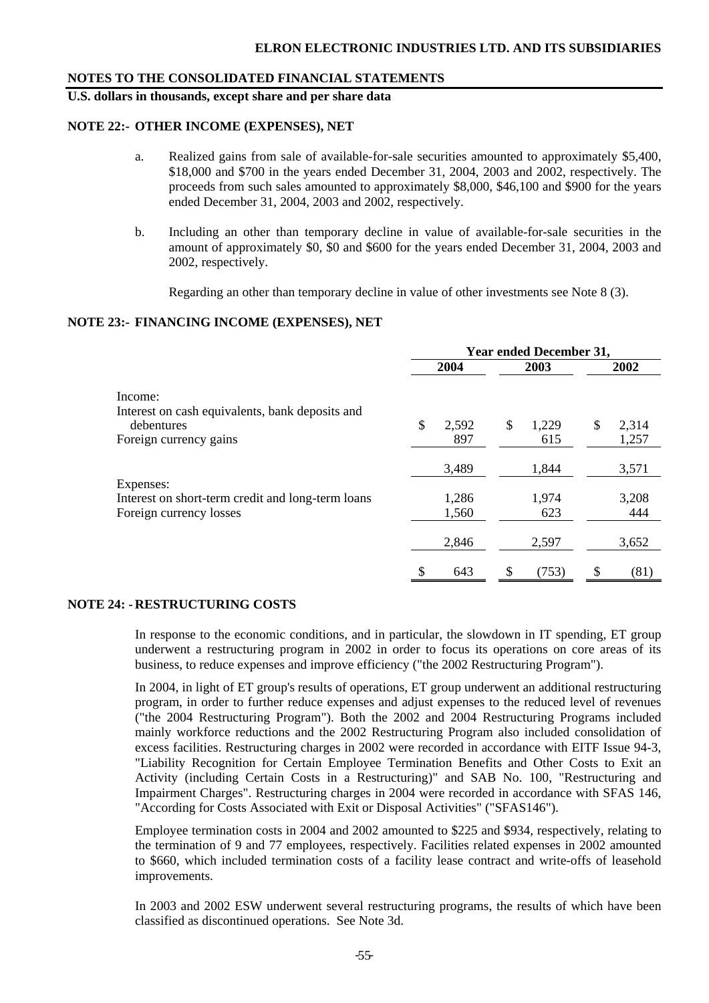**U.S. dollars in thousands, except share and per share data** 

### **NOTE 22:- OTHER INCOME (EXPENSES), NET**

- a. Realized gains from sale of available-for-sale securities amounted to approximately \$5,400, \$18,000 and \$700 in the years ended December 31, 2004, 2003 and 2002, respectively. The proceeds from such sales amounted to approximately \$8,000, \$46,100 and \$900 for the years ended December 31, 2004, 2003 and 2002, respectively.
- b. Including an other than temporary decline in value of available-for-sale securities in the amount of approximately \$0, \$0 and \$600 for the years ended December 31, 2004, 2003 and 2002, respectively.

Regarding an other than temporary decline in value of other investments see Note 8 (3).

#### **NOTE 23:- FINANCING INCOME (EXPENSES), NET**

|                                                   | <b>Year ended December 31,</b> |       |      |       |      |       |
|---------------------------------------------------|--------------------------------|-------|------|-------|------|-------|
|                                                   | 2004                           |       | 2003 |       | 2002 |       |
| Income:                                           |                                |       |      |       |      |       |
| Interest on cash equivalents, bank deposits and   |                                |       |      |       |      |       |
| debentures                                        | \$                             | 2,592 | \$   | 1,229 | \$   | 2,314 |
| Foreign currency gains                            |                                | 897   |      | 615   |      | 1,257 |
|                                                   |                                | 3,489 |      | 1,844 |      | 3,571 |
| Expenses:                                         |                                |       |      |       |      |       |
| Interest on short-term credit and long-term loans |                                | 1,286 |      | 1,974 |      | 3,208 |
| Foreign currency losses                           |                                | 1,560 |      | 623   |      | 444   |
|                                                   |                                |       |      |       |      |       |
|                                                   |                                | 2,846 |      | 2,597 |      | 3,652 |
|                                                   |                                |       |      |       |      |       |
|                                                   | \$                             | 643   | \$   | (753) | \$   | (81)  |

## **NOTE 24: - RESTRUCTURING COSTS**

In response to the economic conditions, and in particular, the slowdown in IT spending, ET group underwent a restructuring program in 2002 in order to focus its operations on core areas of its business, to reduce expenses and improve efficiency ("the 2002 Restructuring Program").

In 2004, in light of ET group's results of operations, ET group underwent an additional restructuring program, in order to further reduce expenses and adjust expenses to the reduced level of revenues ("the 2004 Restructuring Program"). Both the 2002 and 2004 Restructuring Programs included mainly workforce reductions and the 2002 Restructuring Program also included consolidation of excess facilities. Restructuring charges in 2002 were recorded in accordance with EITF Issue 94-3, "Liability Recognition for Certain Employee Termination Benefits and Other Costs to Exit an Activity (including Certain Costs in a Restructuring)" and SAB No. 100, "Restructuring and Impairment Charges". Restructuring charges in 2004 were recorded in accordance with SFAS 146, "According for Costs Associated with Exit or Disposal Activities" ("SFAS146").

Employee termination costs in 2004 and 2002 amounted to \$225 and \$934, respectively, relating to the termination of 9 and 77 employees, respectively. Facilities related expenses in 2002 amounted to \$660, which included termination costs of a facility lease contract and write-offs of leasehold improvements.

In 2003 and 2002 ESW underwent several restructuring programs, the results of which have been classified as discontinued operations. See Note 3d.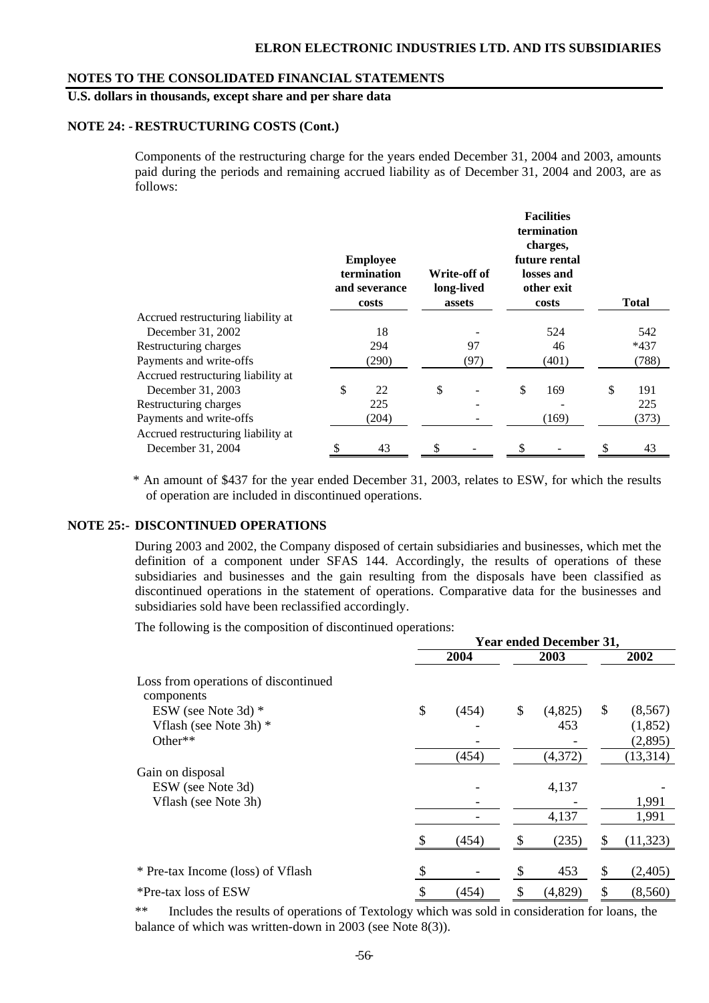## **U.S. dollars in thousands, except share and per share data**

#### **NOTE 24: - RESTRUCTURING COSTS (Cont.)**

Components of the restructuring charge for the years ended December 31, 2004 and 2003, amounts paid during the periods and remaining accrued liability as of December 31, 2004 and 2003, are as follows:

| costs    |                                                 |      |                                      |       |                                                                                                    | <b>Total</b> |
|----------|-------------------------------------------------|------|--------------------------------------|-------|----------------------------------------------------------------------------------------------------|--------------|
|          |                                                 |      |                                      |       |                                                                                                    |              |
| 18       |                                                 |      |                                      | 524   |                                                                                                    | 542          |
| 294      |                                                 | 97   |                                      | 46    |                                                                                                    | $*437$       |
| (290)    |                                                 | (97) |                                      | (401) |                                                                                                    | (788)        |
|          |                                                 |      |                                      |       |                                                                                                    |              |
| \$<br>22 | \$                                              |      | \$                                   | 169   | \$                                                                                                 | 191          |
| 225      |                                                 |      |                                      |       |                                                                                                    | 225          |
| (204)    |                                                 |      |                                      | (169) |                                                                                                    | (373)        |
|          |                                                 |      |                                      |       |                                                                                                    |              |
| \$<br>43 | \$                                              |      | \$                                   |       |                                                                                                    | 43           |
|          | <b>Employee</b><br>termination<br>and severance |      | Write-off of<br>long-lived<br>assets |       | <b>Facilities</b><br>termination<br>charges,<br>future rental<br>losses and<br>other exit<br>costs |              |

\* An amount of \$437 for the year ended December 31, 2003, relates to ESW, for which the results of operation are included in discontinued operations.

#### **NOTE 25:- DISCONTINUED OPERATIONS**

During 2003 and 2002, the Company disposed of certain subsidiaries and businesses, which met the definition of a component under SFAS 144. Accordingly, the results of operations of these subsidiaries and businesses and the gain resulting from the disposals have been classified as discontinued operations in the statement of operations. Comparative data for the businesses and subsidiaries sold have been reclassified accordingly.

The following is the composition of discontinued operations:

|                                                    | <b>Year ended December 31,</b> |       |    |         |    |           |  |  |  |
|----------------------------------------------------|--------------------------------|-------|----|---------|----|-----------|--|--|--|
|                                                    | 2004                           |       |    | 2003    |    | 2002      |  |  |  |
| Loss from operations of discontinued<br>components |                                |       |    |         |    |           |  |  |  |
| ESW (see Note 3d) $*$                              | \$                             | (454) | \$ | (4,825) | \$ | (8,567)   |  |  |  |
| Vflash (see Note 3h) $*$                           |                                |       |    | 453     |    | (1,852)   |  |  |  |
| Other**                                            |                                |       |    |         |    | (2,895)   |  |  |  |
|                                                    |                                | (454) |    | (4,372) |    | (13, 314) |  |  |  |
| Gain on disposal                                   |                                |       |    |         |    |           |  |  |  |
| ESW (see Note 3d)                                  |                                |       |    | 4,137   |    |           |  |  |  |
| Vflash (see Note 3h)                               |                                |       |    |         |    | 1,991     |  |  |  |
|                                                    |                                |       |    | 4,137   |    | 1,991     |  |  |  |
|                                                    |                                | (454) |    | (235)   | S  | (11, 323) |  |  |  |
| * Pre-tax Income (loss) of Vflash                  |                                |       |    | 453     | \$ | (2,405)   |  |  |  |
| *Pre-tax loss of ESW                               | \$                             | (454) | \$ | (4,829) | S  | (8,560)   |  |  |  |

\*\* Includes the results of operations of Textology which was sold in consideration for loans, the balance of which was written-down in 2003 (see Note 8(3)).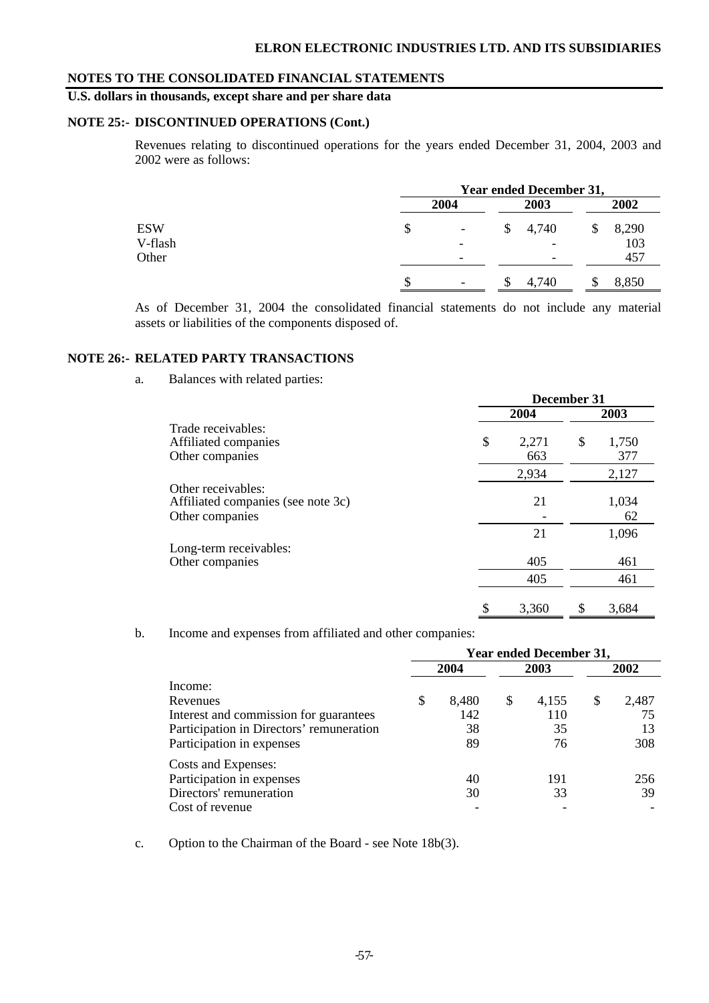## **U.S. dollars in thousands, except share and per share data**

#### **NOTE 25:- DISCONTINUED OPERATIONS (Cont.)**

Revenues relating to discontinued operations for the years ended December 31, 2004, 2003 and 2002 were as follows:

|            | <b>Year ended December 31,</b> |                          |                          |            |  |  |  |  |
|------------|--------------------------------|--------------------------|--------------------------|------------|--|--|--|--|
|            | 2004                           | 2003                     | 2002                     |            |  |  |  |  |
| <b>ESW</b> | \$                             | $\overline{\phantom{a}}$ | 4,740<br>S               | 8,290<br>S |  |  |  |  |
| V-flash    |                                | $\overline{\phantom{0}}$ | $\overline{\phantom{0}}$ | 103        |  |  |  |  |
| Other      |                                | $\overline{\phantom{0}}$ | $\overline{\phantom{0}}$ | 457        |  |  |  |  |
|            | S                              | $\overline{\phantom{a}}$ | 4,740<br>Ж               | 8,850      |  |  |  |  |

 As of December 31, 2004 the consolidated financial statements do not include any material assets or liabilities of the components disposed of.

## **NOTE 26:- RELATED PARTY TRANSACTIONS**

a. Balances with related parties:

|                                                                             | December 31 |       |    |             |  |  |
|-----------------------------------------------------------------------------|-------------|-------|----|-------------|--|--|
|                                                                             |             | 2004  |    | 2003        |  |  |
| Trade receivables:<br>Affiliated companies                                  | \$          | 2,271 | \$ | 1,750       |  |  |
| Other companies                                                             |             | 663   |    | 377         |  |  |
|                                                                             |             | 2,934 |    | 2,127       |  |  |
| Other receivables:<br>Affiliated companies (see note 3c)<br>Other companies |             | 21    |    | 1,034<br>62 |  |  |
|                                                                             |             | 21    |    | 1,096       |  |  |
| Long-term receivables:<br>Other companies                                   |             | 405   |    | 461         |  |  |
|                                                                             |             | 405   |    | 461         |  |  |
|                                                                             | ¢           | 3,360 |    | 3,684       |  |  |

## b. Income and expenses from affiliated and other companies:

|                                          | <b>Year ended December 31,</b> |       |    |       |      |       |  |  |
|------------------------------------------|--------------------------------|-------|----|-------|------|-------|--|--|
|                                          |                                | 2004  |    | 2003  | 2002 |       |  |  |
| Income:                                  |                                |       |    |       |      |       |  |  |
| Revenues                                 | S                              | 8,480 | \$ | 4,155 | \$   | 2,487 |  |  |
| Interest and commission for guarantees   |                                | 142   |    | 110   |      | 75    |  |  |
| Participation in Directors' remuneration |                                | 38    |    | 35    |      | 13    |  |  |
| Participation in expenses                |                                | 89    |    | 76    |      | 308   |  |  |
| Costs and Expenses:                      |                                |       |    |       |      |       |  |  |
| Participation in expenses                |                                | 40    |    | 191   |      | 256   |  |  |
| Directors' remuneration                  |                                | 30    |    | 33    |      | 39    |  |  |
| Cost of revenue                          |                                |       |    |       |      |       |  |  |

c. Option to the Chairman of the Board - see Note 18b(3).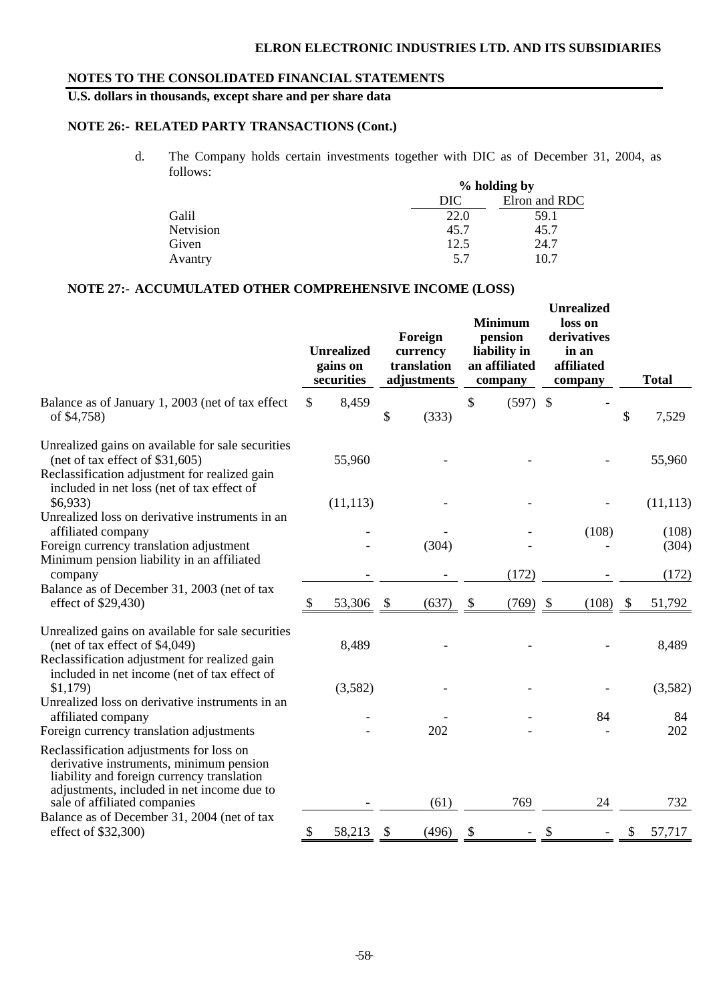## **U.S. dollars in thousands, except share and per share data**

## **NOTE 26:- RELATED PARTY TRANSACTIONS (Cont.)**

d. The Company holds certain investments together with DIC as of December 31, 2004, as follows:

|           | % holding by |               |  |  |  |
|-----------|--------------|---------------|--|--|--|
|           | DIC          | Elron and RDC |  |  |  |
| Galil     | 22.0         | 59.1          |  |  |  |
| Netvision | 45.7         | 45.7          |  |  |  |
| Given     | 12.5         | 24.7          |  |  |  |
| Avantry   | 5.7          | 10.7          |  |  |  |

#### **NOTE 27:- ACCUMULATED OTHER COMPREHENSIVE INCOME (LOSS)**

| \$<br>(597)<br>8,459<br>\$<br>$\mathcal{S}$<br>Balance as of January 1, 2003 (net of tax effect<br>\$<br>\$<br>(333)<br>of \$4,758)<br>Unrealized gains on available for sale securities<br>55,960<br>(net of tax effect of $$31,605$ )<br>Reclassification adjustment for realized gain<br>included in net loss (net of tax effect of<br>\$6,933)<br>(11, 113)<br>Unrealized loss on derivative instruments in an<br>(108)<br>affiliated company<br>Foreign currency translation adjustment<br>(304)<br>Minimum pension liability in an affiliated<br>(172)<br>company<br>Balance as of December 31, 2003 (net of tax<br>effect of \$29,430)<br>$\boldsymbol{\mathsf{S}}$<br>$\boldsymbol{\mathsf{S}}$<br>(769)<br>$\boldsymbol{\mathsf{S}}$<br>(108)<br>53,306<br>\$<br>(637)<br>$\mathcal{S}$<br>Unrealized gains on available for sale securities<br>(net of tax effect of \$4,049)<br>8,489<br>Reclassification adjustment for realized gain<br>included in net income (net of tax effect of<br>\$1,179<br>(3,582)<br>Unrealized loss on derivative instruments in an<br>affiliated company<br>84<br>202<br>Foreign currency translation adjustments<br>Reclassification adjustments for loss on<br>derivative instruments, minimum pension<br>liability and foreign currency translation<br>adjustments, included in net income due to<br>sale of affiliated companies<br>(61)<br>769<br>24 |                                             |  | <b>Unrealized</b><br>gains on<br>securities | Foreign<br>currency<br>translation<br>adjustments |  | <b>Minimum</b><br>pension<br>liability in<br>an affiliated<br>company |  | <b>Unrealized</b><br>loss on<br>derivatives<br>in an<br>affiliated<br>company |  | <b>Total</b> |                |
|---------------------------------------------------------------------------------------------------------------------------------------------------------------------------------------------------------------------------------------------------------------------------------------------------------------------------------------------------------------------------------------------------------------------------------------------------------------------------------------------------------------------------------------------------------------------------------------------------------------------------------------------------------------------------------------------------------------------------------------------------------------------------------------------------------------------------------------------------------------------------------------------------------------------------------------------------------------------------------------------------------------------------------------------------------------------------------------------------------------------------------------------------------------------------------------------------------------------------------------------------------------------------------------------------------------------------------------------------------------------------------------------------|---------------------------------------------|--|---------------------------------------------|---------------------------------------------------|--|-----------------------------------------------------------------------|--|-------------------------------------------------------------------------------|--|--------------|----------------|
|                                                                                                                                                                                                                                                                                                                                                                                                                                                                                                                                                                                                                                                                                                                                                                                                                                                                                                                                                                                                                                                                                                                                                                                                                                                                                                                                                                                                   |                                             |  |                                             |                                                   |  |                                                                       |  |                                                                               |  |              | 7,529          |
|                                                                                                                                                                                                                                                                                                                                                                                                                                                                                                                                                                                                                                                                                                                                                                                                                                                                                                                                                                                                                                                                                                                                                                                                                                                                                                                                                                                                   |                                             |  |                                             |                                                   |  |                                                                       |  |                                                                               |  |              | 55,960         |
|                                                                                                                                                                                                                                                                                                                                                                                                                                                                                                                                                                                                                                                                                                                                                                                                                                                                                                                                                                                                                                                                                                                                                                                                                                                                                                                                                                                                   |                                             |  |                                             |                                                   |  |                                                                       |  |                                                                               |  |              | (11, 113)      |
|                                                                                                                                                                                                                                                                                                                                                                                                                                                                                                                                                                                                                                                                                                                                                                                                                                                                                                                                                                                                                                                                                                                                                                                                                                                                                                                                                                                                   |                                             |  |                                             |                                                   |  |                                                                       |  |                                                                               |  |              | (108)<br>(304) |
|                                                                                                                                                                                                                                                                                                                                                                                                                                                                                                                                                                                                                                                                                                                                                                                                                                                                                                                                                                                                                                                                                                                                                                                                                                                                                                                                                                                                   |                                             |  |                                             |                                                   |  |                                                                       |  |                                                                               |  |              | (172)          |
|                                                                                                                                                                                                                                                                                                                                                                                                                                                                                                                                                                                                                                                                                                                                                                                                                                                                                                                                                                                                                                                                                                                                                                                                                                                                                                                                                                                                   |                                             |  |                                             |                                                   |  |                                                                       |  |                                                                               |  |              | 51,792         |
|                                                                                                                                                                                                                                                                                                                                                                                                                                                                                                                                                                                                                                                                                                                                                                                                                                                                                                                                                                                                                                                                                                                                                                                                                                                                                                                                                                                                   |                                             |  |                                             |                                                   |  |                                                                       |  |                                                                               |  |              | 8,489          |
|                                                                                                                                                                                                                                                                                                                                                                                                                                                                                                                                                                                                                                                                                                                                                                                                                                                                                                                                                                                                                                                                                                                                                                                                                                                                                                                                                                                                   |                                             |  |                                             |                                                   |  |                                                                       |  |                                                                               |  |              | (3,582)        |
|                                                                                                                                                                                                                                                                                                                                                                                                                                                                                                                                                                                                                                                                                                                                                                                                                                                                                                                                                                                                                                                                                                                                                                                                                                                                                                                                                                                                   |                                             |  |                                             |                                                   |  |                                                                       |  |                                                                               |  |              | 84<br>202      |
|                                                                                                                                                                                                                                                                                                                                                                                                                                                                                                                                                                                                                                                                                                                                                                                                                                                                                                                                                                                                                                                                                                                                                                                                                                                                                                                                                                                                   |                                             |  |                                             |                                                   |  |                                                                       |  |                                                                               |  |              | 732            |
| \$<br>\$<br>\$<br>effect of \$32,300)<br>58,213<br>$\mathcal{S}$<br>(496)<br>\$                                                                                                                                                                                                                                                                                                                                                                                                                                                                                                                                                                                                                                                                                                                                                                                                                                                                                                                                                                                                                                                                                                                                                                                                                                                                                                                   | Balance as of December 31, 2004 (net of tax |  |                                             |                                                   |  |                                                                       |  |                                                                               |  |              | 57,717         |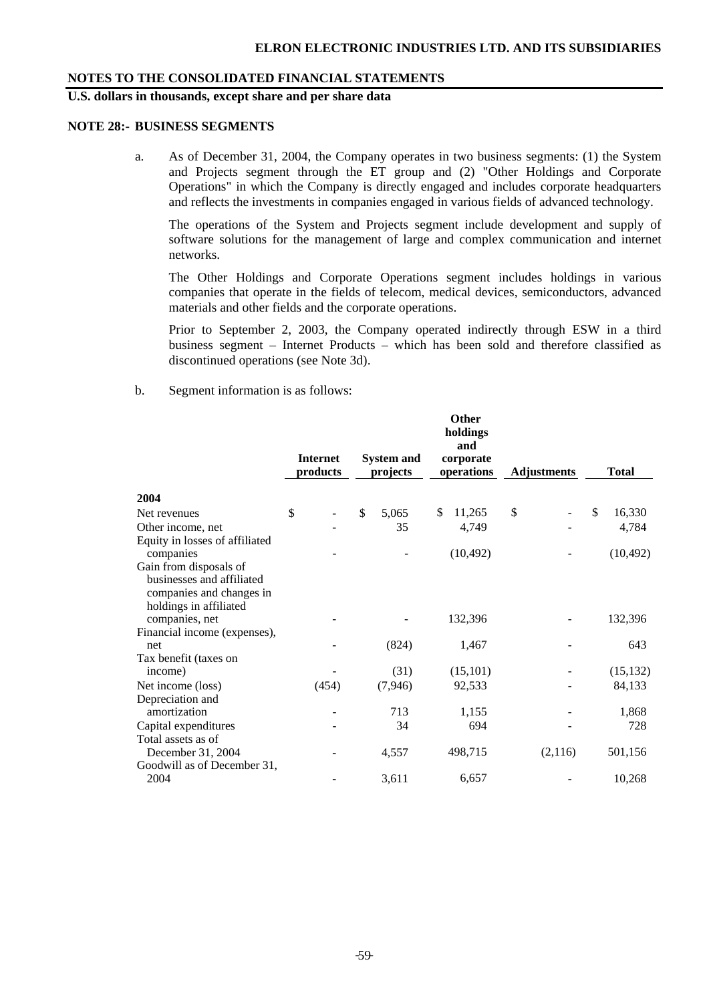## **U.S. dollars in thousands, except share and per share data**

#### **NOTE 28:- BUSINESS SEGMENTS**

a. As of December 31, 2004, the Company operates in two business segments: (1) the System and Projects segment through the ET group and (2) "Other Holdings and Corporate Operations" in which the Company is directly engaged and includes corporate headquarters and reflects the investments in companies engaged in various fields of advanced technology.

The operations of the System and Projects segment include development and supply of software solutions for the management of large and complex communication and internet networks.

The Other Holdings and Corporate Operations segment includes holdings in various companies that operate in the fields of telecom, medical devices, semiconductors, advanced materials and other fields and the corporate operations.

Prior to September 2, 2003, the Company operated indirectly through ESW in a third business segment – Internet Products – which has been sold and therefore classified as discontinued operations (see Note 3d).

 $\sim$  $\cdot$ 

b. Segment information is as follows:

|                                                     |                             |                               |          |                         | Uther<br>holdings<br>and |                    |         |              |           |
|-----------------------------------------------------|-----------------------------|-------------------------------|----------|-------------------------|--------------------------|--------------------|---------|--------------|-----------|
|                                                     | <b>Internet</b><br>products | <b>System and</b><br>projects |          | corporate<br>operations |                          | <b>Adjustments</b> |         | <b>Total</b> |           |
| 2004                                                |                             |                               |          |                         |                          |                    |         |              |           |
|                                                     | \$                          |                               |          |                         |                          | \$                 |         | \$           | 16,330    |
| Net revenues                                        |                             | \$                            | 5,065    | \$                      | 11,265                   |                    |         |              |           |
| Other income, net                                   |                             |                               | 35       |                         | 4,749                    |                    |         |              | 4,784     |
| Equity in losses of affiliated                      |                             |                               |          |                         |                          |                    |         |              |           |
| companies                                           |                             |                               |          |                         | (10, 492)                |                    |         |              | (10, 492) |
| Gain from disposals of<br>businesses and affiliated |                             |                               |          |                         |                          |                    |         |              |           |
|                                                     |                             |                               |          |                         |                          |                    |         |              |           |
| companies and changes in                            |                             |                               |          |                         |                          |                    |         |              |           |
| holdings in affiliated                              |                             |                               |          |                         | 132,396                  |                    |         |              | 132,396   |
| companies, net                                      |                             |                               |          |                         |                          |                    |         |              |           |
| Financial income (expenses),<br>net                 |                             |                               | (824)    |                         | 1,467                    |                    |         |              | 643       |
| Tax benefit (taxes on                               |                             |                               |          |                         |                          |                    |         |              |           |
| income)                                             |                             |                               | (31)     |                         | (15,101)                 |                    |         |              | (15, 132) |
| Net income (loss)                                   | (454)                       |                               | (7, 946) |                         | 92,533                   |                    |         |              | 84,133    |
| Depreciation and                                    |                             |                               |          |                         |                          |                    |         |              |           |
| amortization                                        |                             |                               | 713      |                         | 1,155                    |                    |         |              | 1,868     |
|                                                     |                             |                               | 34       |                         | 694                      |                    |         |              | 728       |
| Capital expenditures<br>Total assets as of          |                             |                               |          |                         |                          |                    |         |              |           |
|                                                     |                             |                               |          |                         |                          |                    |         |              |           |
| December 31, 2004                                   |                             |                               | 4,557    |                         | 498,715                  |                    | (2,116) |              | 501,156   |
| Goodwill as of December 31,<br>2004                 |                             |                               |          |                         |                          |                    |         |              | 10,268    |
|                                                     |                             |                               | 3,611    |                         | 6,657                    |                    |         |              |           |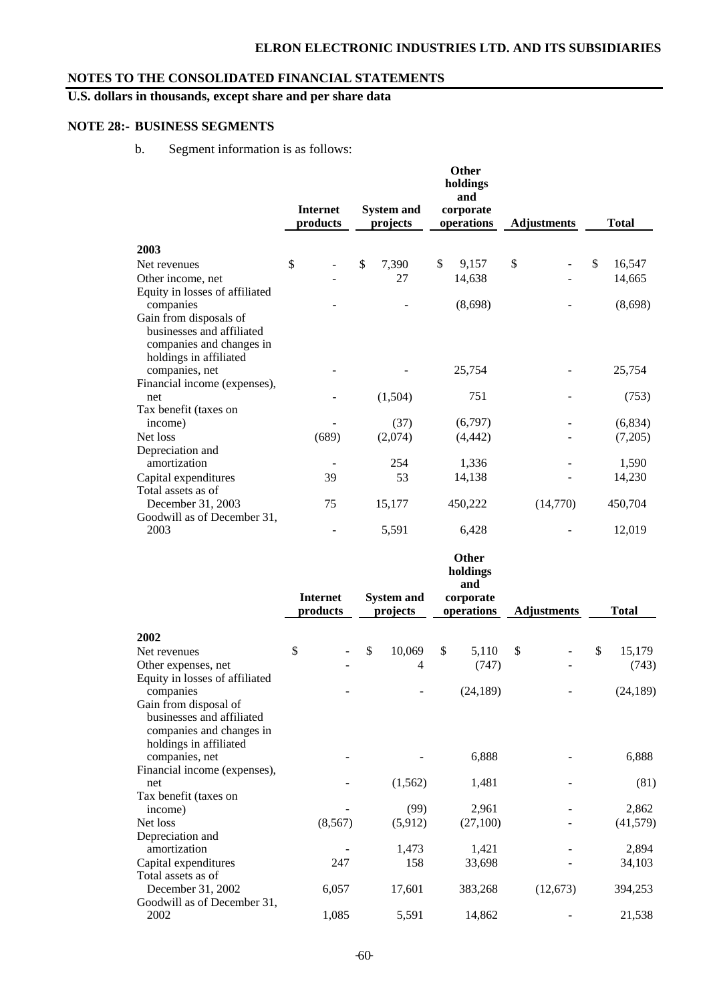## **U.S. dollars in thousands, except share and per share data**

## **NOTE 28:- BUSINESS SEGMENTS**

b. Segment information is as follows:

|                                                       | <b>Internet</b><br>products | <b>System and</b><br>projects | <b>Other</b><br>holdings<br>and<br>corporate<br>operations | <b>Adjustments</b> | <b>Total</b> |
|-------------------------------------------------------|-----------------------------|-------------------------------|------------------------------------------------------------|--------------------|--------------|
| 2003                                                  |                             |                               |                                                            |                    |              |
| Net revenues                                          | \$                          | \$<br>7,390                   | \$<br>9,157                                                | \$                 | \$<br>16,547 |
|                                                       |                             | 27                            |                                                            |                    |              |
| Other income, net<br>Equity in losses of affiliated   |                             |                               | 14,638                                                     |                    | 14,665       |
| companies                                             |                             |                               | (8,698)                                                    |                    | (8,698)      |
| Gain from disposals of                                |                             |                               |                                                            |                    |              |
| businesses and affiliated<br>companies and changes in |                             |                               |                                                            |                    |              |
| holdings in affiliated                                |                             |                               |                                                            |                    |              |
| companies, net                                        |                             |                               | 25,754                                                     |                    | 25,754       |
| Financial income (expenses),<br>net                   |                             | (1,504)                       | 751                                                        |                    | (753)        |
| Tax benefit (taxes on                                 |                             |                               |                                                            |                    |              |
| income)                                               |                             | (37)                          | (6,797)                                                    |                    | (6,834)      |
| Net loss                                              | (689)                       | (2,074)                       | (4, 442)                                                   |                    | (7,205)      |
| Depreciation and                                      |                             |                               |                                                            |                    |              |
| amortization                                          |                             | 254                           | 1,336                                                      |                    | 1,590        |
| Capital expenditures                                  | 39                          | 53                            | 14,138                                                     |                    | 14,230       |
| Total assets as of                                    |                             |                               |                                                            |                    |              |
| December 31, 2003                                     | 75                          | 15,177                        | 450,222                                                    | (14,770)           | 450,704      |
| Goodwill as of December 31,                           |                             |                               |                                                            |                    |              |
| 2003                                                  |                             | 5,591                         | 6,428                                                      |                    | 12,019       |

|                                                  | Internet<br>products | <b>System and</b><br>projects | holdings<br>and<br>corporate<br>operations | <b>Adjustments</b> | <b>Total</b> |  |
|--------------------------------------------------|----------------------|-------------------------------|--------------------------------------------|--------------------|--------------|--|
| 2002                                             |                      |                               |                                            |                    |              |  |
| Net revenues                                     | \$                   | \$<br>10,069                  | \$<br>5,110                                | $\mathbb{S}$       | \$<br>15,179 |  |
| Other expenses, net                              |                      | 4                             | (747)                                      |                    | (743)        |  |
| Equity in losses of affiliated                   |                      |                               |                                            |                    |              |  |
| companies                                        |                      |                               | (24, 189)                                  |                    | (24, 189)    |  |
| Gain from disposal of                            |                      |                               |                                            |                    |              |  |
| businesses and affiliated                        |                      |                               |                                            |                    |              |  |
| companies and changes in                         |                      |                               |                                            |                    |              |  |
| holdings in affiliated                           |                      |                               |                                            |                    |              |  |
| companies, net                                   |                      |                               | 6,888                                      |                    | 6,888        |  |
| Financial income (expenses),                     |                      |                               |                                            |                    |              |  |
| net                                              |                      | (1, 562)                      | 1,481                                      |                    | (81)         |  |
| Tax benefit (taxes on                            |                      |                               |                                            |                    |              |  |
| income)                                          |                      | (99)                          | 2,961                                      |                    | 2,862        |  |
| Net loss                                         | (8, 567)             | (5,912)                       | (27,100)                                   |                    | (41, 579)    |  |
| Depreciation and                                 |                      |                               |                                            |                    | 2,894        |  |
| amortization                                     |                      | 1,473                         | 1,421                                      |                    |              |  |
| Capital expenditures<br>Total assets as of       | 247                  | 158                           | 33,698                                     |                    | 34,103       |  |
|                                                  | 6,057                | 17,601                        | 383,268                                    | (12, 673)          |              |  |
| December 31, 2002<br>Goodwill as of December 31, |                      |                               |                                            |                    | 394,253      |  |
| 2002                                             | 1,085                | 5,591                         | 14,862                                     |                    | 21,538       |  |
|                                                  |                      |                               |                                            |                    |              |  |

**Other**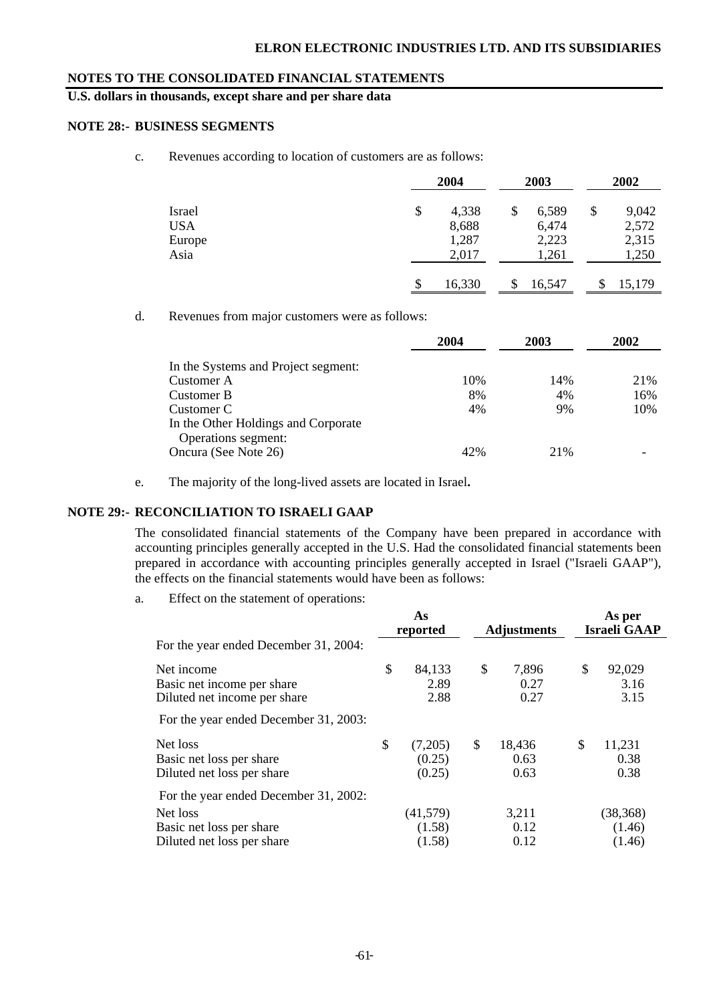**U.S. dollars in thousands, except share and per share data** 

### **NOTE 28:- BUSINESS SEGMENTS**

c. Revenues according to location of customers are as follows:

|            | 2004         |    | 2003   | 2002        |  |
|------------|--------------|----|--------|-------------|--|
| Israel     | \$<br>4,338  | \$ | 6,589  | \$<br>9,042 |  |
| <b>USA</b> | 8,688        |    | 6,474  | 2,572       |  |
| Europe     | 1,287        |    | 2,223  | 2,315       |  |
| Asia       | 2,017        |    | 1,261  | 1,250       |  |
|            | \$<br>16,330 | S  | 16,547 | 15,179      |  |

d. Revenues from major customers were as follows:

|                                     | 2004 | 2003 | <b>2002</b> |  |
|-------------------------------------|------|------|-------------|--|
| In the Systems and Project segment: |      |      |             |  |
| Customer A                          | 10%  | 14%  | 21%         |  |
| Customer B                          | 8%   | 4%   | 16%         |  |
| Customer C                          | 4%   | 9%   | 10%         |  |
| In the Other Holdings and Corporate |      |      |             |  |
| Operations segment:                 |      |      |             |  |
| Oncura (See Note 26)                | 42%  | 21%  |             |  |

e. The majority of the long-lived assets are located in Israel**.**

## **NOTE 29:- RECONCILIATION TO ISRAELI GAAP**

The consolidated financial statements of the Company have been prepared in accordance with accounting principles generally accepted in the U.S. Had the consolidated financial statements been prepared in accordance with accounting principles generally accepted in Israel ("Israeli GAAP"), the effects on the financial statements would have been as follows:

a. Effect on the statement of operations:

|                                                                                                                   | As<br>reported                    | <b>Adjustments</b>           | As per<br><b>Israeli GAAP</b> |
|-------------------------------------------------------------------------------------------------------------------|-----------------------------------|------------------------------|-------------------------------|
| For the year ended December 31, 2004:                                                                             |                                   |                              |                               |
| Net income<br>Basic net income per share<br>Diluted net income per share<br>For the year ended December 31, 2003: | \$<br>84,133<br>2.89<br>2.88      | \$<br>7,896<br>0.27<br>0.27  | \$<br>92,029<br>3.16<br>3.15  |
| Net loss<br>Basic net loss per share<br>Diluted net loss per share                                                | \$<br>(7,205)<br>(0.25)<br>(0.25) | \$<br>18,436<br>0.63<br>0.63 | \$<br>11,231<br>0.38<br>0.38  |
| For the year ended December 31, 2002:<br>Net loss<br>Basic net loss per share<br>Diluted net loss per share       | (41, 579)<br>(1.58)<br>(1.58)     | 3,211<br>0.12<br>0.12        | (38, 368)<br>(1.46)<br>(1.46) |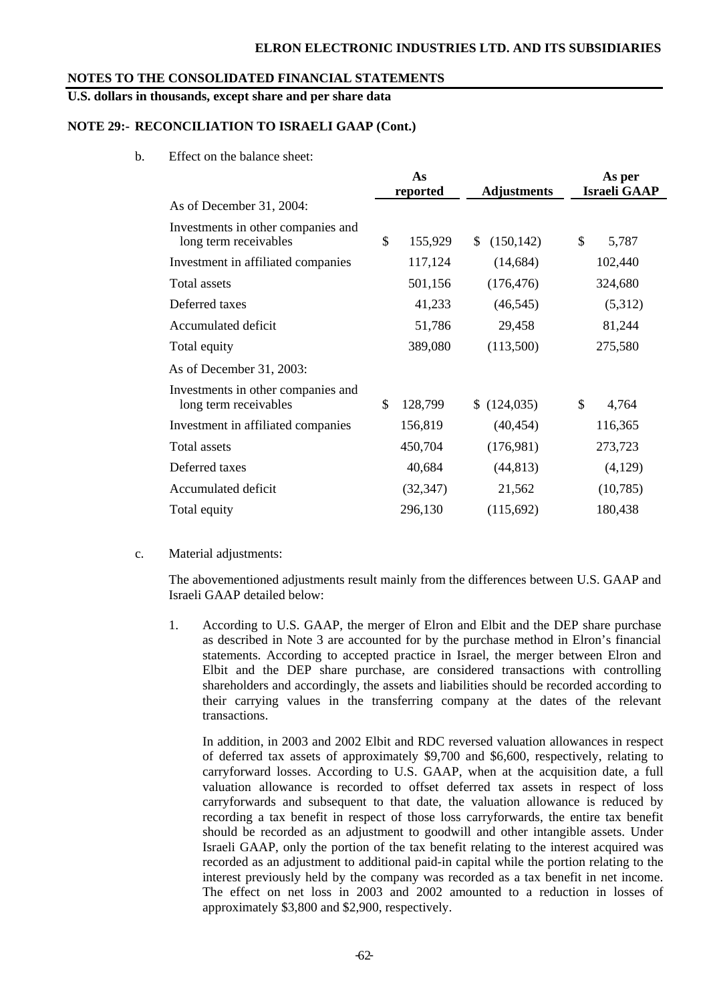## **U.S. dollars in thousands, except share and per share data**

## **NOTE 29:- RECONCILIATION TO ISRAELI GAAP (Cont.)**

b. Effect on the balance sheet:

|                                                             | As<br>reported | <b>Adjustments</b> | As per<br><b>Israeli GAAP</b> |  |
|-------------------------------------------------------------|----------------|--------------------|-------------------------------|--|
| As of December 31, 2004:                                    |                |                    |                               |  |
| Investments in other companies and<br>long term receivables | \$<br>155,929  | (150, 142)<br>\$   | \$<br>5,787                   |  |
| Investment in affiliated companies                          | 117,124        | (14, 684)          | 102,440                       |  |
| <b>Total assets</b>                                         | 501,156        | (176, 476)         | 324,680                       |  |
| Deferred taxes                                              | 41,233         | (46, 545)          | (5,312)                       |  |
| Accumulated deficit                                         | 51,786         | 29,458             | 81,244                        |  |
| Total equity                                                | 389,080        | (113,500)          | 275,580                       |  |
| As of December 31, 2003:                                    |                |                    |                               |  |
| Investments in other companies and<br>long term receivables | \$<br>128,799  | (124, 035)         | \$<br>4,764                   |  |
| Investment in affiliated companies                          | 156,819        | (40, 454)          | 116,365                       |  |
| <b>Total</b> assets                                         | 450,704        | (176,981)          | 273,723                       |  |
| Deferred taxes                                              | 40,684         | (44, 813)          | (4,129)                       |  |
| Accumulated deficit                                         | (32, 347)      | 21,562             | (10,785)                      |  |
| Total equity                                                | 296,130        | (115,692)          | 180,438                       |  |

c. Material adjustments:

The abovementioned adjustments result mainly from the differences between U.S. GAAP and Israeli GAAP detailed below:

1. According to U.S. GAAP, the merger of Elron and Elbit and the DEP share purchase as described in Note 3 are accounted for by the purchase method in Elron's financial statements. According to accepted practice in Israel, the merger between Elron and Elbit and the DEP share purchase, are considered transactions with controlling shareholders and accordingly, the assets and liabilities should be recorded according to their carrying values in the transferring company at the dates of the relevant transactions.

 In addition, in 2003 and 2002 Elbit and RDC reversed valuation allowances in respect of deferred tax assets of approximately \$9,700 and \$6,600, respectively, relating to carryforward losses. According to U.S. GAAP, when at the acquisition date, a full valuation allowance is recorded to offset deferred tax assets in respect of loss carryforwards and subsequent to that date, the valuation allowance is reduced by recording a tax benefit in respect of those loss carryforwards, the entire tax benefit should be recorded as an adjustment to goodwill and other intangible assets. Under Israeli GAAP, only the portion of the tax benefit relating to the interest acquired was recorded as an adjustment to additional paid-in capital while the portion relating to the interest previously held by the company was recorded as a tax benefit in net income. The effect on net loss in 2003 and 2002 amounted to a reduction in losses of approximately \$3,800 and \$2,900, respectively.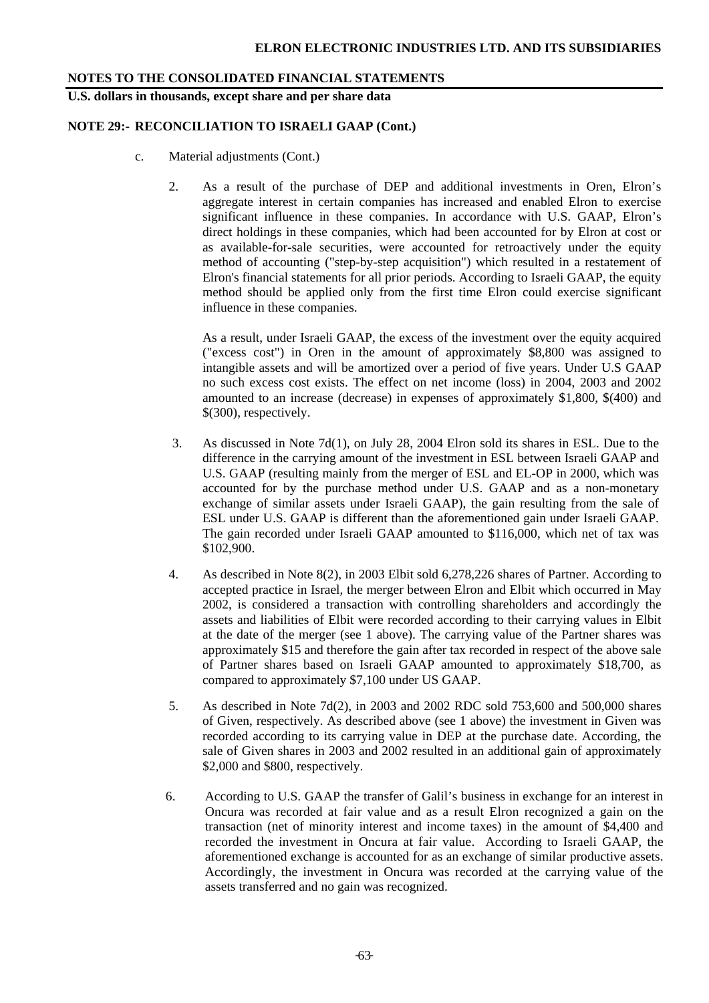**U.S. dollars in thousands, except share and per share data** 

## **NOTE 29:- RECONCILIATION TO ISRAELI GAAP (Cont.)**

- c. Material adjustments (Cont.)
	- 2. As a result of the purchase of DEP and additional investments in Oren, Elron's aggregate interest in certain companies has increased and enabled Elron to exercise significant influence in these companies. In accordance with U.S. GAAP, Elron's direct holdings in these companies, which had been accounted for by Elron at cost or as available-for-sale securities, were accounted for retroactively under the equity method of accounting ("step-by-step acquisition") which resulted in a restatement of Elron's financial statements for all prior periods. According to Israeli GAAP, the equity method should be applied only from the first time Elron could exercise significant influence in these companies.

 As a result, under Israeli GAAP, the excess of the investment over the equity acquired ("excess cost") in Oren in the amount of approximately \$8,800 was assigned to intangible assets and will be amortized over a period of five years. Under U.S GAAP no such excess cost exists. The effect on net income (loss) in 2004, 2003 and 2002 amounted to an increase (decrease) in expenses of approximately \$1,800, \$(400) and \$(300), respectively.

- 3. As discussed in Note 7d(1), on July 28, 2004 Elron sold its shares in ESL. Due to the difference in the carrying amount of the investment in ESL between Israeli GAAP and U.S. GAAP (resulting mainly from the merger of ESL and EL-OP in 2000, which was accounted for by the purchase method under U.S. GAAP and as a non-monetary exchange of similar assets under Israeli GAAP), the gain resulting from the sale of ESL under U.S. GAAP is different than the aforementioned gain under Israeli GAAP. The gain recorded under Israeli GAAP amounted to \$116,000, which net of tax was \$102,900.
- 4. As described in Note 8(2), in 2003 Elbit sold 6,278,226 shares of Partner. According to accepted practice in Israel, the merger between Elron and Elbit which occurred in May 2002, is considered a transaction with controlling shareholders and accordingly the assets and liabilities of Elbit were recorded according to their carrying values in Elbit at the date of the merger (see 1 above). The carrying value of the Partner shares was approximately \$15 and therefore the gain after tax recorded in respect of the above sale of Partner shares based on Israeli GAAP amounted to approximately \$18,700, as compared to approximately \$7,100 under US GAAP.
- 5. As described in Note 7d(2), in 2003 and 2002 RDC sold 753,600 and 500,000 shares of Given, respectively. As described above (see 1 above) the investment in Given was recorded according to its carrying value in DEP at the purchase date. According, the sale of Given shares in 2003 and 2002 resulted in an additional gain of approximately \$2,000 and \$800, respectively.
- 6. According to U.S. GAAP the transfer of Galil's business in exchange for an interest in Oncura was recorded at fair value and as a result Elron recognized a gain on the transaction (net of minority interest and income taxes) in the amount of \$4,400 and recorded the investment in Oncura at fair value. According to Israeli GAAP, the aforementioned exchange is accounted for as an exchange of similar productive assets. Accordingly, the investment in Oncura was recorded at the carrying value of the assets transferred and no gain was recognized.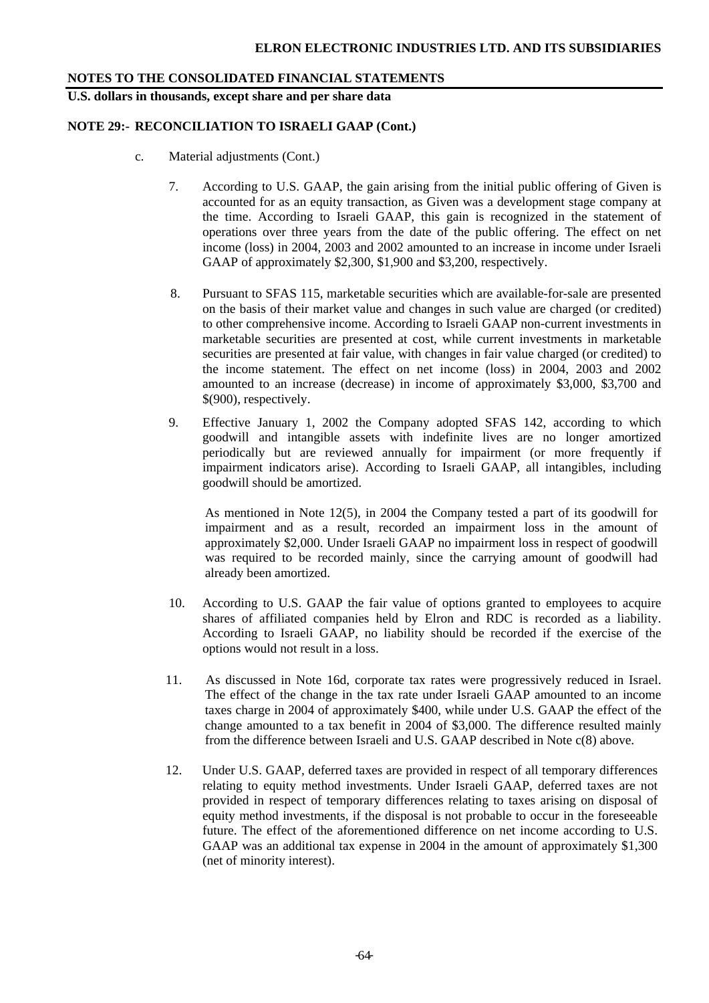**U.S. dollars in thousands, except share and per share data** 

## **NOTE 29:- RECONCILIATION TO ISRAELI GAAP (Cont.)**

- c. Material adjustments (Cont.)
	- 7. According to U.S. GAAP, the gain arising from the initial public offering of Given is accounted for as an equity transaction, as Given was a development stage company at the time. According to Israeli GAAP, this gain is recognized in the statement of operations over three years from the date of the public offering. The effect on net income (loss) in 2004, 2003 and 2002 amounted to an increase in income under Israeli GAAP of approximately \$2,300, \$1,900 and \$3,200, respectively.
	- 8. Pursuant to SFAS 115, marketable securities which are available-for-sale are presented on the basis of their market value and changes in such value are charged (or credited) to other comprehensive income. According to Israeli GAAP non-current investments in marketable securities are presented at cost, while current investments in marketable securities are presented at fair value, with changes in fair value charged (or credited) to the income statement. The effect on net income (loss) in 2004, 2003 and 2002 amounted to an increase (decrease) in income of approximately \$3,000, \$3,700 and \$(900), respectively.
	- 9. Effective January 1, 2002 the Company adopted SFAS 142, according to which goodwill and intangible assets with indefinite lives are no longer amortized periodically but are reviewed annually for impairment (or more frequently if impairment indicators arise). According to Israeli GAAP, all intangibles, including goodwill should be amortized.

 As mentioned in Note 12(5), in 2004 the Company tested a part of its goodwill for impairment and as a result, recorded an impairment loss in the amount of approximately \$2,000. Under Israeli GAAP no impairment loss in respect of goodwill was required to be recorded mainly, since the carrying amount of goodwill had already been amortized.

- 10. According to U.S. GAAP the fair value of options granted to employees to acquire shares of affiliated companies held by Elron and RDC is recorded as a liability. According to Israeli GAAP, no liability should be recorded if the exercise of the options would not result in a loss.
- 11. As discussed in Note 16d, corporate tax rates were progressively reduced in Israel. The effect of the change in the tax rate under Israeli GAAP amounted to an income taxes charge in 2004 of approximately \$400, while under U.S. GAAP the effect of the change amounted to a tax benefit in 2004 of \$3,000. The difference resulted mainly from the difference between Israeli and U.S. GAAP described in Note c(8) above.
- 12. Under U.S. GAAP, deferred taxes are provided in respect of all temporary differences relating to equity method investments. Under Israeli GAAP, deferred taxes are not provided in respect of temporary differences relating to taxes arising on disposal of equity method investments, if the disposal is not probable to occur in the foreseeable future. The effect of the aforementioned difference on net income according to U.S. GAAP was an additional tax expense in 2004 in the amount of approximately \$1,300 (net of minority interest).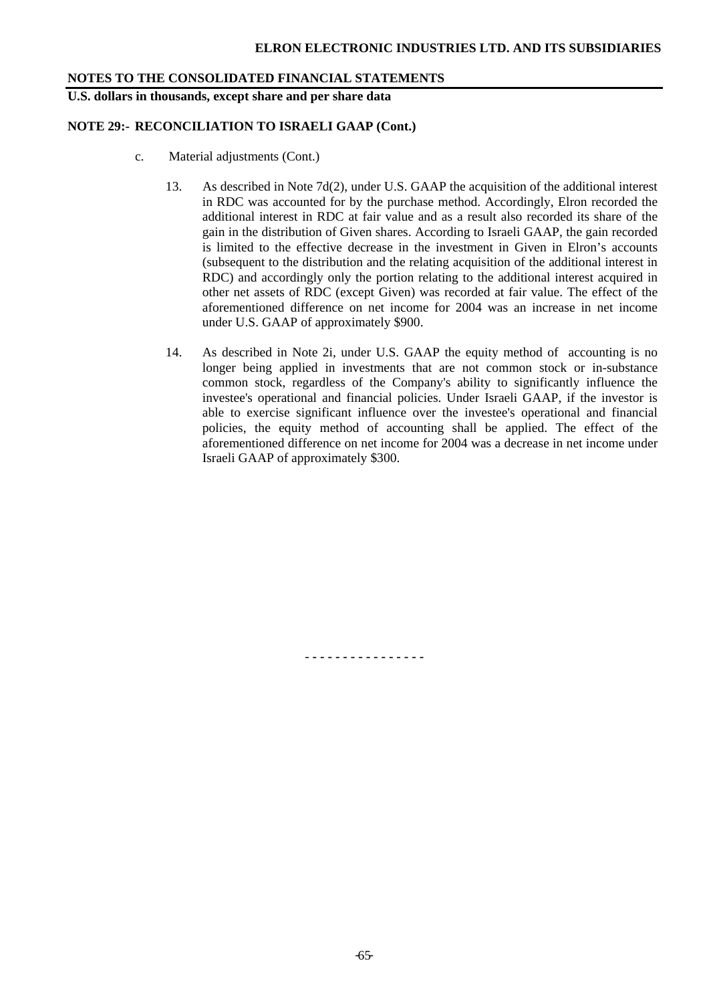**U.S. dollars in thousands, except share and per share data** 

## **NOTE 29:- RECONCILIATION TO ISRAELI GAAP (Cont.)**

- c. Material adjustments (Cont.)
	- 13. As described in Note 7d(2), under U.S. GAAP the acquisition of the additional interest in RDC was accounted for by the purchase method. Accordingly, Elron recorded the additional interest in RDC at fair value and as a result also recorded its share of the gain in the distribution of Given shares. According to Israeli GAAP, the gain recorded is limited to the effective decrease in the investment in Given in Elron's accounts (subsequent to the distribution and the relating acquisition of the additional interest in RDC) and accordingly only the portion relating to the additional interest acquired in other net assets of RDC (except Given) was recorded at fair value. The effect of the aforementioned difference on net income for 2004 was an increase in net income under U.S. GAAP of approximately \$900.
	- 14. As described in Note 2i, under U.S. GAAP the equity method of accounting is no longer being applied in investments that are not common stock or in-substance common stock, regardless of the Company's ability to significantly influence the investee's operational and financial policies. Under Israeli GAAP, if the investor is able to exercise significant influence over the investee's operational and financial policies, the equity method of accounting shall be applied. The effect of the aforementioned difference on net income for 2004 was a decrease in net income under Israeli GAAP of approximately \$300.

- **- - - - - - - - - - - - - - -**